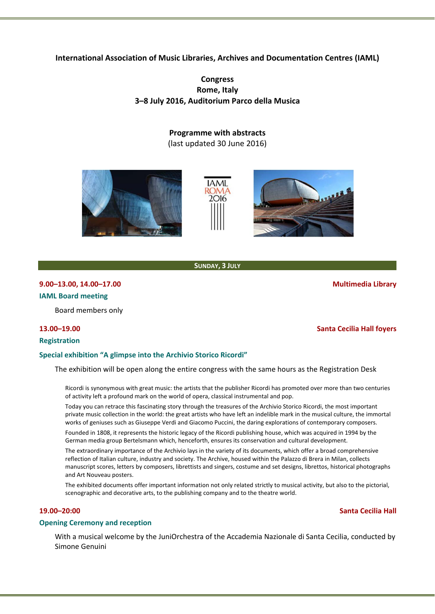**International Association of Music Libraries, Archives and Documentation Centres (IAML)**

# **Congress Rome, Italy 3–8 July 2016, Auditorium Parco della Musica**

**Programme with abstracts**

(last updated 30 June 2016)



**SUNDAY, 3 JULY**

# **9.00–13.00, 14.00–17.00 Multimedia Library IAML Board meeting**

Board members only

# **13.00–19.00 Santa Cecilia Hall foyers**

**Registration**

# **Special exhibition "A glimpse into the Archivio Storico Ricordi"**

The exhibition will be open along the entire congress with the same hours as the Registration Desk

Ricordi is synonymous with great music: the artists that the publisher Ricordi has promoted over more than two centuries of activity left a profound mark on the world of opera, classical instrumental and pop.

Today you can retrace this fascinating story through the treasures of the Archivio Storico Ricordi, the most important private music collection in the world: the great artists who have left an indelible mark in the musical culture, the immortal works of geniuses such as Giuseppe Verdi and Giacomo Puccini, the daring explorations of contemporary composers. Founded in 1808, it represents the historic legacy of the Ricordi publishing house, which was acquired in 1994 by the

German media group Bertelsmann which, henceforth, ensures its conservation and cultural development. The extraordinary importance of the Archivio lays in the variety of its documents, which offer a broad comprehensive reflection of Italian culture, industry and society. The Archive, housed within the Palazzo di Brera in Milan, collects manuscript scores, letters by composers, librettists and singers, costume and set designs, librettos, historical photographs and Art Nouveau posters.

The exhibited documents offer important information not only related strictly to musical activity, but also to the pictorial, scenographic and decorative arts, to the publishing company and to the theatre world.

# **19.00–20:00 Santa Cecilia Hall**

## **Opening Ceremony and reception**

With a musical welcome by the JuniOrchestra of the Accademia Nazionale di Santa Cecilia, conducted by Simone Genuini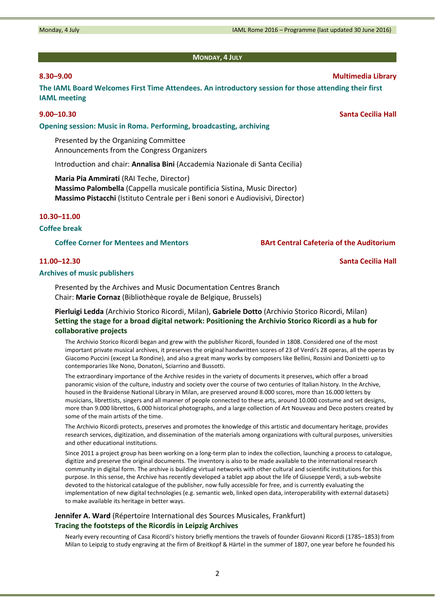# **MONDAY, 4 JULY**

**The IAML Board Welcomes First Time Attendees. An introductory session for those attending their first IAML meeting** 

**Opening session: Music in Roma. Performing, broadcasting, archiving**

Presented by the Organizing Committee Announcements from the Congress Organizers

Introduction and chair: **Annalisa Bini** (Accademia Nazionale di Santa Cecilia)

**Maria Pia Ammirati** (RAI Teche, Director) **Massimo Palombella** (Cappella musicale pontificia Sistina, Music Director) **Massimo Pistacchi** (Istituto Centrale per i Beni sonori e Audiovisivi, Director)

#### **10.30–11.00**

## **Coffee break**

**Coffee Corner for Mentees and Mentors BArt Central Cafeteria of the Auditorium**

#### **Archives of music publishers**

Presented by the Archives and Music Documentation Centres Branch Chair: **Marie Cornaz** (Bibliothèque royale de Belgique, Brussels)

# **Pierluigi Ledda** (Archivio Storico Ricordi, Milan), **Gabriele Dotto** (Archivio Storico Ricordi, Milan) **Setting the stage for a broad digital network: Positioning the Archivio Storico Ricordi as a hub for collaborative projects**

The Archivio Storico Ricordi began and grew with the publisher Ricordi, founded in 1808. Considered one of the most important private musical archives, it preserves the original handwritten scores of 23 of Verdi's 28 operas, all the operas by Giacomo Puccini (except La Rondine), and also a great many works by composers like Bellini, Rossini and Donizetti up to contemporaries like Nono, Donatoni, Sciarrino and Bussotti.

The extraordinary importance of the Archive resides in the variety of documents it preserves, which offer a broad panoramic vision of the culture, industry and society over the course of two centuries of Italian history. In the Archive, housed in the Braidense National Library in Milan, are preserved around 8.000 scores, more than 16.000 letters by musicians, librettists, singers and all manner of people connected to these arts, around 10.000 costume and set designs, more than 9.000 librettos, 6.000 historical photographs, and a large collection of Art Nouveau and Deco posters created by some of the main artists of the time.

The Archivio Ricordi protects, preserves and promotes the knowledge of this artistic and documentary heritage, provides research services, digitization, and dissemination of the materials among organizations with cultural purposes, universities and other educational institutions.

Since 2011 a project group has been working on a long‐term plan to index the collection, launching a process to catalogue, digitize and preserve the original documents. The inventory is also to be made available to the international research community in digital form. The archive is building virtual networks with other cultural and scientific institutions for this purpose. In this sense, the Archive has recently developed a tablet app about the life of Giuseppe Verdi, a sub‐website devoted to the historical catalogue of the publisher, now fully accessible for free, and is currently evaluating the implementation of new digital technologies (e.g. semantic web, linked open data, interoperability with external datasets) to make available its heritage in better ways.

# **Jennifer A. Ward** (Répertoire International des Sources Musicales, Frankfurt) **Tracing the footsteps of the Ricordis in Leipzig Archives**

Nearly every recounting of Casa Ricordi's history briefly mentions the travels of founder Giovanni Ricordi (1785–1853) from Milan to Leipzig to study engraving at the firm of Breitkopf & Härtel in the summer of 1807, one year before he founded his

# **8.30–9.00 Multimedia Library**

**9.00–10.30 Santa Cecilia Hall**

**11.00–12.30 Santa Cecilia Hall**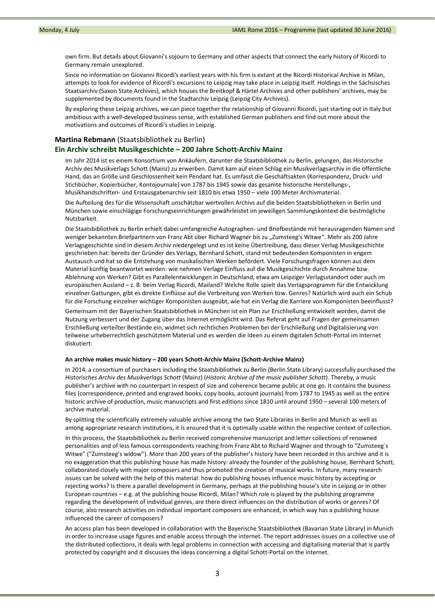own firm. But details about Giovanni's sojourn to Germany and other aspects that connect the early history of Ricordi to Germany remain unexplored.

Since no information on Giovanni Ricordi's earliest years with his firm is extant at the Ricordi Historical Archive in Milan, attempts to look for evidence of Ricordi's excursions to Leipzig may take place in Leipzig itself. Holdings in the Sächsisches Staatsarchiv (Saxon State Archives), which houses the Breitkopf & Härtel Archives and other publishers' archives, may be supplemented by documents found in the Stadtarchiv Leipzig (Leipzig City Archives).

By exploring these Leipzig archives, we can piece together the relationship of Giovanni Ricordi, just starting out in Italy but ambitious with a well‐developed business sense, with established German publishers and find out more about the motivations and outcomes of Ricordi's studies in Leipzig.

# **Martina Rebmann** (Staatsbibliothek zu Berlin)

# **Ein Archiv schreibt Musikgeschichte – 200 Jahre Schott‐Archiv Mainz**

Im Jahr 2014 ist es einem Konsortium von Ankäufern, darunter die Staatsbibliothek zu Berlin, gelungen, das Historische Archiv des Musikverlags Schott (Mainz) zu erwerben. Damit kam auf einen Schlag ein Musikverlagsarchiv in die öffentliche Hand, das an Größe und Geschlossenheit kein Pendant hat. Es umfasst die Geschäftsakten (Korrespondenz, Druck- und Stichbücher, Kopierbücher, Kontojournale) von 1787 bis 1945 sowie das gesamte historische Herstellungs‐, Musikhandschriften‐ und Erstausgabenarchiv seit 1810 bis etwa 1950 – viele 100 Meter Archivmaterial.

Die Aufteilung des für die Wissenschaft unschätzbar wertvollen Archivs auf die beiden Staatsbibliotheken in Berlin und München sowie einschlägige Forschungseinrichtungen gewährleistet im jeweiligen Sammlungskontext die bestmögliche Nutzbarkeit.

Die Staatsbibliothek zu Berlin erhielt dabei umfangreiche Autographen- und Briefbestände mit herausragenden Namen und weniger bekannten Briefpartnern von Franz Abt über Richard Wagner bis zu "Zumsteeg's Witwe". Mehr als 200 Jahre Verlagsgeschichte sind in diesem Archiv niedergelegt und es ist keine Übertreibung, dass dieser Verlag Musikgeschichte geschrieben hat: bereits der Gründer des Verlags, Bernhard Schott, stand mit bedeutenden Komponisten in engem Austausch und hat so die Entstehung von musikalischen Werken befördert. Viele Forschungsfragen können aus dem Material künftig beantwortet werden: wie nehmen Verlage Einfluss auf die Musikgeschichte durch Annahme bzw. Ablehnung von Werken? Gibt es Parallelentwicklungen in Deutschland, etwa am Leipziger Verlagsstandort oder auch im europäischen Ausland – z. B. beim Verlag Ricordi, Mailand? Welche Rolle spielt das Verlagsprogramm für die Entwicklung einzelner Gattungen, gibt es direkte Einflüsse auf die Verbreitung von Werken bzw. Genres? Natürlich wird auch ein Schub für die Forschung einzelner wichtiger Komponisten ausgeübt, wie hat ein Verlag die Karriere von Komponisten beeinflusst?

Gemeinsam mit der Bayerischen Staatsbibliothek in München ist ein Plan zur Erschließung entwickelt worden, damit die Nutzung verbessert und der Zugang über das Internet ermöglicht wird. Das Referat geht auf Fragen der gemeinsamen Erschließung verteilter Bestände ein, widmet sich rechtlichen Problemen bei der Erschließung und Digitalisierung von teilweise urheberrechtlich geschütztem Material und es werden die Ideen zu einem digitalen Schott‐Portal im Internet diskutiert.

#### **An archive makes music history – 200 years Schott‐Archiv Mainz (Schott‐Archive Mainz)**

In 2014, a consortium of purchasers including the Staatsbibliothek zu Berlin (Berlin State Library) successfully purchased the *Historisches Archiv des Musikverlags Schott* (Mainz) (*Historic Archive of the music publisher Schott*). Thereby, a music publisher's archive with no counterpart in respect of size and coherence became public at one go. It contains the business files (correspondence, printed and engraved books, copy books, account journals) from 1787 to 1945 as well as the entire historic archive of production, music manuscripts and first editions since 1810 until around 1950 – several 100 meters of archive material.

By splitting the scientifically extremely valuable archive among the two State Libraries in Berlin and Munich as well as among appropriate research institutions, it is ensured that it is optimally usable within the respective context of collection.

In this process, the Staatsbibliothek zu Berlin received comprehensive manuscript and letter collections of renowned personalities and of less famous correspondents reaching from Franz Abt to Richard Wagner and through to "Zumsteeg´s Witwe" ("Zumsteeg's widow"). More than 200 years of the publisher's history have been recorded in this archive and it is no exaggeration that this publishing house has made history: already the founder of the publishing house, Bernhard Schott, collaborated closely with major composers and thus promoted the creation of musical works. In future, many research issues can be solved with the help of this material: how do publishing houses influence music history by accepting or rejecting works? Is there a parallel development in Germany, perhaps at the publishing house's site in Leipzig or in other European countries – e.g. at the publishing house Ricordi, Milan? Which role is played by the publishing programme regarding the development of individual genres, are there direct influences on the distribution of works or genres? Of course, also research activities on individual important composers are enhanced, in which way has a publishing house influenced the career of composers?

An access plan has been developed in collaboration with the Bayerische Staatsbibliothek (Bavarian State Library) in Munich in order to increase usage figures and enable access through the internet. The report addresses issues on a collective use of the distributed collections, it deals with legal problems in connection with accessing and digitalising material that is partly protected by copyright and it discusses the ideas concerning a digital Schott‐Portal on the internet.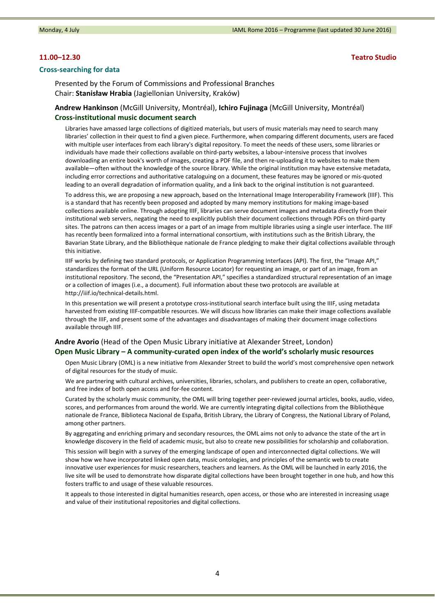### **Cross‐searching for data**

**11.00–12.30 Teatro Studio**

Presented by the Forum of Commissions and Professional Branches Chair: **Stanisław Hrabia** (Jagiellonian University, Kraków)

# **Andrew Hankinson** (McGill University, Montréal), **Ichiro Fujinaga** (McGill University, Montréal) **Cross‐institutional music document search**

Libraries have amassed large collections of digitized materials, but users of music materials may need to search many libraries' collection in their quest to find a given piece. Furthermore, when comparing different documents, users are faced with multiple user interfaces from each library's digital repository. To meet the needs of these users, some libraries or individuals have made their collections available on third-party websites, a labour-intensive process that involves downloading an entire book's worth of images, creating a PDF file, and then re‐uploading it to websites to make them available—often without the knowledge of the source library. While the original institution may have extensive metadata, including error corrections and authoritative cataloguing on a document, these features may be ignored or mis‐quoted leading to an overall degradation of information quality, and a link back to the original institution is not guaranteed.

To address this, we are proposing a new approach, based on the International Image Interoperability Framework (IIIF). This is a standard that has recently been proposed and adopted by many memory institutions for making image‐based collections available online. Through adopting IIIF, libraries can serve document images and metadata directly from their institutional web servers, negating the need to explicitly publish their document collections through PDFs on third‐party sites. The patrons can then access images or a part of an image from multiple libraries using a single user interface. The IIIF has recently been formalized into a formal international consortium, with institutions such as the British Library, the Bavarian State Library, and the Bibliothèque nationale de France pledging to make their digital collections available through this initiative.

IIIF works by defining two standard protocols, or Application Programming Interfaces (API). The first, the "Image API," standardizes the format of the URL (Uniform Resource Locator) for requesting an image, or part of an image, from an institutional repository. The second, the "Presentation API," specifies a standardized structural representation of an image or a collection of images (i.e., a document). Full information about these two protocols are available at http://iiif.io/technical‐details.html.

In this presentation we will present a prototype cross-institutional search interface built using the IIIF, using metadata harvested from existing IIIF‐compatible resources. We will discuss how libraries can make their image collections available through the IIIF, and present some of the advantages and disadvantages of making their document image collections available through IIIF.

# **Andre Avorio** (Head of the Open Music Library initiative at Alexander Street, London) **Open Music Library – A community‐curated open index of the world's scholarly music resources**

Open Music Library (OML) is a new initiative from Alexander Street to build the world's most comprehensive open network of digital resources for the study of music.

We are partnering with cultural archives, universities, libraries, scholars, and publishers to create an open, collaborative, and free index of both open access and for‐fee content.

Curated by the scholarly music community, the OML will bring together peer‐reviewed journal articles, books, audio, video, scores, and performances from around the world. We are currently integrating digital collections from the Bibliothèque nationale de France, Biblioteca Nacional de España, British Library, the Library of Congress, the National Library of Poland, among other partners.

By aggregating and enriching primary and secondary resources, the OML aims not only to advance the state of the art in knowledge discovery in the field of academic music, but also to create new possibilities for scholarship and collaboration.

This session will begin with a survey of the emerging landscape of open and interconnected digital collections. We will show how we have incorporated linked open data, music ontologies, and principles of the semantic web to create innovative user experiences for music researchers, teachers and learners. As the OML will be launched in early 2016, the live site will be used to demonstrate how disparate digital collections have been brought together in one hub, and how this fosters traffic to and usage of these valuable resources.

It appeals to those interested in digital humanities research, open access, or those who are interested in increasing usage and value of their institutional repositories and digital collections.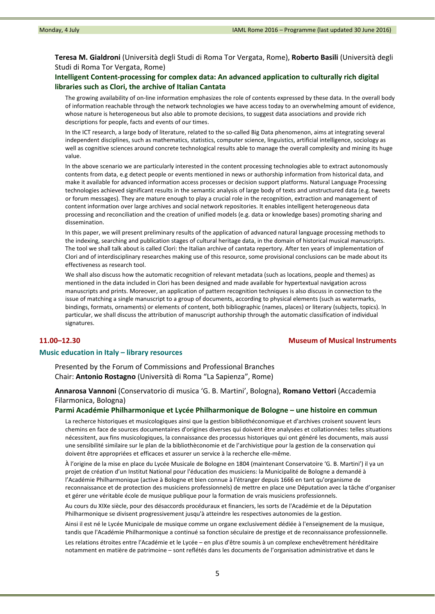**Teresa M. Gialdroni** (Università degli Studi di Roma Tor Vergata, Rome), **Roberto Basili** (Università degli Studi di Roma Tor Vergata, Rome)

# **Intelligent Content‐processing for complex data: An advanced application to culturally rich digital libraries such as Clori, the archive of Italian Cantata**

The growing availability of on-line information emphasizes the role of contents expressed by these data. In the overall body of information reachable through the network technologies we have access today to an overwhelming amount of evidence, whose nature is heterogeneous but also able to promote decisions, to suggest data associations and provide rich descriptions for people, facts and events of our times.

In the ICT research, a large body of literature, related to the so-called Big Data phenomenon, aims at integrating several independent disciplines, such as mathematics, statistics, computer science, linguistics, artificial intelligence, sociology as well as cognitive sciences around concrete technological results able to manage the overall complexity and mining its huge value.

In the above scenario we are particularly interested in the content processing technologies able to extract autonomously contents from data, e.g detect people or events mentioned in news or authorship information from historical data, and make it available for advanced information access processes or decision support platforms. Natural Language Processing technologies achieved significant results in the semantic analysis of large body of texts and unstructured data (e.g. tweets or forum messages). They are mature enough to play a crucial role in the recognition, extraction and management of content information over large archives and social network repositories. It enables intelligent heterogeneous data processing and reconciliation and the creation of unified models (e.g. data or knowledge bases) promoting sharing and dissemination.

In this paper, we will present preliminary results of the application of advanced natural language processing methods to the indexing, searching and publication stages of cultural heritage data, in the domain of historical musical manuscripts. The tool we shall talk about is called Clori: the Italian archive of cantata repertory. After ten years of implementation of Clori and of interdisciplinary researches making use of this resource, some provisional conclusions can be made about its effectiveness as research tool.

We shall also discuss how the automatic recognition of relevant metadata (such as locations, people and themes) as mentioned in the data included in Clori has been designed and made available for hypertextual navigation across manuscripts and prints. Moreover, an application of pattern recognition techniques is also discuss in connection to the issue of matching a single manuscript to a group of documents, according to physical elements (such as watermarks, bindings, formats, ornaments) or elements of content, both bibliographic (names, places) or literary (subjects, topics). In particular, we shall discuss the attribution of manuscript authorship through the automatic classification of individual signatures.

### **11.00–12.30 Museum of Musical Instruments**

#### **Music education in Italy – library resources**

Presented by the Forum of Commissions and Professional Branches Chair: **Antonio Rostagno** (Università di Roma "La Sapienza", Rome)

**Annarosa Vannoni** (Conservatorio di musica 'G. B. Martini', Bologna), **Romano Vettori** (Accademia Filarmonica, Bologna)

## **Parmi Académie Philharmonique et Lycée Philharmonique de Bologne – une histoire en commun**

La recherce historiques et musicologiques ainsi que la gestion bibliothéconomique et d'archives croisent souvent leurs chemins en face de sources documentaires d'origines diverses qui doivent être analysées et collationnées: telles situations nécessitent, aux fins musicologiques, la connaissance des processus historiques qui ont généré les documents, mais aussi une sensibilité similaire sur le plan de la bibliothèconomie et de l'archivistique pour la gestion de la conservation qui doivent être appropriées et efficaces et assurer un service à la recherche elle‐même.

À l'origine de la mise en place du Lycée Musicale de Bologne en 1804 (maintenant Conservatoire 'G. B. Martini') il ya un projet de création d'un Institut National pour l'éducation des musiciens: la Municipalité de Bologne a demandé à l'Académie Philharmonique (active à Bologne et bien connue à l'étranger depuis 1666 en tant qu'organisme de reconnaissance et de protection des musiciens professionnels) de mettre en place une Députation avec la tâche d'organiser et gérer une véritable école de musique publique pour la formation de vrais musiciens professionnels.

Au cours du XIXe siècle, pour des désaccords procéduraux et financiers, les sorts de l'Académie et de la Députation Philharmonique se divisent progressivement jusqu'à atteindre les respectives autonomies de la gestion.

Ainsi il est né le Lycée Municipale de musique comme un organe exclusivement dédiée à l'enseignement de la musique, tandis que l'Académie Philharmonique a continué sa fonction séculaire de prestige et de reconnaissance professionnelle.

Les relations étroites entre l'Académie et le Lycée – en plus d'être soumis à un complexe enchevêtrement héréditaire notamment en matière de patrimoine – sont reflétés dans les documents de l'organisation administrative et dans le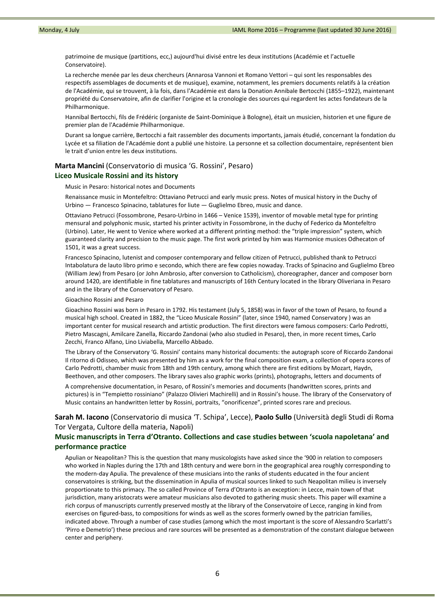patrimoine de musique (partitions, ecc,) aujourd'hui divisé entre les deux institutions (Académie et l'actuelle Conservatoire).

La recherche menée par les deux chercheurs (Annarosa Vannoni et Romano Vettori – qui sont les responsables des respectifs assemblages de documents et de musique), examine, notamment, les premiers documents relatifs à la création de l'Académie, qui se trouvent, à la fois, dans l'Académie est dans la Donation Annibale Bertocchi (1855–1922), maintenant propriété du Conservatoire, afin de clarifier l'origine et la cronologie des sources qui regardent les actes fondateurs de la Philharmonique.

Hannibal Bertocchi, fils de Frédéric (organiste de Saint‐Dominique à Bologne), était un musicien, historien et une figure de premier plan de l'Académie Philharmonique.

Durant sa longue carrière, Bertocchi a fait rassembler des documents importants, jamais étudié, concernant la fondation du Lycée et sa filiation de l'Académie dont a publié une histoire. La personne et sa collection documentaire, représentent bien le trait d'union entre les deux institutions.

# **Marta Mancini** (Conservatorio di musica 'G. Rossini', Pesaro) **Liceo Musicale Rossini and its history**

Music in Pesaro: historical notes and Documents

Renaissance music in Montefeltro: Ottaviano Petrucci and early music press. Notes of musical history in the Duchy of Urbino — Francesco Spinacino, tablatures for liute — Guglielmo Ebreo, music and dance.

Ottaviano Petrucci (Fossombrone, Pesaro‐Urbino in 1466 – Venice 1539), inventor of movable metal type for printing mensural and polyphonic music, started his printer activity in Fossombrone, in the duchy of Federico da Montefeltro (Urbino). Later, He went to Venice where worked at a different printing method: the "triple impression" system, which guaranteed clarity and precision to the music page. The first work printed by him was Harmonice musices Odhecaton of 1501, it was a great success.

Francesco Spinacino, lutenist and composer contemporary and fellow citizen of Petrucci, published thank to Petrucci Intabolatura de lauto libro primo e secondo, which there are few copies nowaday. Tracks of Spinacino and Guglielmo Ebreo (William Jew) from Pesaro (or John Ambrosio, after conversion to Catholicism), choreographer, dancer and composer born around 1420, are identifiable in fine tablatures and manuscripts of 16th Century located in the library Oliveriana in Pesaro and in the library of the Conservatory of Pesaro.

Gioachino Rossini and Pesaro

Gioachino Rossini was born in Pesaro in 1792. His testament (July 5, 1858) was in favor of the town of Pesaro, to found a musical high school. Created in 1882, the "Liceo Musicale Rossini" (later, since 1940, named Conservatory ) was an important center for musical research and artistic production. The first directors were famous composers: Carlo Pedrotti, Pietro Mascagni, Amilcare Zanella, Riccardo Zandonai (who also studied in Pesaro), then, in more recent times, Carlo Zecchi, Franco Alfano, Lino Liviabella, Marcello Abbado.

The Library of the Conservatory 'G. Rossini' contains many historical documents: the autograph score of Riccardo Zandonai Il ritorno di Odisseo, which was presented by him as a work for the final composition exam, a collection of opera scores of Carlo Pedrotti, chamber music from 18th and 19th century, among which there are first editions by Mozart, Haydn, Beethoven, and other composers. The library saves also graphic works (prints), photographs, letters and documents of

A comprehensive documentation, in Pesaro, of Rossini's memories and documents (handwritten scores, prints and pictures) is in "Tempietto rossiniano" (Palazzo Olivieri Machirelli) and in Rossini's house. The library of the Conservatory of Music contains an handwritten letter by Rossini, portraits, "onorificenze", printed scores rare and precious.

# **Sarah M. Iacono** (Conservatorio di musica 'T. Schipa', Lecce), **Paolo Sullo** (Università degli Studi di Roma Tor Vergata, Cultore della materia, Napoli)

# **Music manuscripts in Terra d'Otranto. Collections and case studies between 'scuola napoletana' and performance practice**

Apulian or Neapolitan? This is the question that many musicologists have asked since the '900 in relation to composers who worked in Naples during the 17th and 18th century and were born in the geographical area roughly corresponding to the modern‐day Apulia. The prevalence of these musicians into the ranks of students educated in the four ancient conservatoires is striking, but the dissemination in Apulia of musical sources linked to such Neapolitan milieu is inversely proportionate to this primacy. The so called Province of Terra d'Otranto is an exception: in Lecce, main town of that jurisdiction, many aristocrats were amateur musicians also devoted to gathering music sheets. This paper will examine a rich corpus of manuscripts currently preserved mostly at the library of the Conservatoire of Lecce, ranging in kind from exercises on figured-bass, to compositions for winds as well as the scores formerly owned by the patrician families, indicated above. Through a number of case studies (among which the most important is the score of Alessandro Scarlatti's 'Pirro e Demetrio') these precious and rare sources will be presented as a demonstration of the constant dialogue between center and periphery.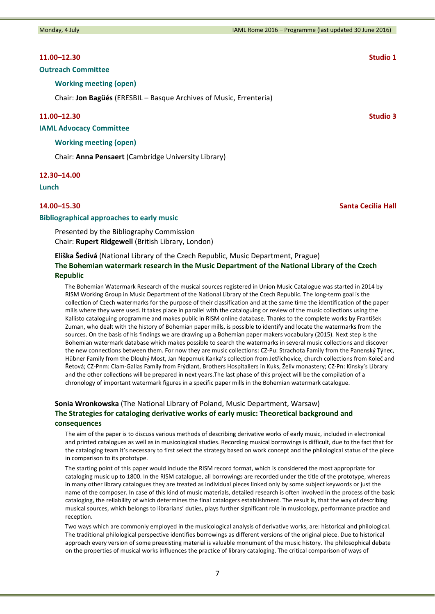Monday, 4 July **Monday, 4 July 19, 2016** 19, 2016 – IAML Rome 2016 – Programme (last updated 30 June 2016)

### **11.00–12.30 Studio 1**

### **Outreach Committee**

**Working meeting (open)**

Chair: **Jon Bagüés** (ERESBIL – Basque Archives of Music, Errenteria)

### **11.00–12.30 Studio 3**

**IAML Advocacy Committee**

#### **Working meeting (open)**

Chair: **Anna Pensaert** (Cambridge University Library)

#### **12.30–14.00**

**Lunch**

#### **Bibliographical approaches to early music**

Presented by the Bibliography Commission Chair: **Rupert Ridgewell** (British Library, London)

### **Eliška Šedivá** (National Library of the Czech Republic, Music Department, Prague)

## **The Bohemian watermark research in the Music Department of the National Library of the Czech Republic**

The Bohemian Watermark Research of the musical sources registered in Union Music Catalogue was started in 2014 by RISM Working Group in Music Department of the National Library of the Czech Republic. The long‐term goal is the collection of Czech watermarks for the purpose of their classification and at the same time the identification of the paper mills where they were used. It takes place in parallel with the cataloguing or review of the music collections using the Kallisto cataloguing programme and makes public in RISM online database. Thanks to the complete works by František Zuman, who dealt with the history of Bohemian paper mills, is possible to identify and locate the watermarks from the sources. On the basis of his findings we are drawing up a Bohemian paper makers vocabulary (2015). Next step is the Bohemian watermark database which makes possible to search the watermarks in several music collections and discover the new connections between them. For now they are music collections: CZ‐Pu: Strachota Family from the Panenský Týnec, Hübner Family from the Dlouhý Most, Jan Nepomuk Kanka's collection from Jetřichovice, church collections from Koleč and Řetová; CZ‐Pnm: Clam‐Gallas Family from Frýdlant, Brothers Hospitallers in Kuks, Želiv monastery; CZ‐Pn: Kinsky's Library and the other collections will be prepared in next years.The last phase of this project will be the compilation of a chronology of important watermark figures in a specific paper mills in the Bohemian watermark catalogue.

# **Sonia Wronkowska** (The National Library of Poland, Music Department, Warsaw) **The Strategies for cataloging derivative works of early music: Theoretical background and consequences**

The aim of the paper is to discuss various methods of describing derivative works of early music, included in electronical and printed catalogues as well as in musicological studies. Recording musical borrowings is difficult, due to the fact that for the cataloging team it's necessary to first select the strategy based on work concept and the philological status of the piece in comparison to its prototype.

The starting point of this paper would include the RISM record format, which is considered the most appropriate for cataloging music up to 1800. In the RISM catalogue, all borrowings are recorded under the title of the prototype, whereas in many other library catalogues they are treated as individual pieces linked only by some subject keywords or just the name of the composer. In case of this kind of music materials, detailed research is often involved in the process of the basic cataloging, the reliability of which determines the final catalogers establishment. The result is, that the way of describing musical sources, which belongs to librarians' duties, plays further significant role in musicology, performance practice and reception.

Two ways which are commonly employed in the musicological analysis of derivative works, are: historical and philological. The traditional philological perspective identifies borrowings as different versions of the original piece. Due to historical approach every version of some preexisting material is valuable monument of the music history. The philosophical debate on the properties of musical works influences the practice of library cataloging. The critical comparison of ways of

# **14.00–15.30 Santa Cecilia Hall**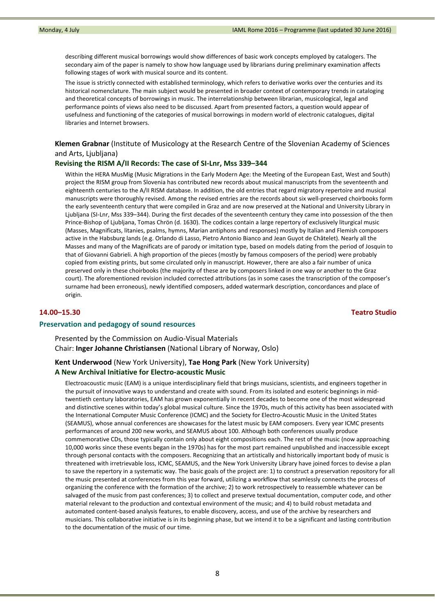describing different musical borrowings would show differences of basic work concepts employed by catalogers. The secondary aim of the paper is namely to show how language used by librarians during preliminary examination affects following stages of work with musical source and its content.

The issue is strictly connected with established terminology, which refers to derivative works over the centuries and its historical nomenclature. The main subject would be presented in broader context of contemporary trends in cataloging and theoretical concepts of borrowings in music. The interrelationship between librarian, musicological, legal and performance points of views also need to be discussed. Apart from presented factors, a question would appear of usefulness and functioning of the categories of musical borrowings in modern world of electronic catalogues, digital libraries and Internet browsers.

**Klemen Grabnar** (Institute of Musicology at the Research Centre of the Slovenian Academy of Sciences and Arts, Ljubljana)

## **Revising the RISM A/II Records: The case of SI‐Lnr, Mss 339–344**

Within the HERA MusMig (Music Migrations in the Early Modern Age: the Meeting of the European East, West and South) project the RISM group from Slovenia has contributed new records about musical manuscripts from the seventeenth and eighteenth centuries to the A/II RISM database. In addition, the old entries that regard migratory repertoire and musical manuscripts were thoroughly revised. Among the revised entries are the records about six well‐preserved choirbooks form the early seventeenth century that were compiled in Graz and are now preserved at the National and University Library in Ljubljana (SI‐Lnr, Mss 339–344). During the first decades of the seventeenth century they came into possession of the then Prince‐Bishop of Ljubljana, Tomas Chrön (d. 1630). The codices contain a large repertory of exclusively liturgical music (Masses, Magnificats, litanies, psalms, hymns, Marian antiphons and responses) mostly by Italian and Flemish composers active in the Habsburg lands (e.g. Orlando di Lasso, Pietro Antonio Bianco and Jean Guyot de Châtelet). Nearly all the Masses and many of the Magnificats are of parody or imitation type, based on models dating from the period of Josquin to that of Giovanni Gabrieli. A high proportion of the pieces (mostly by famous composers of the period) were probably copied from existing prints, but some circulated only in manuscript. However, there are also a fair number of unica preserved only in these choirbooks (the majority of these are by composers linked in one way or another to the Graz court). The aforementioned revision included corrected attributions (as in some cases the transcription of the composer's surname had been erroneous), newly identified composers, added watermark description, concordances and place of origin.

**14.00–15.30 Teatro Studio**

#### **Preservation and pedagogy of sound resources**

Presented by the Commission on Audio‐Visual Materials Chair: **Inger Johanne Christiansen** (National Library of Norway, Oslo)

# **Kent Underwood** (New York University), **Tae Hong Park** (New York University) **A New Archival Initiative for Electro‐acoustic Music**

Electroacoustic music (EAM) is a unique interdisciplinary field that brings musicians, scientists, and engineers together in the pursuit of innovative ways to understand and create with sound. From its isolated and esoteric beginnings in midtwentieth century laboratories, EAM has grown exponentially in recent decades to become one of the most widespread and distinctive scenes within today's global musical culture. Since the 1970s, much of this activity has been associated with the International Computer Music Conference (ICMC) and the Society for Electro-Acoustic Music in the United States (SEAMUS), whose annual conferences are showcases for the latest music by EAM composers. Every year ICMC presents performances of around 200 new works, and SEAMUS about 100. Although both conferences usually produce commemorative CDs, those typically contain only about eight compositions each. The rest of the music (now approaching 10,000 works since these events began in the 1970s) has for the most part remained unpublished and inaccessible except through personal contacts with the composers. Recognizing that an artistically and historically important body of music is threatened with irretrievable loss, ICMC, SEAMUS, and the New York University Library have joined forces to devise a plan to save the repertory in a systematic way. The basic goals of the project are: 1) to construct a preservation repository for all the music presented at conferences from this year forward, utilizing a workflow that seamlessly connects the process of organizing the conference with the formation of the archive; 2) to work retrospectively to reassemble whatever can be salvaged of the music from past conferences; 3) to collect and preserve textual documentation, computer code, and other material relevant to the production and contextual environment of the music; and 4) to build robust metadata and automated content-based analysis features, to enable discovery, access, and use of the archive by researchers and musicians. This collaborative initiative is in its beginning phase, but we intend it to be a significant and lasting contribution to the documentation of the music of our time.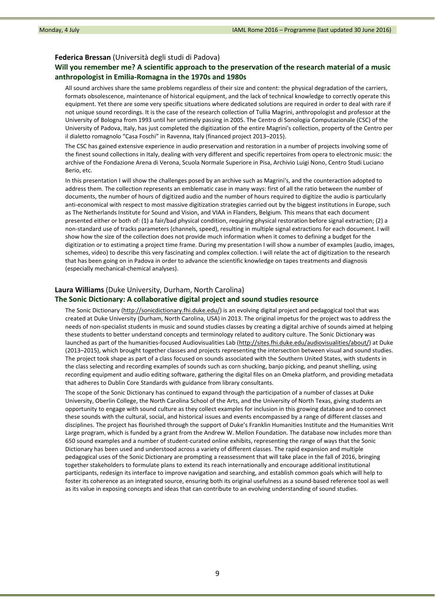## **Federica Bressan** (Università degli studi di Padova)

# **Will you remember me? A scientific approach to the preservation of the research material of a music anthropologist in Emilia‐Romagna in the 1970s and 1980s**

All sound archives share the same problems regardless of their size and content: the physical degradation of the carriers, formats obsolescence, maintenance of historical equipment, and the lack of technical knowledge to correctly operate this equipment. Yet there are some very specific situations where dedicated solutions are required in order to deal with rare if not unique sound recordings. It is the case of the research collection of Tullia Magrini, anthropologist and professor at the University of Bologna from 1993 until her untimely passing in 2005. The Centro di Sonologia Computazionale (CSC) of the University of Padova, Italy, has just completed the digitization of the entire Magrini's collection, property of the Centro per il dialetto romagnolo "Casa Foschi" in Ravenna, Italy (financed project 2013–2015).

The CSC has gained extensive experience in audio preservation and restoration in a number of projects involving some of the finest sound collections in Italy, dealing with very different and specific repertoires from opera to electronic music: the archive of the Fondazione Arena di Verona, Scuola Normale Superiore in Pisa, Archivio Luigi Nono, Centro Studi Luciano Berio, etc.

In this presentation I will show the challenges posed by an archive such as Magrini's, and the counteraction adopted to address them. The collection represents an emblematic case in many ways: first of all the ratio between the number of documents, the number of hours of digitized audio and the number of hours required to digitize the audio is particularly anti‐economical with respect to most massive digitization strategies carried out by the biggest institutions in Europe, such as The Netherlands Institute for Sound and Vision, and VIAA in Flanders, Belgium. This means that each document presented either or both of: (1) a fair/bad physical condition, requiring physical restoration before signal extraction; (2) a non‐standard use of tracks parameters (channels, speed), resulting in multiple signal extractions for each document. I will show how the size of the collection does not provide much information when it comes to defining a budget for the digitization or to estimating a project time frame. During my presentation I will show a number of examples (audio, images, schemes, video) to describe this very fascinating and complex collection. I will relate the act of digitization to the research that has been going on in Padova in order to advance the scientific knowledge on tapes treatments and diagnosis (especially mechanical‐chemical analyses).

# **Laura Williams** (Duke University, Durham, North Carolina)

# **The Sonic Dictionary: A collaborative digital project and sound studies resource**

The Sonic Dictionary (http://sonicdictionary.fhi.duke.edu/) is an evolving digital project and pedagogical tool that was created at Duke University (Durham, North Carolina, USA) in 2013. The original impetus for the project was to address the needs of non‐specialist students in music and sound studies classes by creating a digital archive of sounds aimed at helping these students to better understand concepts and terminology related to auditory culture. The Sonic Dictionary was launched as part of the humanities-focused Audiovisualities Lab (http://sites.fhi.duke.edu/audiovisualities/about/) at Duke (2013–2015), which brought together classes and projects representing the intersection between visual and sound studies. The project took shape as part of a class focused on sounds associated with the Southern United States, with students in the class selecting and recording examples of sounds such as corn shucking, banjo picking, and peanut shelling, using recording equipment and audio editing software, gathering the digital files on an Omeka platform, and providing metadata that adheres to Dublin Core Standards with guidance from library consultants.

The scope of the Sonic Dictionary has continued to expand through the participation of a number of classes at Duke University, Oberlin College, the North Carolina School of the Arts, and the University of North Texas, giving students an opportunity to engage with sound culture as they collect examples for inclusion in this growing database and to connect these sounds with the cultural, social, and historical issues and events encompassed by a range of different classes and disciplines. The project has flourished through the support of Duke's Franklin Humanities Institute and the Humanities Writ Large program, which is funded by a grant from the Andrew W. Mellon Foundation. The database now includes more than 650 sound examples and a number of student‐curated online exhibits, representing the range of ways that the Sonic Dictionary has been used and understood across a variety of different classes. The rapid expansion and multiple pedagogical uses of the Sonic Dictionary are prompting a reassessment that will take place in the fall of 2016, bringing together stakeholders to formulate plans to extend its reach internationally and encourage additional institutional participants, redesign its interface to improve navigation and searching, and establish common goals which will help to foster its coherence as an integrated source, ensuring both its original usefulness as a sound-based reference tool as well as its value in exposing concepts and ideas that can contribute to an evolving understanding of sound studies.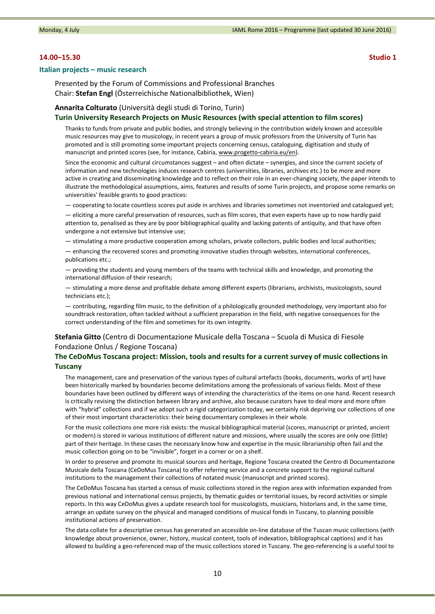### **14.00–15.30 Studio 1**

#### **Italian projects – music research**

Presented by the Forum of Commissions and Professional Branches Chair: **Stefan Engl** (Österreichische Nationalbibliothek, Wien)

## **Annarita Colturato** (Università degli studi di Torino, Turin)

#### **Turin University Research Projects on Music Resources (with special attention to film scores)**

Thanks to funds from private and public bodies, and strongly believing in the contribution widely known and accessible music resources may give to musicology, in recent years a group of music professors from the University of Turin has promoted and is still promoting some important projects concerning census, cataloguing, digitisation and study of manuscript and printed scores (see, for instance, Cabiria, www.progetto-cabiria.eu/en).

Since the economic and cultural circumstances suggest – and often dictate – synergies, and since the current society of information and new technologies induces research centres (universities, libraries, archives etc.) to be more and more active in creating and disseminating knowledge and to reflect on their role in an ever-changing society, the paper intends to illustrate the methodological assumptions, aims, features and results of some Turin projects, and propose some remarks on universities' feasible grants to good practices:

— cooperating to locate countless scores put aside in archives and libraries sometimes not inventoried and catalogued yet;

— eliciting a more careful preservation of resources, such as film scores, that even experts have up to now hardly paid attention to, penalised as they are by poor bibliographical quality and lacking patents of antiquity, and that have often undergone a not extensive but intensive use;

— stimulating a more productive cooperation among scholars, private collectors, public bodies and local authorities;

— enhancing the recovered scores and promoting innovative studies through websites, international conferences, publications etc.;

— providing the students and young members of the teams with technical skills and knowledge, and promoting the international diffusion of their research;

— stimulating a more dense and profitable debate among different experts (librarians, archivists, musicologists, sound technicians etc.);

— contributing, regarding film music, to the definition of a philologically grounded methodology, very important also for soundtrack restoration, often tackled without a sufficient preparation in the field, with negative consequences for the correct understanding of the film and sometimes for its own integrity.

## **Stefania Gitto** (Centro di Documentazione Musicale della Toscana – Scuola di Musica di Fiesole Fondazione Onlus / Regione Toscana)

# **The CeDoMus Toscana project: Mission, tools and results for a current survey of music collections in Tuscany**

The management, care and preservation of the various types of cultural artefacts (books, documents, works of art) have been historically marked by boundaries become delimitations among the professionals of various fields. Most of these boundaries have been outlined by different ways of intending the characteristics of the items on one hand. Recent research is critically revising the distinction between library and archive, also because curators have to deal more and more often with "hybrid" collections and if we adopt such a rigid categorization today, we certainly risk depriving our collections of one of their most important characteristics: their being documentary complexes in their whole.

For the music collections one more risk exists: the musical bibliographical material (scores, manuscript or printed, ancient or modern) is stored in various institutions of different nature and missions, where usually the scores are only one (little) part of their heritage. In these cases the necessary know how and expertise in the music librarianship often fail and the music collection going on to be "invisible", forget in a corner or on a shelf.

In order to preserve and promote its musical sources and heritage, Regione Toscana created the Centro di Documentazione Musicale della Toscana (CeDoMus Toscana) to offer referring service and a concrete support to the regional cultural institutions to the management their collections of notated music (manuscript and printed scores).

The CeDoMus Toscana has started a census of music collections stored in the region area with information expanded from previous national and international census projects, by thematic guides or territorial issues, by record activities or simple reports. In this way CeDoMus gives a update research tool for musicologists, musicians, historians and, in the same time, arrange an update survey on the physical and managed conditions of musical fonds in Tuscany, to planning possible institutional actions of preservation.

The data collate for a descriptive census has generated an accessible on-line database of the Tuscan music collections (with knowledge about provenience, owner, history, musical content, tools of indexation, bibliographical captions) and it has allowed to building a geo-referenced map of the music collections stored in Tuscany. The geo-referencing is a useful tool to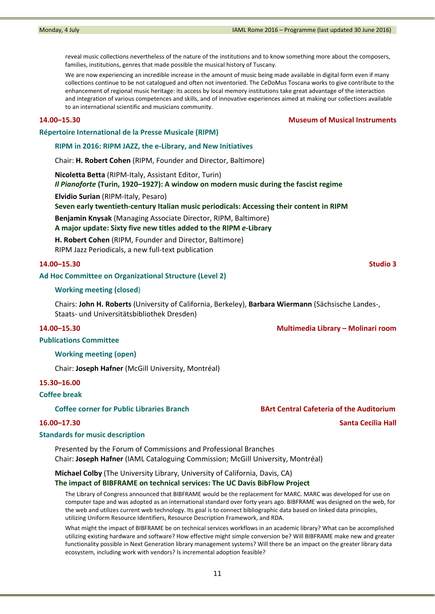reveal music collections nevertheless of the nature of the institutions and to know something more about the composers, families, institutions, genres that made possible the musical history of Tuscany.

We are now experiencing an incredible increase in the amount of music being made available in digital form even if many collections continue to be not catalogued and often not inventoried. The CeDoMus Toscana works to give contribute to the enhancement of regional music heritage: its access by local memory institutions take great advantage of the interaction and integration of various competences and skills, and of innovative experiences aimed at making our collections available to an international scientific and musicians community.

**14.00–15.30 Museum of Musical Instruments**

## **Répertoire International de la Presse Musicale (RIPM)**

**RIPM in 2016: RIPM JAZZ, the e‐Library, and New Initiatives**

Chair: **H. Robert Cohen** (RIPM, Founder and Director, Baltimore)

**Nicoletta Betta** (RIPM‐Italy, Assistant Editor, Turin)

*Il Pianoforte* **(Turin, 1920–1927): A window on modern music during the fascist regime**

**Elvidio Surian** (RIPM‐Italy, Pesaro)

### **Seven early twentieth‐century Italian music periodicals: Accessing their content in RIPM**

**Benjamin Knysak** (Managing Associate Director, RIPM, Baltimore)

**A major update: Sixty five new titles added to the RIPM** *e‐***Library**

**H. Robert Cohen** (RIPM, Founder and Director, Baltimore) RIPM Jazz Periodicals, a new full‐text publication

### **14.00–15.30 Studio 3**

### **Ad Hoc Committee on Organizational Structure (Level 2)**

#### **Working meeting (closed**)

Chairs: **John H. Roberts** (University of California, Berkeley), **Barbara Wiermann** (Sächsische Landes‐, Staats‐ und Universitätsbibliothek Dresden)

### **14.00–15.30 Multimedia Library – Molinari room**

### **Publications Committee**

**Working meeting (open)**

Chair: **Joseph Hafner** (McGill University, Montréal)

#### **15.30–16.00**

#### **Coffee break**

**Coffee corner for Public Libraries Branch BArt Central Cafeteria of the Auditorium** 

## **Standards for music description**

Presented by the Forum of Commissions and Professional Branches Chair: **Joseph Hafner** (IAML Cataloguing Commission; McGill University, Montréal)

**Michael Colby** (The University Library, University of California, Davis, CA)

# **The impact of BIBFRAME on technical services: The UC Davis BibFlow Project**

The Library of Congress announced that BIBFRAME would be the replacement for MARC. MARC was developed for use on computer tape and was adopted as an international standard over forty years ago. BIBFRAME was designed on the web, for the web and utilizes current web technology. Its goal is to connect bibliographic data based on linked data principles, utilizing Uniform Resource Identifiers, Resource Description Framework, and RDA.

What might the impact of BIBFRAME be on technical services workflows in an academic library? What can be accomplished utilizing existing hardware and software? How effective might simple conversion be? Will BIBFRAME make new and greater functionality possible in Next Generation library management systems? Will there be an impact on the greater library data ecosystem, including work with vendors? Is incremental adoption feasible?

**16.00–17.30 Santa Cecilia Hall**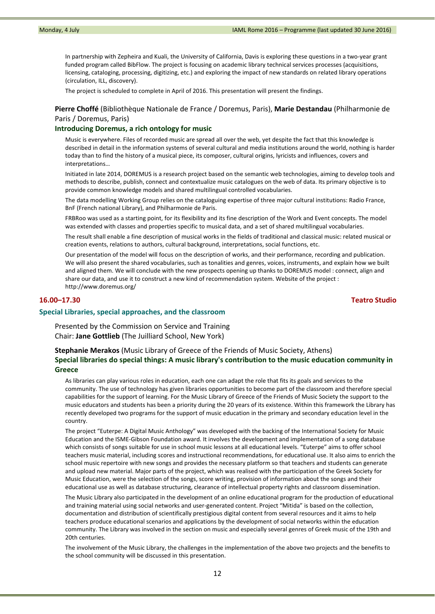In partnership with Zepheira and Kuali, the University of California, Davis is exploring these questions in a two‐year grant funded program called BibFlow. The project is focusing on academic library technical services processes (acquisitions, licensing, cataloging, processing, digitizing, etc.) and exploring the impact of new standards on related library operations (circulation, ILL, discovery).

The project is scheduled to complete in April of 2016. This presentation will present the findings.

# **Pierre Choffé** (Bibliothèque Nationale de France / Doremus, Paris), **Marie Destandau** (Philharmonie de Paris / Doremus, Paris)

#### **Introducing Doremus, a rich ontology for music**

Music is everywhere. Files of recorded music are spread all over the web, yet despite the fact that this knowledge is described in detail in the information systems of several cultural and media institutions around the world, nothing is harder today than to find the history of a musical piece, its composer, cultural origins, lyricists and influences, covers and interpretations…

Initiated in late 2014, DOREMUS is a research project based on the semantic web technologies, aiming to develop tools and methods to describe, publish, connect and contextualize music catalogues on the web of data. Its primary objective is to provide common knowledge models and shared multilingual controlled vocabularies.

The data modelling Working Group relies on the cataloguing expertise of three major cultural institutions: Radio France, BnF (French national Library), and Philharmonie de Paris.

FRBRoo was used as a starting point, for its flexibility and its fine description of the Work and Event concepts. The model was extended with classes and properties specific to musical data, and a set of shared multilingual vocabularies.

The result shall enable a fine description of musical works in the fields of traditional and classical music: related musical or creation events, relations to authors, cultural background, interpretations, social functions, etc.

Our presentation of the model will focus on the description of works, and their performance, recording and publication. We will also present the shared vocabularies, such as tonalities and genres, voices, instruments, and explain how we built and aligned them. We will conclude with the new prospects opening up thanks to DOREMUS model : connect, align and share our data, and use it to construct a new kind of recommendation system. Website of the project : http://www.doremus.org/

### **16.00–17.30 Teatro Studio**

#### **Special Libraries, special approaches, and the classroom**

Presented by the Commission on Service and Training Chair: **Jane Gottlieb** (The Juilliard School, New York)

# **Stephanie Merakos** (Music Library of Greece of the Friends of Music Society, Athens) **Special libraries do special things: A music library's contribution to the music education community in Greece**

As libraries can play various roles in education, each one can adapt the role that fits its goals and services to the community. The use of technology has given libraries opportunities to become part of the classroom and therefore special capabilities for the support of learning. For the Music Library of Greece of the Friends of Music Society the support to the music educators and students has been a priority during the 20 years of its existence. Within this framework the Library has recently developed two programs for the support of music education in the primary and secondary education level in the country.

The project "Euterpe: A Digital Music Anthology" was developed with the backing of the International Society for Music Education and the ISME‐Gibson Foundation award. It involves the development and implementation of a song database which consists of songs suitable for use in school music lessons at all educational levels. "Euterpe" aims to offer school teachers music material, including scores and instructional recommendations, for educational use. It also aims to enrich the school music repertoire with new songs and provides the necessary platform so that teachers and students can generate and upload new material. Major parts of the project, which was realised with the participation of the Greek Society for Music Education, were the selection of the songs, score writing, provision of information about the songs and their educational use as well as database structuring, clearance of intellectual property rights and classroom dissemination.

The Music Library also participated in the development of an online educational program for the production of educational and training material using social networks and user-generated content. Project "Mitida" is based on the collection, documentation and distribution of scientifically prestigious digital content from several resources and it aims to help teachers produce educational scenarios and applications by the development of social networks within the education community. The Library was involved in the section on music and especially several genres of Greek music of the 19th and 20th centuries.

The involvement of the Music Library, the challenges in the implementation of the above two projects and the benefits to the school community will be discussed in this presentation.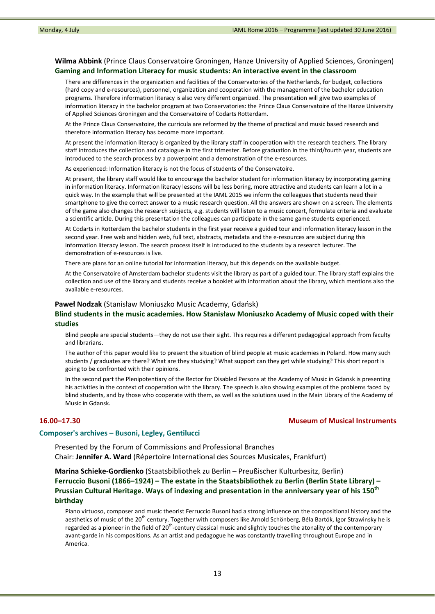## **Wilma Abbink** (Prince Claus Conservatoire Groningen, Hanze University of Applied Sciences, Groningen) **Gaming and Information Literacy for music students: An interactive event in the classroom**

There are differences in the organization and facilities of the Conservatories of the Netherlands, for budget, collections (hard copy and e‐resources), personnel, organization and cooperation with the management of the bachelor education programs. Therefore information literacy is also very different organized. The presentation will give two examples of information literacy in the bachelor program at two Conservatories: the Prince Claus Conservatoire of the Hanze University of Applied Sciences Groningen and the Conservatoire of Codarts Rotterdam.

At the Prince Claus Conservatoire, the curricula are reformed by the theme of practical and music based research and therefore information literacy has become more important.

At present the information literacy is organized by the library staff in cooperation with the research teachers. The library staff introduces the collection and catalogue in the first trimester. Before graduation in the third/fourth year, students are introduced to the search process by a powerpoint and a demonstration of the e-resources.

As experienced: Information literacy is not the focus of students of the Conservatoire.

At present, the library staff would like to encourage the bachelor student for information literacy by incorporating gaming in information literacy. Information literacy lessons will be less boring, more attractive and students can learn a lot in a quick way. In the example that will be presented at the IAML 2015 we inform the colleagues that students need their smartphone to give the correct answer to a music research question. All the answers are shown on a screen. The elements of the game also changes the research subjects, e.g. students will listen to a music concert, formulate criteria and evaluate a scientific article. During this presentation the colleagues can participate in the same game students experienced.

At Codarts in Rotterdam the bachelor students in the first year receive a guided tour and information literacy lesson in the second year. Free web and hidden web, full text, abstracts, metadata and the e-resources are subject during this information literacy lesson. The search process itself is introduced to the students by a research lecturer. The demonstration of e‐resources is live.

There are plans for an online tutorial for information literacy, but this depends on the available budget.

At the Conservatoire of Amsterdam bachelor students visit the library as part of a guided tour. The library staff explains the collection and use of the library and students receive a booklet with information about the library, which mentions also the available e‐resources.

#### **Paweł Nodzak** (Stanisław Moniuszko Music Academy, Gdańsk)

## **Blind students in the music academies. How Stanisław Moniuszko Academy of Music coped with their studies**

Blind people are special students—they do not use their sight. This requires a different pedagogical approach from faculty and librarians.

The author of this paper would like to present the situation of blind people at music academies in Poland. How many such students / graduates are there? What are they studying? What support can they get while studying? This short report is going to be confronted with their opinions.

In the second part the Plenipotentiary of the Rector for Disabled Persons at the Academy of Music in Gdansk is presenting his activities in the context of cooperation with the library. The speech is also showing examples of the problems faced by blind students, and by those who cooperate with them, as well as the solutions used in the Main Library of the Academy of Music in Gdansk.

### **16.00–17.30 Museum of Musical Instruments**

#### **Composer's archives – Busoni, Legley, Gentilucci**

Presented by the Forum of Commissions and Professional Branches Chair: **Jennifer A. Ward** (Répertoire International des Sources Musicales, Frankfurt)

**Marina Schieke‐Gordienko** (Staatsbibliothek zu Berlin – Preußischer Kulturbesitz, Berlin) **Ferruccio Busoni (1866–1924) – The estate in the Staatsbibliothek zu Berlin (Berlin State Library) – Prussian Cultural Heritage. Ways of indexing and presentation in the anniversary year of his 150th birthday**

Piano virtuoso, composer and music theorist Ferruccio Busoni had a strong influence on the compositional history and the aesthetics of music of the 20<sup>th</sup> century. Together with composers like Arnold Schönberg, Béla Bartók, Igor Strawinsky he is regarded as a pioneer in the field of 20<sup>th</sup>-century classical music and slightly touches the atonality of the contemporary avant-garde in his compositions. As an artist and pedagogue he was constantly travelling throughout Europe and in America.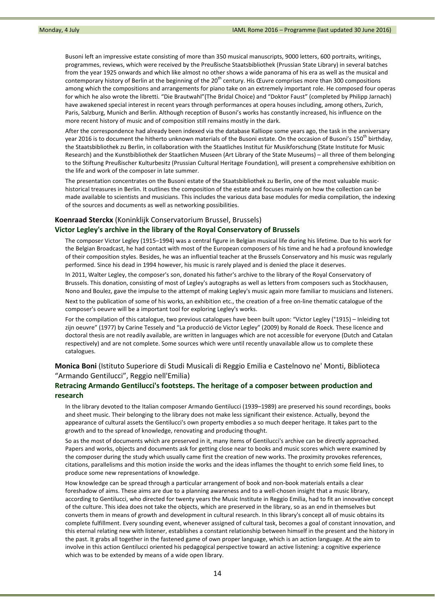Busoni left an impressive estate consisting of more than 350 musical manuscripts, 9000 letters, 600 portraits, writings, programmes, reviews, which were received by the Preußische Staatsbibliothek (Prussian State Library) in several batches from the year 1925 onwards and which like almost no other shows a wide panorama of his era as well as the musical and contemporary history of Berlin at the beginning of the 20<sup>th</sup> century. His Œuvre comprises more than 300 compositions among which the compositions and arrangements for piano take on an extremely important role. He composed four operas for which he also wrote the libretti. "Die Brautwahl"(The Bridal Choice) and "Doktor Faust" (completed by Philipp Jarnach) have awakened special interest in recent years through performances at opera houses including, among others, Zurich, Paris, Salzburg, Munich and Berlin. Although reception of Busoni's works has constantly increased, his influence on the more recent history of music and of composition still remains mostly in the dark.

After the correspondence had already been indexed via the database Kalliope some years ago, the task in the anniversary year 2016 is to document the hitherto unknown materials of the Busoni estate. On the occasion of Busoni's 150<sup>th</sup> birthday, the Staatsbibliothek zu Berlin, in collaboration with the Staatliches Institut für Musikforschung (State Institute for Music Research) and the Kunstbibliothek der Staatlichen Museen (Art Library of the State Museums) – all three of them belonging to the Stiftung Preußischer Kulturbesitz (Prussian Cultural Heritage Foundation), will present a comprehensive exhibition on the life and work of the composer in late summer.

The presentation concentrates on the Busoni estate of the Staatsbibliothek zu Berlin, one of the most valuable musichistorical treasures in Berlin. It outlines the composition of the estate and focuses mainly on how the collection can be made available to scientists and musicians. This includes the various data base modules for media compilation, the indexing of the sources and documents as well as networking possibilities.

#### **Koenraad Sterckx** (Koninklijk Conservatorium Brussel, Brussels)

## **Victor Legley's archive in the library of the Royal Conservatory of Brussels**

The composer Victor Legley (1915–1994) was a central figure in Belgian musical life during his lifetime. Due to his work for the Belgian Broadcast, he had contact with most of the European composers of his time and he had a profound knowledge of their composition styles. Besides, he was an influential teacher at the Brussels Conservatory and his music was regularly performed. Since his dead in 1994 however, his music is rarely played and is denied the place it deserves.

In 2011, Walter Legley, the composer's son, donated his father's archive to the library of the Royal Conservatory of Brussels. This donation, consisting of most of Legley's autographs as well as letters from composers such as Stockhausen, Nono and Boulez, gave the impulse to the attempt of making Legley's music again more familiar to musicians and listeners.

Next to the publication of some of his works, an exhibition etc., the creation of a free on‐line thematic catalogue of the composer's oeuvre will be a important tool for exploring Legley's works.

For the compilation of this catalogue, two previous catalogues have been built upon: "Victor Legley (°1915) – Inleiding tot zijn oeuvre" (1977) by Carine Tessely and "La producció de Victor Legley" (2009) by Ronald de Roeck. These licence and doctoral thesis are not readily available, are written in languages which are not accessible for everyone (Dutch and Catalan respectively) and are not complete. Some sources which were until recently unavailable allow us to complete these catalogues.

# **Monica Boni** (Istituto Superiore di Studi Musicali di Reggio Emilia e Castelnovo ne' Monti, Biblioteca "Armando Gentilucci", Reggio nell'Emilia)

# **Retracing Armando Gentilucci's footsteps. The heritage of a composer between production and research**

In the library devoted to the Italian composer Armando Gentilucci (1939–1989) are preserved his sound recordings, books and sheet music. Their belonging to the library does not make less significant their existence. Actually, beyond the appearance of cultural assets the Gentilucci's own property embodies a so much deeper heritage. It takes part to the growth and to the spread of knowledge, renovating and producing thought.

So as the most of documents which are preserved in it, many items of Gentilucci's archive can be directly approached. Papers and works, objects and documents ask for getting close near to books and music scores which were examined by the composer during the study which usually came first the creation of new works. The proximity provokes references, citations, parallelisms and this motion inside the works and the ideas inflames the thought to enrich some field lines, to produce some new representations of knowledge.

How knowledge can be spread through a particular arrangement of book and non‐book materials entails a clear foreshadow of aims. These aims are due to a planning awareness and to a well‐chosen insight that a music library, according to Gentilucci, who directed for twenty years the Music Institute in Reggio Emilia, had to fit an innovative concept of the culture. This idea does not take the objects, which are preserved in the library, so as an end in themselves but converts them in means of growth and development in cultural research. In this library's concept all of music obtains its complete fulfillment. Every sounding event, whenever assigned of cultural task, becomes a goal of constant innovation, and this eternal relating new with listener, establishes a constant relationship between himself in the present and the history in the past. It grabs all together in the fastened game of own proper language, which is an action language. At the aim to involve in this action Gentilucci oriented his pedagogical perspective toward an active listening: a cognitive experience which was to be extended by means of a wide open library.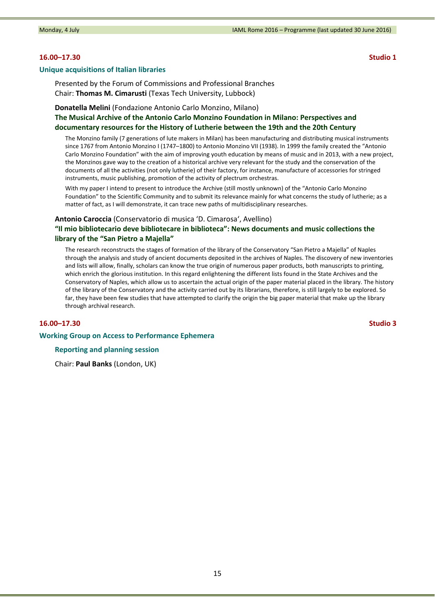## **16.00–17.30 Studio 1**

#### **Unique acquisitions of Italian libraries**

Presented by the Forum of Commissions and Professional Branches Chair: **Thomas M. Cimarusti** (Texas Tech University, Lubbock)

# **Donatella Melini** (Fondazione Antonio Carlo Monzino, Milano) **The Musical Archive of the Antonio Carlo Monzino Foundation in Milano: Perspectives and documentary resources for the History of Lutherie between the 19th and the 20th Century**

The Monzino family (7 generations of lute makers in Milan) has been manufacturing and distributing musical instruments since 1767 from Antonio Monzino I (1747–1800) to Antonio Monzino VII (1938). In 1999 the family created the "Antonio Carlo Monzino Foundation" with the aim of improving youth education by means of music and in 2013, with a new project, the Monzinos gave way to the creation of a historical archive very relevant for the study and the conservation of the documents of all the activities (not only lutherie) of their factory, for instance, manufacture of accessories for stringed instruments, music publishing, promotion of the activity of plectrum orchestras.

With my paper I intend to present to introduce the Archive (still mostly unknown) of the "Antonio Carlo Monzino Foundation" to the Scientific Community and to submit its relevance mainly for what concerns the study of lutherie; as a matter of fact, as I will demonstrate, it can trace new paths of multidisciplinary researches.

### **Antonio Caroccia** (Conservatorio di musica 'D. Cimarosa', Avellino)

# **"Il mio bibliotecario deve bibliotecare in biblioteca": News documents and music collections the library of the "San Pietro a Majella"**

The research reconstructs the stages of formation of the library of the Conservatory "San Pietro a Majella" of Naples through the analysis and study of ancient documents deposited in the archives of Naples. The discovery of new inventories and lists will allow, finally, scholars can know the true origin of numerous paper products, both manuscripts to printing, which enrich the glorious institution. In this regard enlightening the different lists found in the State Archives and the Conservatory of Naples, which allow us to ascertain the actual origin of the paper material placed in the library. The history of the library of the Conservatory and the activity carried out by its librarians, therefore, is still largely to be explored. So far, they have been few studies that have attempted to clarify the origin the big paper material that make up the library through archival research.

### **16.00–17.30 Studio 3**

#### **Working Group on Access to Performance Ephemera**

## **Reporting and planning session**

Chair: **Paul Banks** (London, UK)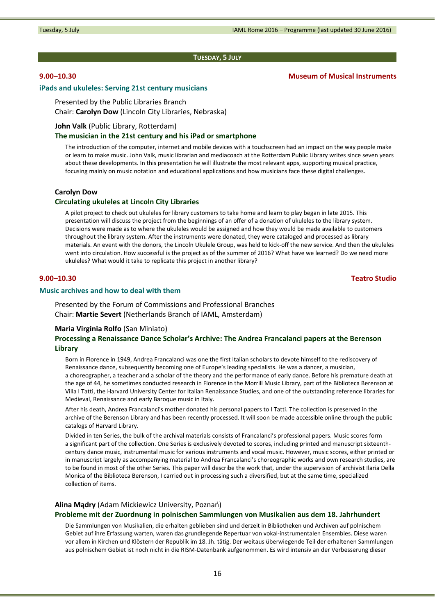#### **TUESDAY, 5 JULY**

# **9.00–10.30 Museum of Musical Instruments**

# **iPads and ukuleles: Serving 21st century musicians**

Presented by the Public Libraries Branch Chair: **Carolyn Dow** (Lincoln City Libraries, Nebraska)

#### **John Valk** (Public Library, Rotterdam)

## **The musician in the 21st century and his iPad or smartphone**

The introduction of the computer, internet and mobile devices with a touchscreen had an impact on the way people make or learn to make music. John Valk, music librarian and mediacoach at the Rotterdam Public Library writes since seven years about these developments. In this presentation he will illustrate the most relevant apps, supporting musical practice, focusing mainly on music notation and educational applications and how musicians face these digital challenges.

#### **Carolyn Dow**

#### **Circulating ukuleles at Lincoln City Libraries**

A pilot project to check out ukuleles for library customers to take home and learn to play began in late 2015. This presentation will discuss the project from the beginnings of an offer of a donation of ukuleles to the library system. Decisions were made as to where the ukuleles would be assigned and how they would be made available to customers throughout the library system. After the instruments were donated, they were cataloged and processed as library materials. An event with the donors, the Lincoln Ukulele Group, was held to kick‐off the new service. And then the ukuleles went into circulation. How successful is the project as of the summer of 2016? What have we learned? Do we need more ukuleles? What would it take to replicate this project in another library?

### **9.00–10.30 Teatro Studio**

## **Music archives and how to deal with them**

Presented by the Forum of Commissions and Professional Branches Chair: **Martie Severt** (Netherlands Branch of IAML, Amsterdam)

#### **Maria Virginia Rolfo** (San Miniato)

# **Processing a Renaissance Dance Scholar's Archive: The Andrea Francalanci papers at the Berenson Library**

Born in Florence in 1949, Andrea Francalanci was one the first Italian scholars to devote himself to the rediscovery of Renaissance dance, subsequently becoming one of Europe's leading specialists. He was a dancer, a musician, a choreographer, a teacher and a scholar of the theory and the performance of early dance. Before his premature death at the age of 44, he sometimes conducted research in Florence in the Morrill Music Library, part of the Biblioteca Berenson at Villa I Tatti, the Harvard University Center for Italian Renaissance Studies, and one of the outstanding reference libraries for Medieval, Renaissance and early Baroque music in Italy.

After his death, Andrea Francalanci's mother donated his personal papers to I Tatti. The collection is preserved in the archive of the Berenson Library and has been recently processed. It will soon be made accessible online through the public catalogs of Harvard Library.

Divided in ten Series, the bulk of the archival materials consists of Francalanci's professional papers. Music scores form a significant part of the collection. One Series is exclusively devoted to scores, including printed and manuscript sixteenth‐ century dance music, instrumental music for various instruments and vocal music. However, music scores, either printed or in manuscript largely as accompanying material to Andrea Francalanci's choreographic works and own research studies, are to be found in most of the other Series. This paper will describe the work that, under the supervision of archivist Ilaria Della Monica of the Biblioteca Berenson, I carried out in processing such a diversified, but at the same time, specialized collection of items.

#### **Alina Mądry** (Adam Mickiewicz University, Poznań)

## **Probleme mit der Zuordnung in polnischen Sammlungen von Musikalien aus dem 18. Jahrhundert**

Die Sammlungen von Musikalien, die erhalten geblieben sind und derzeit in Bibliotheken und Archiven auf polnischem Gebiet auf ihre Erfassung warten, waren das grundlegende Repertuar von vokal‐instrumentalen Ensembles. Diese waren vor allem in Kirchen und Klöstern der Republik im 18. Jh. tätig. Der weitaus überwiegende Teil der erhaltenen Sammlungen aus polnischem Gebiet ist noch nicht in die RISM‐Datenbank aufgenommen. Es wird intensiv an der Verbesserung dieser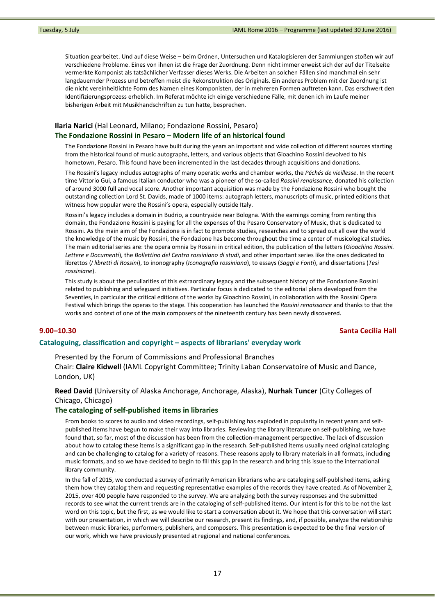Situation gearbeitet. Und auf diese Weise – beim Ordnen, Untersuchen und Katalogisieren der Sammlungen stoßen wir auf verschiedene Probleme. Eines von ihnen ist die Frage der Zuordnung. Denn nicht immer erweist sich der auf der Titelseite vermerkte Komponist als tatsächlicher Verfasser dieses Werks. Die Arbeiten an solchen Fällen sind manchmal ein sehr langdauernder Prozess und betreffen meist die Rekonstruktion des Originals. Ein anderes Problem mit der Zuordnung ist die nicht vereinheitlichte Form des Namen eines Komponisten, der in mehreren Formen auftreten kann. Das erschwert den Identifizierungsprozess erheblich. Im Referat möchte ich einige verschiedene Fälle, mit denen ich im Laufe meiner bisherigen Arbeit mit Musikhandschriften zu tun hatte, besprechen.

# **Ilaria Narici** (Hal Leonard, Milano; Fondazione Rossini, Pesaro) **The Fondazione Rossini in Pesaro – Modern life of an historical found**

The Fondazione Rossini in Pesaro have built during the years an important and wide collection of different sources starting from the historical found of music autographs, letters, and various objects that Gioachino Rossini devolved to his hometown, Pesaro. This found have been incremented in the last decades through acquisitions and donations.

The Rossini's legacy includes autographs of many operatic works and chamber works, the *Péchés de vieillesse*. In the recent time Vittorio Gui, a famous Italian conductor who was a pioneer of the so‐called *Rossini renaissance,* donated his collection of around 3000 full and vocal score. Another important acquisition was made by the Fondazione Rossini who bought the outstanding collection Lord St. Davids, made of 1000 items: autograph letters, manuscripts of music, printed editions that witness how popular were the Rossini's opera, especially outside Italy.

Rossini's legacy includes a domain in Budrio, a countryside near Bologna. With the earnings coming from renting this domain, the Fondazione Rossini is paying for all the expenses of the Pesaro Conservatory of Music, that is dedicated to Rossini. As the main aim of the Fondazione is in fact to promote studies, researches and to spread out all over the world the knowledge of the music by Rossini, the Fondazione has become throughout the time a center of musicological studies. The main editorial series are: the opera omnia by Rossini in critical edition, the publication of the letters (*Gioachino Rossini. Lettere e Documenti*), the *Bollettino del Centro rossiniano di studi*, and other important series like the ones dedicated to librettos (*I libretti di Rossini*), to inonography (*Iconografia rossiniana*), to essays (*Saggi e Fonti*), and dissertations (*Tesi rossiniane*).

This study is about the peculiarities of this extraordinary legacy and the subsequent history of the Fondazione Rossini related to publishing and safeguard initiatives. Particular focus is dedicated to the editorial plans developed from the Seventies, in particular the critical editions of the works by Gioachino Rossini, in collaboration with the Rossini Opera Festival which brings the operas to the stage. This cooperation has launched the *Rossini renaissance* and thanks to that the works and context of one of the main composers of the nineteenth century has been newly discovered.

## **9.00–10.30 Santa Cecilia Hall**

## **Cataloguing, classification and copyright – aspects of librarians' everyday work**

## Presented by the Forum of Commissions and Professional Branches

Chair: **Claire Kidwell** (IAML Copyright Committee; Trinity Laban Conservatoire of Music and Dance, London, UK)

# **Reed David** (University of Alaska Anchorage, Anchorage, Alaska), **Nurhak Tuncer** (City Colleges of Chicago, Chicago)

#### **The cataloging of self‐published items in libraries**

From books to scores to audio and video recordings, self-publishing has exploded in popularity in recent years and selfpublished items have begun to make their way into libraries. Reviewing the library literature on self‐publishing, we have found that, so far, most of the discussion has been from the collection-management perspective. The lack of discussion about how to catalog these items is a significant gap in the research. Self‐published items usually need original cataloging and can be challenging to catalog for a variety of reasons. These reasons apply to library materials in all formats, including music formats, and so we have decided to begin to fill this gap in the research and bring this issue to the international library community.

In the fall of 2015, we conducted a survey of primarily American librarians who are cataloging self‐published items, asking them how they catalog them and requesting representative examples of the records they have created. As of November 2, 2015, over 400 people have responded to the survey. We are analyzing both the survey responses and the submitted records to see what the current trends are in the cataloging of self‐published items. Our intent is for this to be not the last word on this topic, but the first, as we would like to start a conversation about it. We hope that this conversation will start with our presentation, in which we will describe our research, present its findings, and, if possible, analyze the relationship between music libraries, performers, publishers, and composers. This presentation is expected to be the final version of our work, which we have previously presented at regional and national conferences.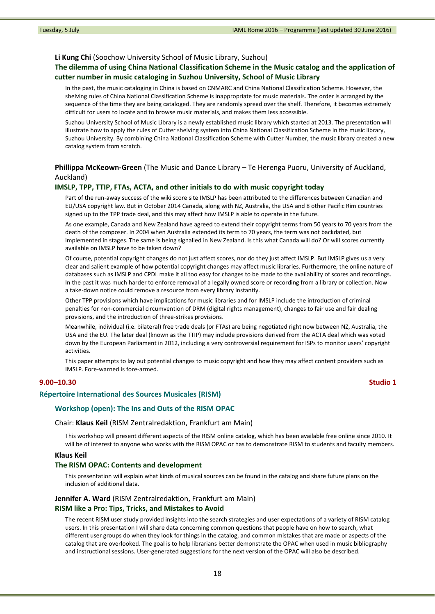#### **Li Kung Chi** (Soochow University School of Music Library, Suzhou)

# **The dilemma of using China National Classification Scheme in the Music catalog and the application of cutter number in music cataloging in Suzhou University, School of Music Library**

In the past, the music cataloging in China is based on CNMARC and China National Classification Scheme. However, the shelving rules of China National Classification Scheme is inappropriate for music materials. The order is arranged by the sequence of the time they are being cataloged. They are randomly spread over the shelf. Therefore, it becomes extremely difficult for users to locate and to browse music materials, and makes them less accessible.

Suzhou University School of Music Library is a newly established music library which started at 2013. The presentation will illustrate how to apply the rules of Cutter shelving system into China National Classification Scheme in the music library, Suzhou University. By combining China National Classification Scheme with Cutter Number, the music library created a new catalog system from scratch.

# **Phillippa McKeown‐Green** (The Music and Dance Library – Te Herenga Puoru, University of Auckland, Auckland)

#### **IMSLP, TPP, TTIP, FTAs, ACTA, and other initials to do with music copyright today**

Part of the run-away success of the wiki score site IMSLP has been attributed to the differences between Canadian and EU/USA copyright law. But in October 2014 Canada, along with NZ, Australia, the USA and 8 other Pacific Rim countries signed up to the TPP trade deal, and this may affect how IMSLP is able to operate in the future.

As one example, Canada and New Zealand have agreed to extend their copyright terms from 50 years to 70 years from the death of the composer. In 2004 when Australia extended its term to 70 years, the term was not backdated, but implemented in stages. The same is being signalled in New Zealand. Is this what Canada will do? Or will scores currently available on IMSLP have to be taken down?

Of course, potential copyright changes do not just affect scores, nor do they just affect IMSLP. But IMSLP gives us a very clear and salient example of how potential copyright changes may affect music libraries. Furthermore, the online nature of databases such as IMSLP and CPDL make it all too easy for changes to be made to the availability of scores and recordings. In the past it was much harder to enforce removal of a legally owned score or recording from a library or collection. Now a take‐down notice could remove a resource from every library instantly.

Other TPP provisions which have implications for music libraries and for IMSLP include the introduction of criminal penalties for non-commercial circumvention of DRM (digital rights management), changes to fair use and fair dealing provisions, and the introduction of three‐strikes provisions.

Meanwhile, individual (i.e. bilateral) free trade deals (or FTAs) are being negotiated right now between NZ, Australia, the USA and the EU. The later deal (known as the TTIP) may include provisions derived from the ACTA deal which was voted down by the European Parliament in 2012, including a very controversial requirement for ISPs to monitor users' copyright activities.

This paper attempts to lay out potential changes to music copyright and how they may affect content providers such as IMSLP. Fore‐warned is fore‐armed.

### **9.00–10.30 Studio 1**

# **Répertoire International des Sources Musicales (RISM)**

#### **Workshop (open): The Ins and Outs of the RISM OPAC**

Chair: **Klaus Keil** (RISM Zentralredaktion, Frankfurt am Main)

This workshop will present different aspects of the RISM online catalog, which has been available free online since 2010. It will be of interest to anyone who works with the RISM OPAC or has to demonstrate RISM to students and faculty members.

#### **Klaus Keil**

#### **The RISM OPAC: Contents and development**

This presentation will explain what kinds of musical sources can be found in the catalog and share future plans on the inclusion of additional data.

### **Jennifer A. Ward** (RISM Zentralredaktion, Frankfurt am Main)

#### **RISM like a Pro: Tips, Tricks, and Mistakes to Avoid**

The recent RISM user study provided insights into the search strategies and user expectations of a variety of RISM catalog users. In this presentation I will share data concerning common questions that people have on how to search, what different user groups do when they look for things in the catalog, and common mistakes that are made or aspects of the catalog that are overlooked. The goal is to help librarians better demonstrate the OPAC when used in music bibliography and instructional sessions. User‐generated suggestions for the next version of the OPAC will also be described.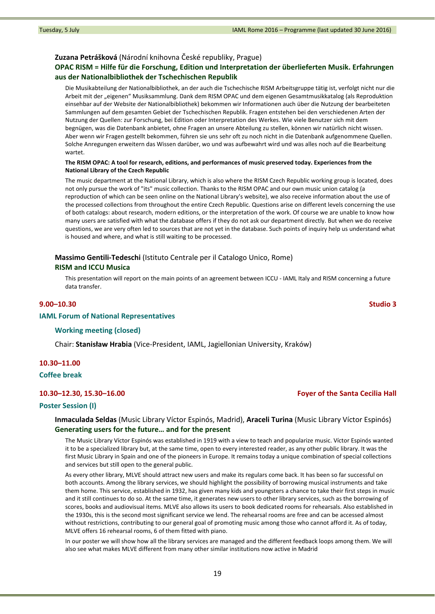## **Zuzana Petrášková** (Národní knihovna České republiky, Prague)

# **OPAC RISM = Hilfe für die Forschung, Edition und Interpretation der überlieferten Musik. Erfahrungen aus der Nationalbibliothek der Tschechischen Republik**

Die Musikabteilung der Nationalbibliothek, an der auch die Tschechische RISM Arbeitsgruppe tätig ist, verfolgt nicht nur die Arbeit mit der "eigenen" Musiksammlung. Dank dem RISM OPAC und dem eigenen Gesamtmusikkatalog (als Reproduktion einsehbar auf der Website der Nationalbibliothek) bekommen wir Informationen auch über die Nutzung der bearbeiteten Sammlungen auf dem gesamten Gebiet der Tschechischen Republik. Fragen entstehen bei den verschiedenen Arten der Nutzung der Quellen: zur Forschung, bei Edition oder Interpretation des Werkes. Wie viele Benutzer sich mit dem begnügen, was die Datenbank anbietet, ohne Fragen an unsere Abteilung zu stellen, können wir natürlich nicht wissen. Aber wenn wir Fragen gestellt bekommen, führen sie uns sehr oft zu noch nicht in die Datenbank aufgenommene Quellen. Solche Anregungen erweitern das Wissen darüber, wo und was aufbewahrt wird und was alles noch auf die Bearbeitung wartet.

### The RISM OPAC: A tool for research, editions, and performances of music preserved today. Experiences from the **National Library of the Czech Republic**

The music department at the National Library, which is also where the RISM Czech Republic working group is located, does not only pursue the work of "its" music collection. Thanks to the RISM OPAC and our own music union catalog (a reproduction of which can be seen online on the National Library's website), we also receive information about the use of the processed collections from throughout the entire Czech Republic. Questions arise on different levels concerning the use of both catalogs: about research, modern editions, or the interpretation of the work. Of course we are unable to know how many users are satisfied with what the database offers if they do not ask our department directly. But when we do receive questions, we are very often led to sources that are not yet in the database. Such points of inquiry help us understand what is housed and where, and what is still waiting to be processed.

# **Massimo Gentili‐Tedeschi** (Istituto Centrale per il Catalogo Unico, Rome) **RISM and ICCU Musica**

This presentation will report on the main points of an agreement between ICCU ‐ IAML Italy and RISM concerning a future data transfer.

### **9.00–10.30 Studio 3**

#### **IAML Forum of National Representatives**

# **Working meeting (closed)**

Chair: **Stanisław Hrabia** (Vice‐President, IAML, Jagiellonian University, Kraków)

# **10.30–11.00**

**Coffee break**

# **10.30–12.30, 15.30–16.00 Foyer of the Santa Cecilia Hall**

#### **Poster Session (I)**

**Inmaculada Seldas** (Music Library Víctor Espinós, Madrid), **Araceli Turina** (Music Library Víctor Espinós) **Generating users for the future… and for the present**

The Music Library Víctor Espinós was established in 1919 with a view to teach and popularize music. Víctor Espinós wanted it to be a specialized library but, at the same time, open to every interested reader, as any other public library. It was the first Music Library in Spain and one of the pioneers in Europe. It remains today a unique combination of special collections and services but still open to the general public.

As every other library, MLVE should attract new users and make its regulars come back. It has been so far successful on both accounts. Among the library services, we should highlight the possibility of borrowing musical instruments and take them home. This service, established in 1932, has given many kids and youngsters a chance to take their first steps in music and it still continues to do so. At the same time, it generates new users to other library services, such as the borrowing of scores, books and audiovisual items. MLVE also allows its users to book dedicated rooms for rehearsals. Also established in the 1930s, this is the second most significant service we lend. The rehearsal rooms are free and can be accessed almost without restrictions, contributing to our general goal of promoting music among those who cannot afford it. As of today, MLVE offers 16 rehearsal rooms, 6 of them fitted with piano.

In our poster we will show how all the library services are managed and the different feedback loops among them. We will also see what makes MLVE different from many other similar institutions now active in Madrid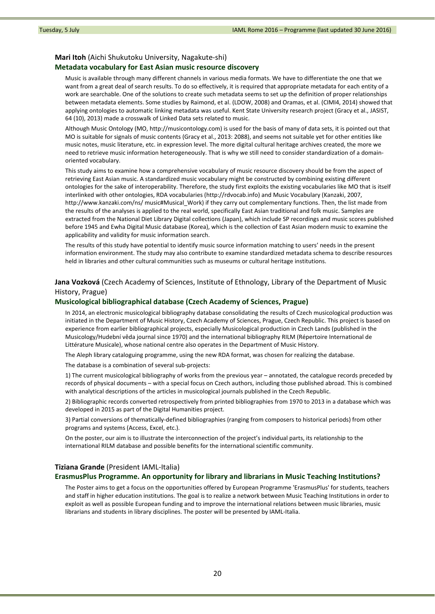#### **Mari Itoh** (Aichi Shukutoku University, Nagakute‐shi)

## **Metadata vocabulary for East Asian music resource discovery**

Music is available through many different channels in various media formats. We have to differentiate the one that we want from a great deal of search results. To do so effectively, it is required that appropriate metadata for each entity of a work are searchable. One of the solutions to create such metadata seems to set up the definition of proper relationships between metadata elements. Some studies by Raimond, et al. (LDOW, 2008) and Oramas, et al. (CIMI4, 2014) showed that applying ontologies to automatic linking metadata was useful. Kent State University research project (Gracy et al., JASIST, 64 (10), 2013) made a crosswalk of Linked Data sets related to music.

Although Music Ontology (MO, http://musicontology.com) is used for the basis of many of data sets, it is pointed out that MO is suitable for signals of music contents (Gracy et al., 2013: 2088), and seems not suitable yet for other entities like music notes, music literature, etc. in expression level. The more digital cultural heritage archives created, the more we need to retrieve music information heterogeneously. That is why we still need to consider standardization of a domain‐ oriented vocabulary.

This study aims to examine how a comprehensive vocabulary of music resource discovery should be from the aspect of retrieving East Asian music. A standardized music vocabulary might be constructed by combining existing different ontologies for the sake of interoperability. Therefore, the study first exploits the existing vocabularies like MO that is itself interlinked with other ontologies, RDA vocabularies (http://rdvocab.info) and Music Vocabulary (Kanzaki, 2007, http://www.kanzaki.com/ns/ music#Musical\_Work) if they carry out complementary functions. Then, the list made from the results of the analyses is applied to the real world, specifically East Asian traditional and folk music. Samples are extracted from the National Diet Library Digital collections (Japan), which include SP recordings and music scores published before 1945 and Ewha Digital Music database (Korea), which is the collection of East Asian modern music to examine the applicability and validity for music information search.

The results of this study have potential to identify music source information matching to users' needs in the present information environment. The study may also contribute to examine standardized metadata schema to describe resources held in libraries and other cultural communities such as museums or cultural heritage institutions.

# **Jana Vozková** (Czech Academy of Sciences, Institute of Ethnology, Library of the Department of Music History, Prague)

## **Musicological bibliographical database (Czech Academy of Sciences, Prague)**

In 2014, an electronic musicological bibliography database consolidating the results of Czech musicological production was initiated in the Department of Music History, Czech Academy of Sciences, Prague, Czech Republic. This project is based on experience from earlier bibliographical projects, especially Musicological production in Czech Lands (published in the Musicology/Hudební věda journal since 1970) and the international bibliography RILM (Répertoire International de Littérature Musicale), whose national centre also operates in the Department of Music History.

The Aleph library cataloguing programme, using the new RDA format, was chosen for realizing the database.

The database is a combination of several sub-projects:

1) The current musicological bibliography of works from the previous year – annotated, the catalogue records preceded by records of physical documents – with a special focus on Czech authors, including those published abroad. This is combined with analytical descriptions of the articles in musicological journals published in the Czech Republic.

2) Bibliographic records converted retrospectively from printed bibliographies from 1970 to 2013 in a database which was developed in 2015 as part of the Digital Humanities project.

3) Partial conversions of thematically‐defined bibliographies (ranging from composers to historical periods) from other programs and systems (Access, Excel, etc.).

On the poster, our aim is to illustrate the interconnection of the project's individual parts, its relationship to the international RILM database and possible benefits for the international scientific community.

## **Tiziana Grande** (President IAML‐Italia)

## **ErasmusPlus Programme. An opportunity for library and librarians in Music Teaching Institutions?**

The Poster aims to get a focus on the opportunities offered by European Programme 'ErasmusPlus' for students, teachers and staff in higher education institutions. The goal is to realize a network between Music Teaching Institutions in order to exploit as well as possible European funding and to improve the international relations between music libraries, music librarians and students in library disciplines. The poster will be presented by IAML‐Italia.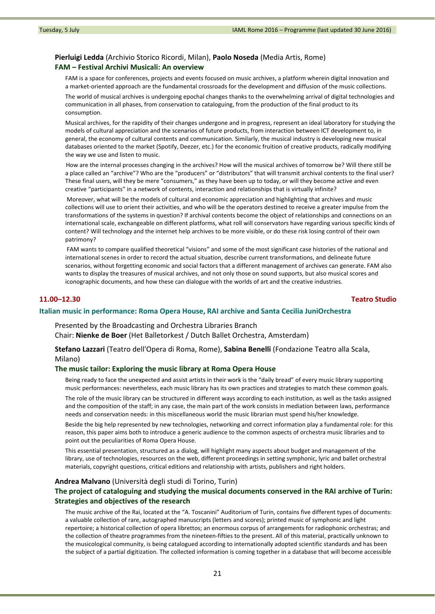# **Pierluigi Ledda** (Archivio Storico Ricordi, Milan), **Paolo Noseda** (Media Artis, Rome) **FAM – Festival Archivi Musicali: An overview**

FAM is a space for conferences, projects and events focused on music archives, a platform wherein digital innovation and a market‐oriented approach are the fundamental crossroads for the development and diffusion of the music collections.

The world of musical archives is undergoing epochal changes thanks to the overwhelming arrival of digital technologies and communication in all phases, from conservation to cataloguing, from the production of the final product to its consumption.

Musical archives, for the rapidity of their changes undergone and in progress, represent an ideal laboratory for studying the models of cultural appreciation and the scenarios of future products, from interaction between ICT development to, in general, the economy of cultural contents and communication. Similarly, the musical industry is developing new musical databases oriented to the market (Spotify, Deezer, etc.) for the economic fruition of creative products, radically modifying the way we use and listen to music.

How are the internal processes changing in the archives? How will the musical archives of tomorrow be? Will there still be a place called an "archive"? Who are the "producers" or "distributors" that will transmit archival contents to the final user? These final users, will they be mere "consumers," as they have been up to today, or will they become active and even creative "participants" in a network of contents, interaction and relationships that is virtually infinite?

Moreover, what will be the models of cultural and economic appreciation and highlighting that archives and music collections will use to orient their activities, and who will be the operators destined to receive a greater impulse from the transformations of the systems in question? If archival contents become the object of relationships and connections on an international scale, exchangeable on different platforms, what roll will conservators have regarding various specific kinds of content? Will technology and the internet help archives to be more visible, or do these risk losing control of their own patrimony?

FAM wants to compare qualified theoretical "visions" and some of the most significant case histories of the national and international scenes in order to record the actual situation, describe current transformations, and delineate future scenarios, without forgetting economic and social factors that a different management of archives can generate. FAM also wants to display the treasures of musical archives, and not only those on sound supports, but also musical scores and iconographic documents, and how these can dialogue with the worlds of art and the creative industries.

## **11.00–12.30 Teatro Studio**

#### **Italian music in performance: Roma Opera House, RAI archive and Santa Cecilia JuniOrchestra**

Presented by the Broadcasting and Orchestra Libraries Branch Chair: **Nienke de Boer** (Het Balletorkest / Dutch Ballet Orchestra, Amsterdam)

**Stefano Lazzari** (Teatro dell'Opera di Roma, Rome), **Sabina Benelli** (Fondazione Teatro alla Scala, Milano)

#### **The music tailor: Exploring the music library at Roma Opera House**

Being ready to face the unexpected and assist artists in their work is the "daily bread" of every music library supporting music performances: nevertheless, each music library has its own practices and strategies to match these common goals. The role of the music library can be structured in different ways according to each institution, as well as the tasks assigned and the composition of the staff; in any case, the main part of the work consists in mediation between laws, performance needs and conservation needs: in this miscellaneous world the music librarian must spend his/her knowledge.

Beside the big help represented by new technologies, networking and correct information play a fundamental role: for this reason, this paper aims both to introduce a generic audience to the common aspects of orchestra music libraries and to point out the peculiarities of Roma Opera House.

This essential presentation, structured as a dialog, will highlight many aspects about budget and management of the library, use of technologies, resources on the web, different proceedings in setting symphonic, lyric and ballet orchestral materials, copyright questions, critical editions and relationship with artists, publishers and right holders.

#### **Andrea Malvano** (Università degli studi di Torino, Turin)

# **The project of cataloguing and studying the musical documents conserved in the RAI archive of Turin: Strategies and objectives of the research**

The music archive of the Rai, located at the "A. Toscanini" Auditorium of Turin, contains five different types of documents: a valuable collection of rare, autographed manuscripts (letters and scores); printed music of symphonic and light repertoire; a historical collection of opera librettos; an enormous corpus of arrangements for radiophonic orchestras; and the collection of theatre programmes from the nineteen‐fifties to the present. All of this material, practically unknown to the musicological community, is being catalogued according to internationally adopted scientific standards and has been the subject of a partial digitization. The collected information is coming together in a database that will become accessible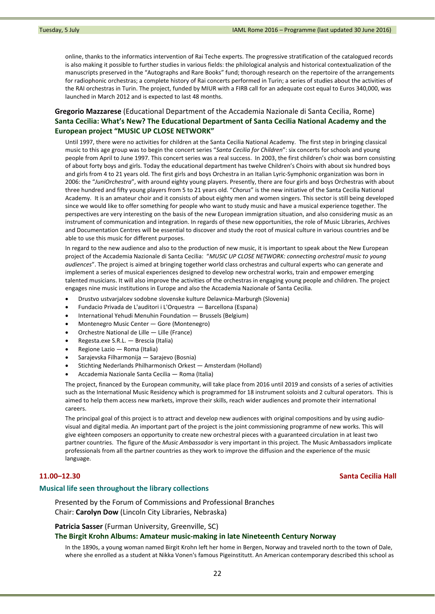online, thanks to the informatics intervention of Rai Teche experts. The progressive stratification of the catalogued records is also making it possible to further studies in various fields: the philological analysis and historical contextualization of the manuscripts preserved in the "Autographs and Rare Books" fund; thorough research on the repertoire of the arrangements for radiophonic orchestras; a complete history of Rai concerts performed in Turin; a series of studies about the activities of the RAI orchestras in Turin. The project, funded by MIUR with a FIRB call for an adequate cost equal to Euros 340,000, was launched in March 2012 and is expected to last 48 months.

# **Gregorio Mazzarese** (Educational Department of the Accademia Nazionale di Santa Cecilia, Rome) **Santa Cecilia: What's New? The Educational Department of Santa Cecilia National Academy and the European project "MUSIC UP CLOSE NETWORK"**

Until 1997, there were no activities for children at the Santa Cecilia National Academy. The first step in bringing classical music to this age group was to begin the concert series "*Santa Cecilia for Children*": six concerts for schools and young people from April to June 1997. This concert series was a real success. In 2003, the first children's choir was born consisting of about forty boys and girls. Today the educational department has twelve Children's Choirs with about six hundred boys and girls from 4 to 21 years old. The first girls and boys Orchestra in an Italian Lyric‐Symphonic organization was born in 2006: the "*JuniOrchestra*", with around eighty young players. Presently, there are four girls and boys Orchestras with about three hundred and fifty young players from 5 to 21 years old. "*Chorus*" is the new initiative of the Santa Cecilia National Academy. It is an amateur choir and it consists of about eighty men and women singers. This sector is still being developed since we would like to offer something for people who want to study music and have a musical experience together. The perspectives are very interesting on the basis of the new European immigration situation, and also considering music as an instrument of communication and integration. In regards of these new opportunities, the role of Music Libraries, Archives and Documentation Centres will be essential to discover and study the root of musical culture in various countries and be able to use this music for different purposes.

In regard to the new audience and also to the production of new music, it is important to speak about the New European project of the Accademia Nazionale di Santa Cecilia: "*MUSIC UP CLOSE NETWORK: connecting orchestral music to young audiences*". The project is aimed at bringing together world class orchestras and cultural experts who can generate and implement a series of musical experiences designed to develop new orchestral works, train and empower emerging talented musicians. It will also improve the activities of the orchestras in engaging young people and children. The project engages nine music institutions in Europe and also the Accademia Nazionale of Santa Cecilia.

- Drustvo ustvarjalcev sodobne slovenske kulture Delavnica‐Marburgh (Slovenia)
- Fundacio Privada de L'auditori i L'Orquestra Barcellona (Espana)
- International Yehudi Menuhin Foundation Brussels (Belgium)
- Montenegro Music Center Gore (Montenegro)
- Orchestre National de Lille Lille (France)
- Regesta.exe S.R.L. Brescia (Italia)
- Regione Lazio Roma (Italia)
- Sarajevska Filharmonija Sarajevo (Bosnia)
- Stichting Nederlands Philharmonisch Orkest Amsterdam (Holland)
- Accademia Nazionale Santa Cecilia Roma (Italia)

The project, financed by the European community, will take place from 2016 until 2019 and consists of a series of activities such as the International Music Residency which is programmed for 18 instrument soloists and 2 cultural operators. This is aimed to help them access new markets, improve their skills, reach wider audiences and promote their international careers.

The principal goal of this project is to attract and develop new audiences with original compositions and by using audio‐ visual and digital media. An important part of the project is the joint commissioning programme of new works. This will give eighteen composers an opportunity to create new orchestral pieces with a guaranteed circulation in at least two partner countries. The figure of the *Music Ambassador* is very important in this project. The Music Ambassadors implicate professionals from all the partner countries as they work to improve the diffusion and the experience of the music language.

## **11.00–12.30 Santa Cecilia Hall**

### **Musical life seen throughout the library collections**

Presented by the Forum of Commissions and Professional Branches Chair: **Carolyn Dow** (Lincoln City Libraries, Nebraska)

# **Patricia Sasser** (Furman University, Greenville, SC) **The Birgit Krohn Albums: Amateur music‐making in late Nineteenth Century Norway**

In the 1890s, a young woman named Birgit Krohn left her home in Bergen, Norway and traveled north to the town of Dale, where she enrolled as a student at Nikka Vonen's famous Pigeinstitutt. An American contemporary described this school as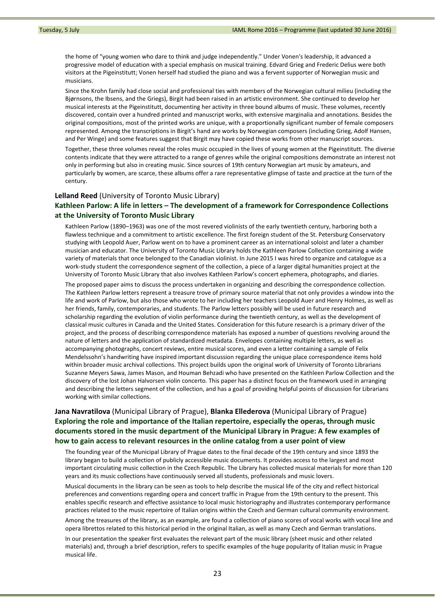the home of "young women who dare to think and judge independently." Under Vonen's leadership, it advanced a progressive model of education with a special emphasis on musical training. Edvard Grieg and Frederic Delius were both visitors at the Pigeinstitutt; Vonen herself had studied the piano and was a fervent supporter of Norwegian music and musicians.

Since the Krohn family had close social and professional ties with members of the Norwegian cultural milieu (including the Bjørnsons, the Ibsens, and the Griegs), Birgit had been raised in an artistic environment. She continued to develop her musical interests at the Pigeinstitutt, documenting her activity in three bound albums of music. These volumes, recently discovered, contain over a hundred printed and manuscript works, with extensive marginalia and annotations. Besides the original compositions, most of the printed works are unique, with a proportionally significant number of female composers represented. Among the transcriptions in Birgit's hand are works by Norwegian composers (including Grieg, Adolf Hansen, and Per Winge) and some features suggest that Birgit may have copied these works from other manuscript sources.

Together, these three volumes reveal the roles music occupied in the lives of young women at the Pigeinstitutt. The diverse contents indicate that they were attracted to a range of genres while the original compositions demonstrate an interest not only in performing but also in creating music. Since sources of 19th century Norwegian art music by amateurs, and particularly by women, are scarce, these albums offer a rare representative glimpse of taste and practice at the turn of the century.

# **Lelland Reed** (University of Toronto Music Library) **Kathleen Parlow: A life in letters – The development of a framework for Correspondence Collections at the University of Toronto Music Library**

Kathleen Parlow (1890–1963) was one of the most revered violinists of the early twentieth century, harboring both a flawless technique and a commitment to artistic excellence. The first foreign student of the St. Petersburg Conservatory studying with Leopold Auer, Parlow went on to have a prominent career as an international soloist and later a chamber musician and educator. The University of Toronto Music Library holds the Kathleen Parlow Collection containing a wide variety of materials that once belonged to the Canadian violinist. In June 2015 I was hired to organize and catalogue as a work‐study student the correspondence segment of the collection, a piece of a larger digital humanities project at the University of Toronto Music Library that also involves Kathleen Parlow's concert ephemera, photographs, and diaries.

The proposed paper aims to discuss the process undertaken in organizing and describing the correspondence collection. The Kathleen Parlow letters represent a treasure trove of primary source material that not only provides a window into the life and work of Parlow, but also those who wrote to her including her teachers Leopold Auer and Henry Holmes, as well as her friends, family, contemporaries, and students. The Parlow letters possibly will be used in future research and scholarship regarding the evolution of violin performance during the twentieth century, as well as the development of classical music cultures in Canada and the United States. Consideration for this future research is a primary driver of the project, and the process of describing correspondence materials has exposed a number of questions revolving around the nature of letters and the application of standardized metadata. Envelopes containing multiple letters, as well as accompanying photographs, concert reviews, entire musical scores, and even a letter containing a sample of Felix Mendelssohn's handwriting have inspired important discussion regarding the unique place correspondence items hold within broader music archival collections. This project builds upon the original work of University of Toronto Librarians Suzanne Meyers Sawa, James Mason, and Houman Behzadi who have presented on the Kathleen Parlow Collection and the discovery of the lost Johan Halvorsen violin concerto. This paper has a distinct focus on the framework used in arranging and describing the letters segment of the collection, and has a goal of providing helpful points of discussion for Librarians working with similar collections.

# **Jana Navratilova** (Municipal Library of Prague), **Blanka Ellederova** (Municipal Library of Prague) **Exploring the role and importance of the Italian repertoire, especially the operas, through music documents stored in the music department of the Municipal Library in Prague: A few examples of how to gain access to relevant resources in the online catalog from a user point of view**

The founding year of the Municipal Library of Prague dates to the final decade of the 19th century and since 1893 the library began to build a collection of publicly accessible music documents. It provides access to the largest and most important circulating music collection in the Czech Republic. The Library has collected musical materials for more than 120 years and its music collections have continuously served all students, professionals and music lovers.

Musical documents in the library can be seen as tools to help describe the musical life of the city and reflect historical preferences and conventions regarding opera and concert traffic in Prague from the 19th century to the present. This enables specific research and effective assistance to local music historiography and illustrates contemporary performance practices related to the music repertoire of Italian origins within the Czech and German cultural community environment.

Among the treasures of the library, as an example, are found a collection of piano scores of vocal works with vocal line and opera librettos related to this historical period in the original Italian, as well as many Czech and German translations.

In our presentation the speaker first evaluates the relevant part of the music library (sheet music and other related materials) and, through a brief description, refers to specific examples of the huge popularity of Italian music in Prague musical life.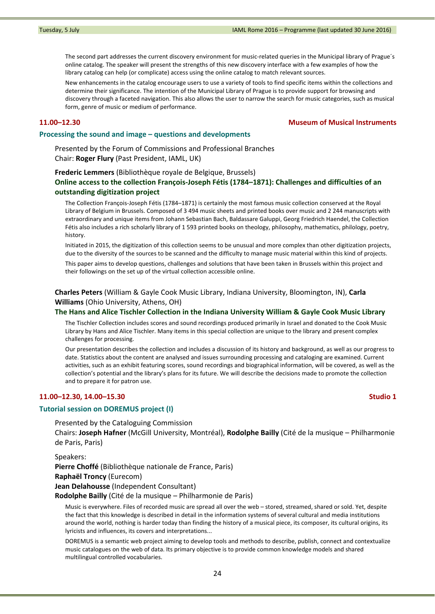The second part addresses the current discovery environment for music-related queries in the Municipal library of Prague's online catalog. The speaker will present the strengths of this new discovery interface with a few examples of how the library catalog can help (or complicate) access using the online catalog to match relevant sources.

New enhancements in the catalog encourage users to use a variety of tools to find specific items within the collections and determine their significance. The intention of the Municipal Library of Prague is to provide support for browsing and discovery through a faceted navigation. This also allows the user to narrow the search for music categories, such as musical form, genre of music or medium of performance.

## **11.00–12.30 Museum of Musical Instruments**

### **Processing the sound and image – questions and developments**

Presented by the Forum of Commissions and Professional Branches Chair: **Roger Flury** (Past President, IAML, UK)

# **Frederic Lemmers** (Bibliothèque royale de Belgique, Brussels) **Online access to the collection François‐Joseph Fétis (1784–1871): Challenges and difficulties of an outstanding digitization project**

The Collection François‐Joseph Fétis (1784–1871) is certainly the most famous music collection conserved at the Royal Library of Belgium in Brussels. Composed of 3 494 music sheets and printed books over music and 2 244 manuscripts with extraordinary and unique items from Johann Sebastian Bach, Baldassare Galuppi, Georg Friedrich Haendel, the Collection Fétis also includes a rich scholarly library of 1 593 printed books on theology, philosophy, mathematics, philology, poetry, history.

Initiated in 2015, the digitization of this collection seems to be unusual and more complex than other digitization projects, due to the diversity of the sources to be scanned and the difficulty to manage music material within this kind of projects.

This paper aims to develop questions, challenges and solutions that have been taken in Brussels within this project and their followings on the set up of the virtual collection accessible online.

**Charles Peters** (William & Gayle Cook Music Library, Indiana University, Bloomington, IN), **Carla Williams** (Ohio University, Athens, OH)

#### **The Hans and Alice Tischler Collection in the Indiana University William & Gayle Cook Music Library**

The Tischler Collection includes scores and sound recordings produced primarily in Israel and donated to the Cook Music Library by Hans and Alice Tischler. Many items in this special collection are unique to the library and present complex challenges for processing.

Our presentation describes the collection and includes a discussion of its history and background, as well as our progress to date. Statistics about the content are analysed and issues surrounding processing and cataloging are examined. Current activities, such as an exhibit featuring scores, sound recordings and biographical information, will be covered, as well as the collection's potential and the library's plans for its future. We will describe the decisions made to promote the collection and to prepare it for patron use.

# **11.00–12.30, 14.00–15.30 Studio 1**

# **Tutorial session on DOREMUS project (I)**

Presented by the Cataloguing Commission Chairs: **Joseph Hafner** (McGill University, Montréal), **Rodolphe Bailly** (Cité de la musique – Philharmonie

de Paris, Paris)

Speakers:

**Pierre Choffé** (Bibliothèque nationale de France, Paris) **Raphaël Troncy** (Eurecom) **Jean Delahousse** (Independent Consultant)

**Rodolphe Bailly** (Cité de la musique – Philharmonie de Paris)

Music is everywhere. Files of recorded music are spread all over the web – stored, streamed, shared or sold. Yet, despite the fact that this knowledge is described in detail in the information systems of several cultural and media institutions around the world, nothing is harder today than finding the history of a musical piece, its composer, its cultural origins, its lyricists and influences, its covers and interpretations...

DOREMUS is a semantic web project aiming to develop tools and methods to describe, publish, connect and contextualize music catalogues on the web of data. Its primary objective is to provide common knowledge models and shared multilingual controlled vocabularies.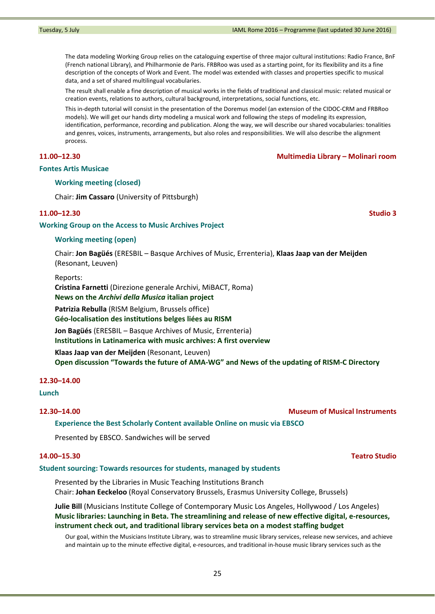The data modeling Working Group relies on the cataloguing expertise of three major cultural institutions: Radio France, BnF (French national Library), and Philharmonie de Paris. FRBRoo was used as a starting point, for its flexibility and its a fine description of the concepts of Work and Event. The model was extended with classes and properties specific to musical data, and a set of shared multilingual vocabularies.

The result shall enable a fine description of musical works in the fields of traditional and classical music: related musical or creation events, relations to authors, cultural background, interpretations, social functions, etc.

This in‐depth tutorial will consist in the presentation of the Doremus model (an extension of the CIDOC‐CRM and FRBRoo models). We will get our hands dirty modeling a musical work and following the steps of modeling its expression, identification, performance, recording and publication. Along the way, we will describe our shared vocabularies: tonalities and genres, voices, instruments, arrangements, but also roles and responsibilities. We will also describe the alignment process.

## **11.00–12.30 Multimedia Library – Molinari room**

### **Fontes Artis Musicae**

## **Working meeting (closed)**

Chair: **Jim Cassaro** (University of Pittsburgh)

### **11.00–12.30 Studio 3**

#### **Working Group on the Access to Music Archives Project**

### **Working meeting (open)**

Chair: **Jon Bagüés** (ERESBIL – Basque Archives of Music, Errenteria), **Klaas Jaap van der Meijden** (Resonant, Leuven)

Reports:

**Cristina Farnetti** (Direzione generale Archivi, MiBACT, Roma)

## **News on the** *Archivi della Musica* **italian project**

**Patrizia Rebulla** (RISM Belgium, Brussels office)

**Géo‐localisation des institutions belges liées au RISM**

**Jon Bagüés** (ERESBIL – Basque Archives of Music, Errenteria)

**Institutions in Latinamerica with music archives: A first overview**

**Klaas Jaap van der Meijden** (Resonant, Leuven)

**Open discussion "Towards the future of AMA‐WG" and News of the updating of RISM‐C Directory**

## **12.30–14.00**

#### **Lunch**

## **12.30–14.00 Museum of Musical Instruments**

**Experience the Best Scholarly Content available Online on music via EBSCO**

Presented by EBSCO. Sandwiches will be served

### **Student sourcing: Towards resources for students, managed by students**

Presented by the Libraries in Music Teaching Institutions Branch Chair: **Johan Eeckeloo** (Royal Conservatory Brussels, Erasmus University College, Brussels)

**Julie Bill** (Musicians Institute College of Contemporary Music Los Angeles, Hollywood / Los Angeles) **Music libraries: Launching in Beta. The streamlining and release of new effective digital, e‐resources, instrument check out, and traditional library services beta on a modest staffing budget**

Our goal, within the Musicians Institute Library, was to streamline music library services, release new services, and achieve and maintain up to the minute effective digital, e-resources, and traditional in-house music library services such as the

**14.00–15.30 Teatro Studio**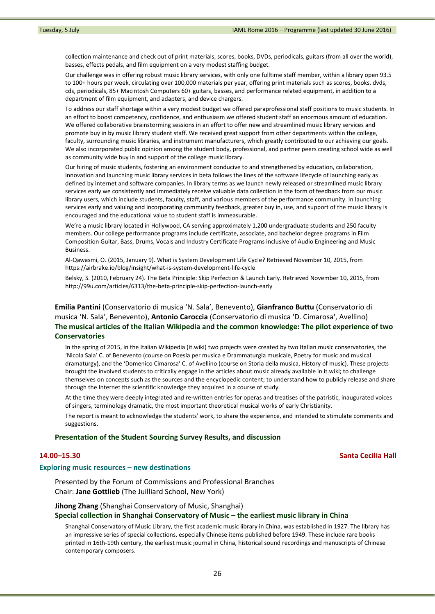collection maintenance and check out of print materials, scores, books, DVDs, periodicals, guitars (from all over the world), basses, effects pedals, and film equipment on a very modest staffing budget.

Our challenge was in offering robust music library services, with only one fulltime staff member, within a library open 93.5 to 100+ hours per week, circulating over 100,000 materials per year, offering print materials such as scores, books, dvds, cds, periodicals, 85+ Macintosh Computers 60+ guitars, basses, and performance related equipment, in addition to a department of film equipment, and adapters, and device chargers.

To address our staff shortage within a very modest budget we offered paraprofessional staff positions to music students. In an effort to boost competency, confidence, and enthusiasm we offered student staff an enormous amount of education. We offered collaborative brainstorming sessions in an effort to offer new and streamlined music library services and promote buy in by music library student staff. We received great support from other departments within the college, faculty, surrounding music libraries, and instrument manufacturers, which greatly contributed to our achieving our goals. We also incorporated public opinion among the student body, professional, and partner peers creating school wide as well as community wide buy in and support of the college music library.

Our hiring of music students, fostering an environment conducive to and strengthened by education, collaboration, innovation and launching music library services in beta follows the lines of the software lifecycle of launching early as defined by internet and software companies. In library terms as we launch newly released or streamlined music library services early we consistently and immediately receive valuable data collection in the form of feedback from our music library users, which include students, faculty, staff, and various members of the performance community. In launching services early and valuing and incorporating community feedback, greater buy in, use, and support of the music library is encouraged and the educational value to student staff is immeasurable.

We're a music library located in Hollywood, CA serving approximately 1,200 undergraduate students and 250 faculty members. Our college performance programs include certificate, associate, and bachelor degree programs in Film Composition Guitar, Bass, Drums, Vocals and Industry Certificate Programs inclusive of Audio Engineering and Music Business.

Al‐Qawasmi, O. (2015, January 9). What is System Development Life Cycle? Retrieved November 10, 2015, from https://airbrake.io/blog/insight/what‐is‐system‐development‐life‐cycle

Belsky, S. (2010, February 24). The Beta Principle: Skip Perfection & Launch Early. Retrieved November 10, 2015, from http://99u.com/articles/6313/the‐beta‐principle‐skip‐perfection‐launch‐early

**Emilia Pantini** (Conservatorio di musica 'N. Sala', Benevento), **Gianfranco Buttu** (Conservatorio di musica 'N. Sala', Benevento), **Antonio Caroccia** (Conservatorio di musica 'D. Cimarosa', Avellino) **The musical articles of the Italian Wikipedia and the common knowledge: The pilot experience of two Conservatories**

In the spring of 2015, in the Italian Wikipedia (it.wiki) two projects were created by two Italian music conservatories, the 'Nicola Sala' C. of Benevento (course on Poesia per musica e Drammaturgia musicale, Poetry for music and musical dramaturgy), and the 'Domenico Cimarosa' C. of Avellino (course on Storia della musica, History of music). These projects brought the involved students to critically engage in the articles about music already available in it.wiki; to challenge themselves on concepts such as the sources and the encyclopedic content; to understand how to publicly release and share through the Internet the scientific knowledge they acquired in a course of study.

At the time they were deeply integrated and re‐written entries for operas and treatises of the patristic, inaugurated voices of singers, terminology dramatic, the most important theoretical musical works of early Christianity.

The report is meant to acknowledge the students' work, to share the experience, and intended to stimulate comments and suggestions.

#### **Presentation of the Student Sourcing Survey Results, and discussion**

## **14.00–15.30 Santa Cecilia Hall**

## **Exploring music resources – new destinations**

Presented by the Forum of Commissions and Professional Branches Chair: **Jane Gottlieb** (The Juilliard School, New York)

#### **Jihong Zhang** (Shanghai Conservatory of Music, Shanghai)

#### **Special collection in Shanghai Conservatory of Music – the earliest music library in China**

Shanghai Conservatory of Music Library, the first academic music library in China, was established in 1927. The library has an impressive series of special collections, especially Chinese items published before 1949. These include rare books printed in 16th‐19th century, the earliest music journal in China, historical sound recordings and manuscripts of Chinese contemporary composers.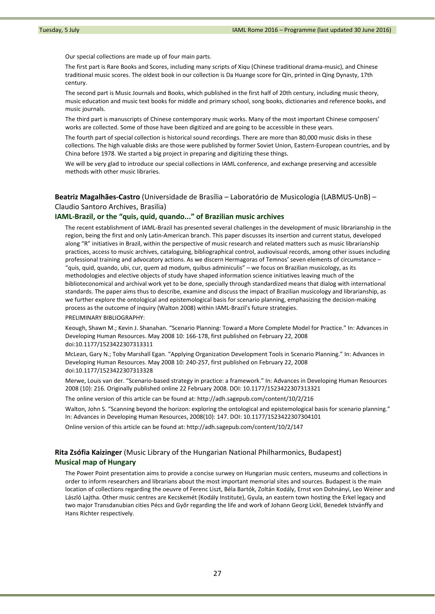Our special collections are made up of four main parts.

The first part is Rare Books and Scores, including many scripts of Xiqu (Chinese traditional drama‐music), and Chinese traditional music scores. The oldest book in our collection is Da Huange score for Qin, printed in Qing Dynasty, 17th century.

The second part is Music Journals and Books, which published in the first half of 20th century, including music theory, music education and music text books for middle and primary school, song books, dictionaries and reference books, and music journals.

The third part is manuscripts of Chinese contemporary music works. Many of the most important Chinese composers' works are collected. Some of those have been digitized and are going to be accessible in these years.

The fourth part of special collection is historical sound recordings. There are more than 80,000 music disks in these collections. The high valuable disks are those were published by former Soviet Union, Eastern‐European countries, and by China before 1978. We started a big project in preparing and digitizing these things.

We will be very glad to introduce our special collections in IAML conference, and exchange preserving and accessible methods with other music libraries.

# **Beatriz Magalhães‐Castro** (Universidade de Brasília – Laboratório de Musicologia (LABMUS‐UnB) – Claudio Santoro Archives, Brasilia)

#### **IAML‐Brazil, or the "quis, quid, quando..." of Brazilian music archives**

The recent establishment of IAML‐Brazil has presented several challenges in the development of music librarianship in the region, being the first and only Latin‐American branch. This paper discusses its insertion and current status, developed along "R" initiatives in Brazil, within the perspective of music research and related matters such as music librarianship practices, access to music archives, cataloguing, bibliographical control, audiovisual records, among other issues including professional training and advocatory actions. As we discern Hermagoras of Temnos' seven elements of circumstance – "quis, quid, quando, ubi, cur, quem ad modum, quibus adminiculis" – we focus on Brazilian musicology, as its methodologies and elective objects of study have shaped information science initiatives leaving much of the biblioteconomical and archival work yet to be done, specially through standardized means that dialog with international standards. The paper aims thus to describe, examine and discuss the impact of Brazilian musicology and librarianship, as we further explore the ontological and epistemological basis for scenario planning, emphasizing the decision-making process as the outcome of inquiry (Walton 2008) within IAML‐Brazil's future strategies.

#### PRELIMINARY BIBLIOGRAPHY:

Keough, Shawn M.; Kevin J. Shanahan. "Scenario Planning: Toward a More Complete Model for Practice." In: Advances in Developing Human Resources. May 2008 10: 166‐178, first published on February 22, 2008 doi:10.1177/1523422307313311

McLean, Gary N.; Toby Marshall Egan. "Applying Organization Development Tools in Scenario Planning." In: Advances in Developing Human Resources. May 2008 10: 240‐257, first published on February 22, 2008 doi:10.1177/1523422307313328

Merwe, Louis van der. "Scenario‐based strategy in practice: a framework." In: Advances in Developing Human Resources 2008 (10): 216. Originally published online 22 February 2008. DOI: 10.1177/1523422307313321

The online version of this article can be found at: http://adh.sagepub.com/content/10/2/216

Walton, John S. "Scanning beyond the horizon: exploring the ontological and epistemological basis for scenario planning." In: Advances in Developing Human Resources, 2008(10): 147. DOI: 10.1177/1523422307304101

Online version of this article can be found at: http://adh.sagepub.com/content/10/2/147

# **Rita Zsófia Kaizinger** (Music Library of the Hungarian National Philharmonics, Budapest) **Musical map of Hungary**

The Power Point presentation aims to provide a concise surwey on Hungarian music centers, museums and collections in order to inform researchers and librarians about the most important memorial sites and sources. Budapest is the main location of collections regarding the oeuvre of Ferenc Liszt, Béla Bartók, Zoltán Kodály, Ernst von Dohnányi, Leo Weiner and László Lajtha. Other music centres are Kecskemét (Kodály Institute), Gyula, an eastern town hosting the Erkel legacy and two major Transdanubian cities Pécs and Győr regarding the life and work of Johann Georg Lickl, Benedek Istvánffy and Hans Richter respectively.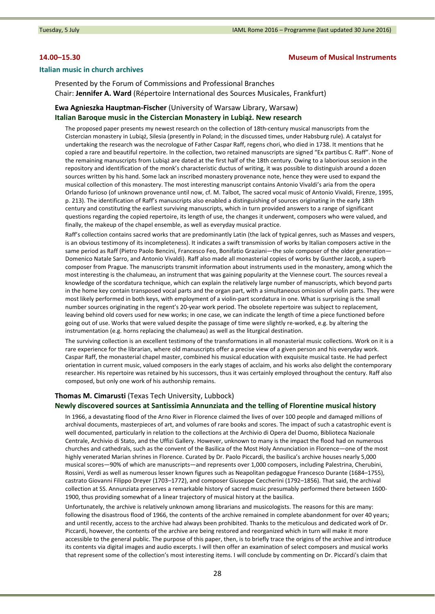## **14.00–15.30 Museum of Musical Instruments**

#### **Italian music in church archives**

Presented by the Forum of Commissions and Professional Branches Chair: **Jennifer A. Ward** (Répertoire International des Sources Musicales, Frankfurt)

# **Ewa Agnieszka Hauptman‐Fischer** (University of Warsaw Library, Warsaw) **Italian Baroque music in the Cistercian Monastery in Lubiąż. New research**

The proposed paper presents my newest research on the collection of 18th‐century musical manuscripts from the Cistercian monastery in Lubiąż, Silesia (presently in Poland; in the discussed times, under Habsburg rule). A catalyst for undertaking the research was the necrologue of Father Caspar Raff, regens chori, who died in 1738. It mentions that he copied a rare and beautiful repertoire. In the collection, two retained manuscripts are signed "Ex partibus C. Raff". None of the remaining manuscripts from Lubiąż are dated at the first half of the 18th century. Owing to a laborious session in the repository and identification of the monk's characteristic ductus of writing, it was possible to distinguish around a dozen sources written by his hand. Some lack an inscribed monastery provenance note, hence they were used to expand the musical collection of this monastery. The most interesting manuscript contains Antonio Vivaldi's aria from the opera Orlando furioso (of unknown provenance until now, cf. M. Talbot, The sacred vocal music of Antonio Vivaldi, Firenze, 1995, p. 213). The identification of Raff's manuscripts also enabled a distinguishing of sources originating in the early 18th century and constituting the earliest surviving manuscripts, which in turn provided answers to a range of significant questions regarding the copied repertoire, its length of use, the changes it underwent, composers who were valued, and finally, the makeup of the chapel ensemble, as well as everyday musical practice.

Raff's collection contains sacred works that are predominantly Latin (the lack of typical genres, such as Masses and vespers, is an obvious testimony of its incompleteness). It indicates a swift transmission of works by Italian composers active in the same period as Raff (Pietro Paolo Bencini, Francesco Feo, Bonifatio Graziani—the sole composer of the older generation— Domenico Natale Sarro, and Antonio Vivaldi). Raff also made all monasterial copies of works by Gunther Jacob, a superb composer from Prague. The manuscripts transmit information about instruments used in the monastery, among which the most interesting is the chalumeau, an instrument that was gaining popularity at the Viennese court. The sources reveal a knowledge of the scordatura technique, which can explain the relatively large number of manuscripts, which beyond parts in the home key contain transposed vocal parts and the organ part, with a simultaneous omission of violin parts. They were most likely performed in both keys, with employment of a violin‐part scordatura in one. What is surprising is the small number sources originating in the regent's 20‐year work period. The obsolete repertoire was subject to replacement, leaving behind old covers used for new works; in one case, we can indicate the length of time a piece functioned before going out of use. Works that were valued despite the passage of time were slightly re-worked, e.g. by altering the instrumentation (e.g. horns replacing the chalumeau) as well as the liturgical destination.

The surviving collection is an excellent testimony of the transformations in all monasterial music collections. Work on it is a rare experience for the librarian, where old manuscripts offer a precise view of a given person and his everyday work. Caspar Raff, the monasterial chapel master, combined his musical education with exquisite musical taste. He had perfect orientation in current music, valued composers in the early stages of acclaim, and his works also delight the contemporary researcher. His repertoire was retained by his successors, thus it was certainly employed throughout the century. Raff also composed, but only one work of his authorship remains.

#### **Thomas M. Cimarusti** (Texas Tech University, Lubbock)

## **Newly discovered sources at Santissimia Annunziata and the telling of Florentine musical history**

In 1966, a devastating flood of the Arno River in Florence claimed the lives of over 100 people and damaged millions of archival documents, masterpieces of art, and volumes of rare books and scores. The impact of such a catastrophic event is well documented, particularly in relation to the collections at the Archivio di Opera del Duomo, Biblioteca Nazionale Centrale, Archivio di Stato, and the Uffizi Gallery. However, unknown to many is the impact the flood had on numerous churches and cathedrals, such as the convent of the Basilica of the Most Holy Annunciation in Florence—one of the most highly venerated Marian shrines in Florence. Curated by Dr. Paolo Piccardi, the basilica's archive houses nearly 5,000 musical scores—90% of which are manuscripts—and represents over 1,000 composers, including Palestrina, Cherubini, Rossini, Verdi as well as numerous lesser known figures such as Neapolitan pedagogue Francesco Durante (1684–1755), castrato Giovanni Filippo Dreyer (1703–1772), and composer Giuseppe Ceccherini (1792–1856). That said, the archival collection at SS. Annunziata preserves a remarkable history of sacred music presumably performed there between 1600‐ 1900, thus providing somewhat of a linear trajectory of musical history at the basilica.

Unfortunately, the archive is relatively unknown among librarians and musicologists. The reasons for this are many: following the disastrous flood of 1966, the contents of the archive remained in complete abandonment for over 40 years; and until recently, access to the archive had always been prohibited. Thanks to the meticulous and dedicated work of Dr. Piccardi, however, the contents of the archive are being restored and reorganized which in turn will make it more accessible to the general public. The purpose of this paper, then, is to briefly trace the origins of the archive and introduce its contents via digital images and audio excerpts. I will then offer an examination of select composers and musical works that represent some of the collection's most interesting items. I will conclude by commenting on Dr. Piccardi's claim that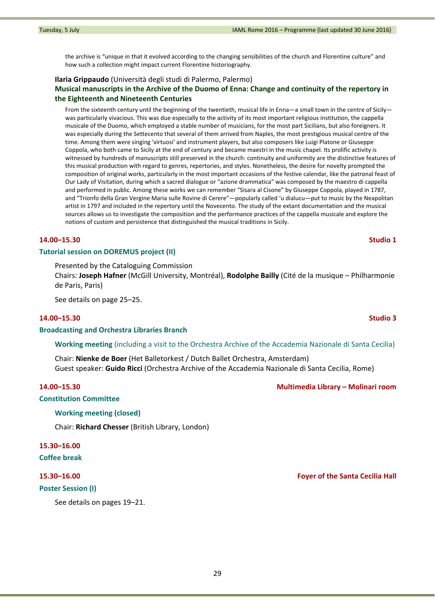Tuesday, 5 July **Tuesday, 5 July 2016** – Channel Communication Channel Communication Channel Communication Channel Communication Channel Communication Channel Communication Channel Communication Channel Channel Channel Cha

the archive is "unique in that it evolved according to the changing sensibilities of the church and Florentine culture" and how such a collection might impact current Florentine historiography.

## **Ilaria Grippaudo** (Università degli studi di Palermo, Palermo)

# **Musical manuscripts in the Archive of the Duomo of Enna: Change and continuity of the repertory in the Eighteenth and Nineteenth Centuries**

From the sixteenth century until the beginning of the twentieth, musical life in Enna—a small town in the centre of Sicily was particularly vivacious. This was due especially to the activity of its most important religious institution, the cappella musicale of the Duomo, which employed a stable number of musicians, for the most part Sicilians, but also foreigners. It was especially during the Settecento that several of them arrived from Naples, the most prestigious musical centre of the time. Among them were singing 'virtuosi' and instrument players, but also composers like Luigi Platone or Giuseppe Coppola, who both came to Sicily at the end of century and became maestri in the music chapel. Its prolific activity is witnessed by hundreds of manuscripts still preserved in the church: continuity and uniformity are the distinctive features of this musical production with regard to genres, repertories, and styles. Nonetheless, the desire for novelty prompted the composition of original works, particularly in the most important occasions of the festive calendar, like the patronal feast of Our Lady of Visitation, during which a sacred dialogue or "azione drammatica" was composed by the maestro di cappella and performed in public. Among these works we can remember "Sisara al Cisone" by Giuseppe Coppola, played in 1787, and "Trionfo della Gran Vergine Maria sulle Rovine di Cerere"—popularly called 'u dialucu—put to music by the Neapolitan artist in 1797 and included in the repertory until the Novecento. The study of the extant documentation and the musical sources allows us to investigate the composition and the performance practices of the cappella musicale and explore the notions of custom and persistence that distinguished the musical traditions in Sicily.

# **14.00–15.30 Studio 1**

# **Tutorial session on DOREMUS project (II)**

Presented by the Cataloguing Commission

Chairs: **Joseph Hafner** (McGill University, Montréal), **Rodolphe Bailly** (Cité de la musique – Philharmonie de Paris, Paris)

See details on page 25–25.

# **14.00–15.30 Studio 3**

## **Broadcasting and Orchestra Libraries Branch**

**Working meeting** (including a visit to the Orchestra Archive of the Accademia Nazionale di Santa Cecilia)

Chair: **Nienke de Boer** (Het Balletorkest / Dutch Ballet Orchestra, Amsterdam) Guest speaker: **Guido Ricci** (Orchestra Archive of the Accademia Nazionale di Santa Cecilia, Rome)

## **14.00–15.30 Multimedia Library – Molinari room**

## **Constitution Committee**

# **Working meeting (closed)**

Chair: **Richard Chesser** (British Library, London)

**15.30–16.00**

**Coffee break**

#### **Poster Session (I)**

See details on pages 19–21.

**15.30–16.00 Foyer of the Santa Cecilia Hall**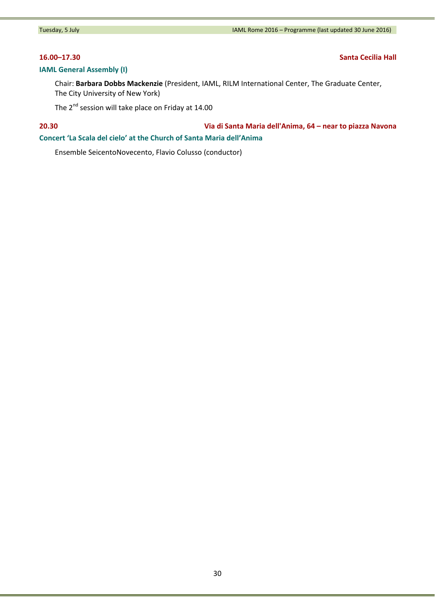# **IAML General Assembly (I)**

**16.00–17.30 Santa Cecilia Hall**

Chair: **Barbara Dobbs Mackenzie** (President, IAML, RILM International Center, The Graduate Center, The City University of New York)

The 2<sup>nd</sup> session will take place on Friday at 14.00

# **20.30 Via di Santa Maria dell'Anima, 64 – near to piazza Navona Concert 'La Scala del cielo' at the Church of Santa Maria dell'Anima**

Ensemble SeicentoNovecento, Flavio Colusso (conductor)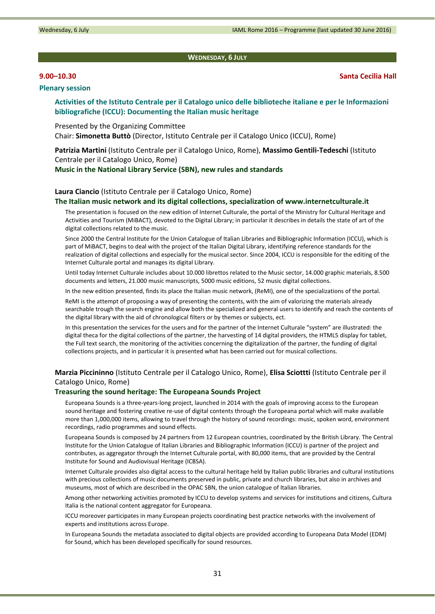**WEDNESDAY, 6 JULY**

## **Plenary session**

**Activities of the Istituto Centrale per il Catalogo unico delle biblioteche italiane e per le Informazioni**

Presented by the Organizing Committee Chair: **Simonetta Buttò** (Director, Istituto Centrale per il Catalogo Unico (ICCU), Rome)

**Patrizia Martini** (Istituto Centrale per il Catalogo Unico, Rome), **Massimo Gentili‐Tedeschi** (Istituto Centrale per il Catalogo Unico, Rome)

**Music in the National Library Service (SBN), new rules and standards**

#### **Laura Ciancio** (Istituto Centrale per il Catalogo Unico, Rome)

**bibliografiche (ICCU): Documenting the Italian music heritage**

#### **The Italian music network and its digital collections, specialization of www.internetculturale.it**

The presentation is focused on the new edition of Internet Culturale, the portal of the Ministry for Cultural Heritage and Activities and Tourism (MiBACT), devoted to the Digital Library; in particular it describes in details the state of art of the digital collections related to the music.

Since 2000 the Central Institute for the Union Catalogue of Italian Libraries and Bibliographic Information (ICCU), which is part of MiBACT, begins to deal with the project of the Italian Digital Library, identifying reference standards for the realization of digital collections and especially for the musical sector. Since 2004, ICCU is responsible for the editing of the Internet Culturale portal and manages its digital Library.

Until today Internet Culturale includes about 10.000 librettos related to the Music sector, 14.000 graphic materials, 8.500 documents and letters, 21.000 music manuscripts, 5000 music editions, 52 music digital collections.

In the new edition presented, finds its place the Italian music network, (ReMI), one of the specializations of the portal.

ReMI is the attempt of proposing a way of presenting the contents, with the aim of valorizing the materials already searchable trough the search engine and allow both the specialized and general users to identify and reach the contents of the digital library with the aid of chronological filters or by themes or subjects, ect.

In this presentation the services for the users and for the partner of the Internet Culturale "system" are illustrated: the digital theca for the digital collections of the partner, the harvesting of 14 digital providers, the HTML5 display for tablet, the Full text search, the monitoring of the activities concerning the digitalization of the partner, the funding of digital collections projects, and in particular it is presented what has been carried out for musical collections.

# **Marzia Piccininno** (Istituto Centrale per il Catalogo Unico, Rome), **Elisa Sciottti** (Istituto Centrale per il Catalogo Unico, Rome)

#### **Treasuring the sound heritage: The Europeana Sounds Project**

Europeana Sounds is a three‐years‐long project, launched in 2014 with the goals of improving access to the European sound heritage and fostering creative re-use of digital contents through the Europeana portal which will make available more than 1,000,000 items, allowing to travel through the history of sound recordings: music, spoken word, environment recordings, radio programmes and sound effects.

Europeana Sounds is composed by 24 partners from 12 European countries, coordinated by the British Library. The Central Institute for the Union Catalogue of Italian Libraries and Bibliographic Information (ICCU) is partner of the project and contributes, as aggregator through the Internet Culturale portal, with 80,000 items, that are provided by the Central Institute for Sound and Audiovisual Heritage (ICBSA).

Internet Culturale provides also digital access to the cultural heritage held by Italian public libraries and cultural institutions with precious collections of music documents preserved in public, private and church libraries, but also in archives and museums, most of which are described in the OPAC SBN, the union catalogue of Italian libraries.

Among other networking activities promoted by ICCU to develop systems and services for institutions and citizens, Cultura Italia is the national content aggregator for Europeana.

ICCU moreover participates in many European projects coordinating best practice networks with the involvement of experts and institutions across Europe.

In Europeana Sounds the metadata associated to digital objects are provided according to Europeana Data Model (EDM) for Sound, which has been developed specifically for sound resources.

# **9.00–10.30 Santa Cecilia Hall**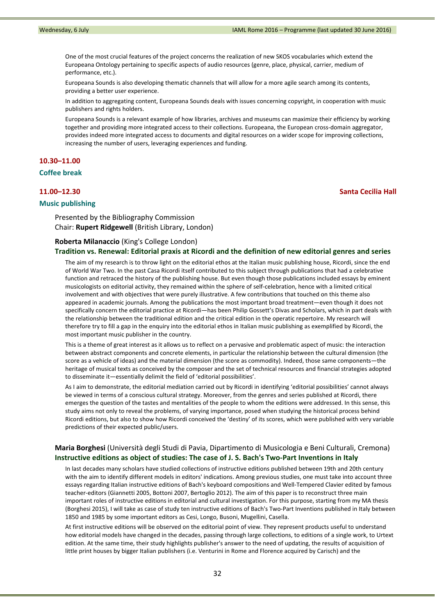One of the most crucial features of the project concerns the realization of new SKOS vocabularies which extend the Europeana Ontology pertaining to specific aspects of audio resources (genre, place, physical, carrier, medium of performance, etc.).

Europeana Sounds is also developing thematic channels that will allow for a more agile search among its contents, providing a better user experience.

In addition to aggregating content, Europeana Sounds deals with issues concerning copyright, in cooperation with music publishers and rights holders.

Europeana Sounds is a relevant example of how libraries, archives and museums can maximize their efficiency by working together and providing more integrated access to their collections. Europeana, the European cross-domain aggregator, provides indeed more integrated access to documents and digital resources on a wider scope for improving collections, increasing the number of users, leveraging experiences and funding.

# **10.30–11.00**

# **Coffee break**

### **11.00–12.30 Santa Cecilia Hall**

# **Music publishing**

Presented by the Bibliography Commission Chair: **Rupert Ridgewell** (British Library, London)

### **Roberta Milanaccio** (King's College London)

#### **Tradition vs. Renewal: Editorial praxis at Ricordi and the definition of new editorial genres and series**

The aim of my research is to throw light on the editorial ethos at the Italian music publishing house, Ricordi, since the end of World War Two. In the past Casa Ricordi itself contributed to this subject through publications that had a celebrative function and retraced the history of the publishing house. But even though those publications included essays by eminent musicologists on editorial activity, they remained within the sphere of self-celebration, hence with a limited critical involvement and with objectives that were purely illustrative. A few contributions that touched on this theme also appeared in academic journals. Among the publications the most important broad treatment—even though it does not specifically concern the editorial practice at Ricordi—has been Philip Gossett's Divas and Scholars, which in part deals with the relationship between the traditional edition and the critical edition in the operatic repertoire. My research will therefore try to fill a gap in the enquiry into the editorial ethos in Italian music publishing as exemplified by Ricordi, the most important music publisher in the country.

This is a theme of great interest as it allows us to reflect on a pervasive and problematic aspect of music: the interaction between abstract components and concrete elements, in particular the relationship between the cultural dimension (the score as a vehicle of ideas) and the material dimension (the score as commodity). Indeed, those same components—the heritage of musical texts as conceived by the composer and the set of technical resources and financial strategies adopted to disseminate it—essentially delimit the field of 'editorial possibilities'.

As I aim to demonstrate, the editorial mediation carried out by Ricordi in identifying 'editorial possibilities' cannot always be viewed in terms of a conscious cultural strategy. Moreover, from the genres and series published at Ricordi, there emerges the question of the tastes and mentalities of the people to whom the editions were addressed. In this sense, this study aims not only to reveal the problems, of varying importance, posed when studying the historical process behind Ricordi editions, but also to show how Ricordi conceived the 'destiny' of its scores, which were published with very variable predictions of their expected public/users.

# **Maria Borghesi** (Università degli Studi di Pavia, Dipartimento di Musicologia e Beni Culturali, Cremona) **Instructive editions as object of studies: The case of J. S. Bach's Two‐Part Inventions in Italy**

In last decades many scholars have studied collections of instructive editions published between 19th and 20th century with the aim to identify different models in editors' indications. Among previous studies, one must take into account three essays regarding Italian instructive editions of Bach's keyboard compositions and Well‐Tempered Clavier edited by famous teacher-editors (Giannetti 2005, Bottoni 2007, Bertoglio 2012). The aim of this paper is to reconstruct three main important roles of instructive editions in editorial and cultural investigation. For this purpose, starting from my MA thesis (Borghesi 2015), I will take as case of study ten instructive editions of Bach's Two‐Part Inventions published in Italy between 1850 and 1985 by some important editors as Cesi, Longo, Busoni, Mugellini, Casella.

At first instructive editions will be observed on the editorial point of view. They represent products useful to understand how editorial models have changed in the decades, passing through large collections, to editions of a single work, to Urtext edition. At the same time, their study highlights publisher's answer to the need of updating, the results of acquisition of little print houses by bigger Italian publishers (i.e. Venturini in Rome and Florence acquired by Carisch) and the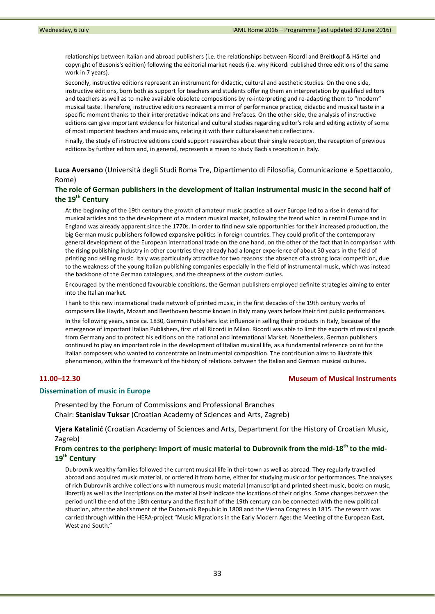relationships between Italian and abroad publishers (i.e. the relationships between Ricordi and Breitkopf & Härtel and copyright of Busonis's edition) following the editorial market needs (i.e. why Ricordi published three editions of the same work in 7 years).

Secondly, instructive editions represent an instrument for didactic, cultural and aesthetic studies. On the one side, instructive editions, born both as support for teachers and students offering them an interpretation by qualified editors and teachers as well as to make available obsolete compositions by re-interpreting and re-adapting them to "modern" musical taste. Therefore, instructive editions represent a mirror of performance practice, didactic and musical taste in a specific moment thanks to their interpretative indications and Prefaces. On the other side, the analysis of instructive editions can give important evidence for historical and cultural studies regarding editor's role and editing activity of some of most important teachers and musicians, relating it with their cultural‐aesthetic reflections.

Finally, the study of instructive editions could support researches about their single reception, the reception of previous editions by further editors and, in general, represents a mean to study Bach's reception in Italy.

**Luca Aversano** (Università degli Studi Roma Tre, Dipartimento di Filosofia, Comunicazione e Spettacolo, Rome)

## **The role of German publishers in the development of Italian instrumental music in the second half of the 19th Century**

At the beginning of the 19th century the growth of amateur music practice all over Europe led to a rise in demand for musical articles and to the development of a modern musical market, following the trend which in central Europe and in England was already apparent since the 1770s. In order to find new sale opportunities for their increased production, the big German music publishers followed expansive politics in foreign countries. They could profit of the contemporary general development of the European international trade on the one hand, on the other of the fact that in comparison with the rising publishing industry in other countries they already had a longer experience of about 30 years in the field of printing and selling music. Italy was particularly attractive for two reasons: the absence of a strong local competition, due to the weakness of the young Italian publishing companies especially in the field of instrumental music, which was instead the backbone of the German catalogues, and the cheapness of the custom duties.

Encouraged by the mentioned favourable conditions, the German publishers employed definite strategies aiming to enter into the Italian market.

Thank to this new international trade network of printed music, in the first decades of the 19th century works of composers like Haydn, Mozart and Beethoven become known in Italy many years before their first public performances.

In the following years, since ca. 1830, German Publishers lost influence in selling their products in Italy, because of the emergence of important Italian Publishers, first of all Ricordi in Milan. Ricordi was able to limit the exports of musical goods from Germany and to protect his editions on the national and international Market. Nonetheless, German publishers continued to play an important role in the development of Italian musical life, as a fundamental reference point for the Italian composers who wanted to concentrate on instrumental composition. The contribution aims to illustrate this phenomenon, within the framework of the history of relations between the Italian and German musical cultures.

# **11.00–12.30 Museum of Musical Instruments**

# **Dissemination of music in Europe**

Presented by the Forum of Commissions and Professional Branches Chair: **Stanislav Tuksar** (Croatian Academy of Sciences and Arts, Zagreb)

**Vjera Katalinić** (Croatian Academy of Sciences and Arts, Department for the History of Croatian Music, Zagreb)

# From centres to the periphery: Import of music material to Dubrovnik from the mid-18<sup>th</sup> to the mid-**19th Century**

Dubrovnik wealthy families followed the current musical life in their town as well as abroad. They regularly travelled abroad and acquired music material, or ordered it from home, either for studying music or for performances. The analyses of rich Dubrovnik archive collections with numerous music material (manuscript and printed sheet music, books on music, libretti) as well as the inscriptions on the material itself indicate the locations of their origins. Some changes between the period until the end of the 18th century and the first half of the 19th century can be connected with the new political situation, after the abolishment of the Dubrovnik Republic in 1808 and the Vienna Congress in 1815. The research was carried through within the HERA‐project "Music Migrations in the Early Modern Age: the Meeting of the European East, West and South."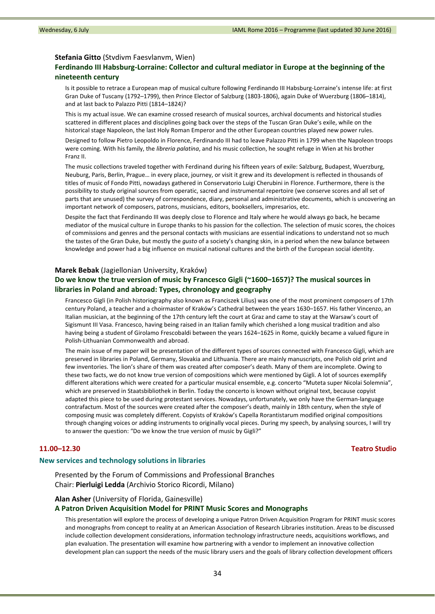#### **Stefania Gitto** (Stvdivm Faesvlanvm, Wien)

# **Ferdinando III Habsburg‐Lorraine: Collector and cultural mediator in Europe at the beginning of the nineteenth century**

Is it possible to retrace a European map of musical culture following Ferdinando III Habsburg‐Lorraine's intense life: at first Gran Duke of Tuscany (1792–1799), then Prince Elector of Salzburg (1803‐1806), again Duke of Wuerzburg (1806–1814), and at last back to Palazzo Pitti (1814–1824)?

This is my actual issue. We can examine crossed research of musical sources, archival documents and historical studies scattered in different places and disciplines going back over the steps of the Tuscan Gran Duke's exile, while on the historical stage Napoleon, the last Holy Roman Emperor and the other European countries played new power rules.

Designed to follow Pietro Leopoldo in Florence, Ferdinando III had to leave Palazzo Pitti in 1799 when the Napoleon troops were coming. With his family, the *libreria palatina*, and his music collection, he sought refuge in Wien at his brother Franz II.

The music collections traveled together with Ferdinand during his fifteen years of exile: Salzburg, Budapest, Wuerzburg, Neuburg, Paris, Berlin, Prague… in every place, journey, or visit it grew and its development is reflected in thousands of titles of music of Fondo Pitti, nowadays gathered in Conservatorio Luigi Cherubini in Florence. Furthermore, there is the possibility to study original sources from operatic, sacred and instrumental repertoire (we conserve scores and all set of parts that are unused) the survey of correspondence, diary, personal and administrative documents, which is uncovering an important network of composers, patrons, musicians, editors, booksellers, impresarios, etc.

Despite the fact that Ferdinando III was deeply close to Florence and Italy where he would always go back, he became mediator of the musical culture in Europe thanks to his passion for the collection. The selection of music scores, the choices of commissions and genres and the personal contacts with musicians are essential indications to understand not so much the tastes of the Gran Duke, but mostly the *gusto* of a society's changing skin, in a period when the new balance between knowledge and power had a big influence on musical national cultures and the birth of the European social identity.

#### **Marek Bebak** (Jagiellonian University, Kraków)

# **Do we know the true version of music by Francesco Gigli (~1600–1657)? The musical sources in libraries in Poland and abroad: Types, chronology and geography**

Francesco Gigli (in Polish historiography also known as Franciszek Lilius) was one of the most prominent composers of 17th century Poland, a teacher and a choirmaster of Kraków's Cathedral between the years 1630–1657. His father Vincenzo, an Italian musician, at the beginning of the 17th century left the court at Graz and came to stay at the Warsaw's court of Sigismunt III Vasa. Francesco, having being raised in an Italian family which cherished a long musical tradition and also having being a student of Girolamo Frescobaldi between the years 1624–1625 in Rome, quickly became a valued figure in Polish‐Lithuanian Commonwealth and abroad.

The main issue of my paper will be presentation of the different types of sources connected with Francesco Gigli, which are preserved in libraries in Poland, Germany, Slovakia and Lithuania. There are mainly manuscripts, one Polish old print and few inventories. The lion's share of them was created after composer's death. Many of them are incomplete. Owing to these two facts, we do not know true version of compositions which were mentioned by Gigli. A lot of sources exemplify different alterations which were created for a particular musical ensemble, e.g. concerto "Muteta super Nicolai Solemnia", which are preserved in Staatsbibliothek in Berlin. Today the concerto is known without original text, because copyist adapted this piece to be used during protestant services. Nowadays, unfortunately, we only have the German‐language contrafactum. Most of the sources were created after the composer's death, mainly in 18th century, when the style of composing music was completely different. Copyists of Kraków's Capella Rorantistarum modified original compositions through changing voices or adding instruments to originally vocal pieces. During my speech, by analysing sources, I will try to answer the question: "Do we know the true version of music by Gigli?"

### **11.00–12.30 Teatro Studio**

## **New services and technology solutions in libraries**

Presented by the Forum of Commissions and Professional Branches Chair: **Pierluigi Ledda** (Archivio Storico Ricordi, Milano)

**Alan Asher** (University of Florida, Gainesville)

#### **A Patron Driven Acquisition Model for PRINT Music Scores and Monographs**

This presentation will explore the process of developing a unique Patron Driven Acquisition Program for PRINT music scores and monographs from concept to reality at an American Association of Research Libraries institution. Areas to be discussed include collection development considerations, information technology infrastructure needs, acquisitions workflows, and plan evaluation. The presentation will examine how partnering with a vendor to implement an innovative collection development plan can support the needs of the music library users and the goals of library collection development officers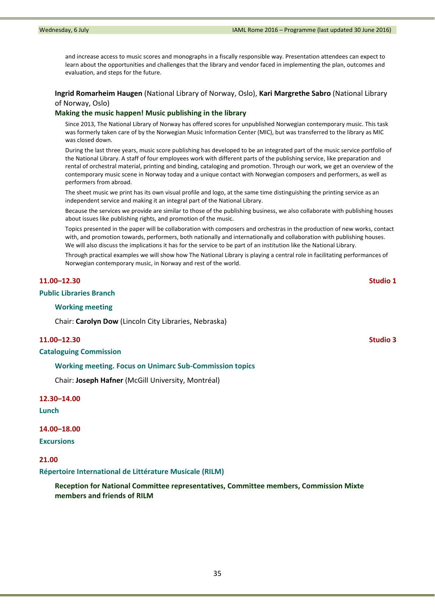and increase access to music scores and monographs in a fiscally responsible way. Presentation attendees can expect to learn about the opportunities and challenges that the library and vendor faced in implementing the plan, outcomes and evaluation, and steps for the future.

**Ingrid Romarheim Haugen** (National Library of Norway, Oslo), **Kari Margrethe Sabro** (National Library of Norway, Oslo)

#### **Making the music happen! Music publishing in the library**

Since 2013, The National Library of Norway has offered scores for unpublished Norwegian contemporary music. This task was formerly taken care of by the Norwegian Music Information Center (MIC), but was transferred to the library as MIC was closed down.

During the last three years, music score publishing has developed to be an integrated part of the music service portfolio of the National Library. A staff of four employees work with different parts of the publishing service, like preparation and rental of orchestral material, printing and binding, cataloging and promotion. Through our work, we get an overview of the contemporary music scene in Norway today and a unique contact with Norwegian composers and performers, as well as performers from abroad.

The sheet music we print has its own visual profile and logo, at the same time distinguishing the printing service as an independent service and making it an integral part of the National Library.

Because the services we provide are similar to those of the publishing business, we also collaborate with publishing houses about issues like publishing rights, and promotion of the music.

Topics presented in the paper will be collaboration with composers and orchestras in the production of new works, contact with, and promotion towards, performers, both nationally and internationally and collaboration with publishing houses. We will also discuss the implications it has for the service to be part of an institution like the National Library.

Through practical examples we will show how The National Library is playing a central role in facilitating performances of Norwegian contemporary music, in Norway and rest of the world.

### **11.00–12.30 Studio 1**

#### **Public Libraries Branch**

## **Working meeting**

Chair: **Carolyn Dow** (Lincoln City Libraries, Nebraska)

### **11.00–12.30 Studio 3**

**Cataloguing Commission**

#### **Working meeting. Focus on Unimarc Sub‐Commission topics**

Chair: **Joseph Hafner** (McGill University, Montréal)

# **12.30–14.00**

**Lunch**

## **14.00–18.00**

**Excursions**

### **21.00**

**Répertoire International de Littérature Musicale (RILM)** 

**Reception for National Committee representatives, Committee members, Commission Mixte members and friends of RILM**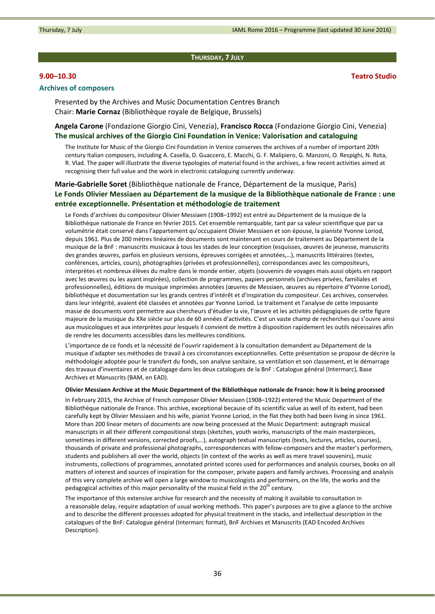#### **THURSDAY, 7 JULY**

## **Archives of composers**

Presented by the Archives and Music Documentation Centres Branch Chair: **Marie Cornaz** (Bibliothèque royale de Belgique, Brussels)

## **Angela Carone** (Fondazione Giorgio Cini, Venezia), **Francisco Rocca** (Fondazione Giorgio Cini, Venezia) **The musical archives of the Giorgio Cini Foundation in Venice: Valorisation and cataloguing**

The Institute for Music of the Giorgio Cini Foundation in Venice conserves the archives of a number of important 20th century Italian composers, including A. Casella, D. Guaccero, E. Macchi, G. F. Malipiero, G. Manzoni, O. Respighi, N. Rota, R. Vlad. The paper will illustrate the diverse typologies of material found in the archives, a few recent activities aimed at recognising their full value and the work in electronic cataloguing currently underway.

# **Marie‐Gabrielle Soret** (Bibliothèque nationale de France, Département de la musique, Paris) **Le Fonds Olivier Messiaen au Département de la musique de la Bibliothèque nationale de France : une entrée exceptionnelle. Présentation et méthodologie de traitement**

Le Fonds d'archives du compositeur Olivier Messiaen (1908–1992) est entré au Département de la musique de la Bibliothèque nationale de France en février 2015. Cet ensemble remarquable, tant par sa valeur scientifique que par sa volumétrie était conservé dans l'appartement qu'occupaient Olivier Messiaen et son épouse, la pianiste Yvonne Loriod, depuis 1961. Plus de 200 mètres linéaires de documents sont maintenant en cours de traitement au Département de la musique de la BnF : manuscrits musicaux à tous les stades de leur conception (esquisses, œuvres de jeunesse, manuscrits des grandes œuvres, parfois en plusieurs versions, épreuves corrigées et annotées,…), manuscrits littéraires (textes, conférences, articles, cours), photographies (privées et professionnelles), correspondances avec les compositeurs, interprètes et nombreux élèves du maître dans le monde entier, objets (souvenirs de voyages mais aussi objets en rapport avec les œuvres ou les ayant inspirées), collection de programmes, papiers personnels (archives privées, familiales et professionnelles), éditions de musique imprimées annotées (œuvres de Messiaen, œuvres au répertoire d'Yvonne Loriod), bibliothèque et documentation sur les grands centres d'intérêt et d'inspiration du compositeur. Ces archives, conservées dans leur intégrité, avaient été classées et annotées par Yvonne Loriod. Le traitement et l'analyse de cette imposante masse de documents vont permettre aux chercheurs d'étudier la vie, l'œuvre et les activités pédagogiques de cette figure majeure de la musique du XXe siècle sur plus de 60 années d'activités. C'est un vaste champ de recherches qui s'ouvre ainsi aux musicologues et aux interprètes pour lesquels il convient de mettre à disposition rapidement les outils nécessaires afin de rendre les documents accessibles dans les meilleures conditions.

L'importance de ce fonds et la nécessité de l'ouvrir rapidement à la consultation demandent au Département de la musique d'adapter ses méthodes de travail à ces circonstances exceptionnelles. Cette présentation se propose de décrire la méthodologie adoptée pour le transfert du fonds, son analyse sanitaire, sa ventilation et son classement, et le démarrage des travaux d'inventaires et de catalogage dans les deux catalogues de la BnF : Catalogue général (Intermarc), Base Archives et Manuscrits (BAM, en EAD).

#### Olivier Messiaen Archive at the Music Department of the Bibliothèque nationale de France: how it is being processed

In February 2015, the Archive of French composer Olivier Messiaen (1908–1922) entered the Music Department of the Bibliothèque nationale de France. This archive, exceptional because of its scientific value as well of its extent, had been carefully kept by Olivier Messiaen and his wife, pianist Yvonne Loriod, in the flat they both had been living in since 1961. More than 200 linear meters of documents are now being processed at the Music Department: autograph musical manuscripts in all their different compositional steps (sketches, youth works, manuscripts of the main masterpieces, sometimes in different versions, corrected proofs,…), autograph textual manuscripts (texts, lectures, articles, courses), thousands of private and professional photographs, correspondences with fellow‐composers and the master's performers, students and publishers all over the world, objects (in context of the works as well as mere travel souvenirs), music instruments, collections of programmes, annotated printed scores used for performances and analysis courses, books on all matters of interest and sources of inspiration for the composer, private papers and family archives. Processing and analysis of this very complete archive will open a large window to musicologists and performers, on the life, the works and the pedagogical activities of this major personality of the musical field in the  $20<sup>th</sup>$  century.

The importance of this extensive archive for research and the necessity of making it available to consultation in a reasonable delay, require adaptation of usual working methods. This paper's purposes are to give a glance to the archive and to describe the different processes adopted for physical treatment in the stacks, and intellectual description in the catalogues of the BnF: Catalogue général (Intermarc format), BnF Archives et Manuscrits (EAD Encoded Archives Description).

**9.00–10.30 Teatro Studio**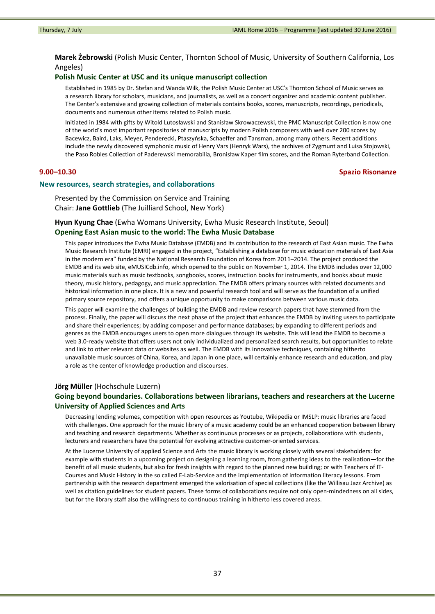**Marek Żebrowski** (Polish Music Center, Thornton School of Music, University of Southern California, Los Angeles)

## **Polish Music Center at USC and its unique manuscript collection**

Established in 1985 by Dr. Stefan and Wanda Wilk, the Polish Music Center at USC's Thornton School of Music serves as a research library for scholars, musicians, and journalists, as well as a concert organizer and academic content publisher. The Center's extensive and growing collection of materials contains books, scores, manuscripts, recordings, periodicals, documents and numerous other items related to Polish music.

Initiated in 1984 with gifts by Witold Lutosławski and Stanisław Skrowaczewski, the PMC Manuscript Collection is now one of the world's most important repositories of manuscripts by modern Polish composers with well over 200 scores by Bacewicz, Baird, Laks, Meyer, Penderecki, Ptaszyńska, Schaeffer and Tansman, among many others. Recent additions include the newly discovered symphonic music of Henry Vars (Henryk Wars), the archives of Zygmunt and Luisa Stojowski, the Paso Robles Collection of Paderewski memorabilia, Bronisław Kaper film scores, and the Roman Ryterband Collection.

# **9.00–10.30 Spazio Risonanze**

#### **New resources, search strategies, and collaborations**

Presented by the Commission on Service and Training Chair: **Jane Gottlieb** (The Juilliard School, New York)

## **Hyun Kyung Chae** (Ewha Womans University, Ewha Music Research Institute, Seoul) **Opening East Asian music to the world: The Ewha Music Database**

This paper introduces the Ewha Music Database (EMDB) and its contribution to the research of East Asian music. The Ewha Music Research Institute (EMRI) engaged in the project, "Establishing a database for music education materials of East Asia in the modern era" funded by the National Research Foundation of Korea from 2011–2014. The project produced the EMDB and its web site, eMUSICdb.info, which opened to the public on November 1, 2014. The EMDB includes over 12,000 music materials such as music textbooks, songbooks, scores, instruction books for instruments, and books about music theory, music history, pedagogy, and music appreciation. The EMDB offers primary sources with related documents and historical information in one place. It is a new and powerful research tool and will serve as the foundation of a unified primary source repository, and offers a unique opportunity to make comparisons between various music data.

This paper will examine the challenges of building the EMDB and review research papers that have stemmed from the process. Finally, the paper will discuss the next phase of the project that enhances the EMDB by inviting users to participate and share their experiences; by adding composer and performance databases; by expanding to different periods and genres as the EMDB encourages users to open more dialogues through its website. This will lead the EMDB to become a web 3.0-ready website that offers users not only individualized and personalized search results, but opportunities to relate and link to other relevant data or websites as well. The EMDB with its innovative techniques, containing hitherto unavailable music sources of China, Korea, and Japan in one place, will certainly enhance research and education, and play a role as the center of knowledge production and discourses.

### **Jörg Müller** (Hochschule Luzern)

# **Going beyond boundaries. Collaborations between librarians, teachers and researchers at the Lucerne University of Applied Sciences and Arts**

Decreasing lending volumes, competition with open resources as Youtube, Wikipedia or IMSLP: music libraries are faced with challenges. One approach for the music library of a music academy could be an enhanced cooperation between library and teaching and research departments. Whether as continuous processes or as projects, collaborations with students, lecturers and researchers have the potential for evolving attractive customer‐oriented services.

At the Lucerne University of applied Science and Arts the music library is working closely with several stakeholders: for example with students in a upcoming project on designing a learning room, from gathering ideas to the realisation—for the benefit of all music students, but also for fresh insights with regard to the planned new building; or with Teachers of IT‐ Courses and Music History in the so called E‐Lab‐Service and the implementation of information literacy lessons. From partnership with the research department emerged the valorisation of special collections (like the Willisau Jazz Archive) as well as citation guidelines for student papers. These forms of collaborations require not only open-mindedness on all sides, but for the library staff also the willingness to continuous training in hitherto less covered areas.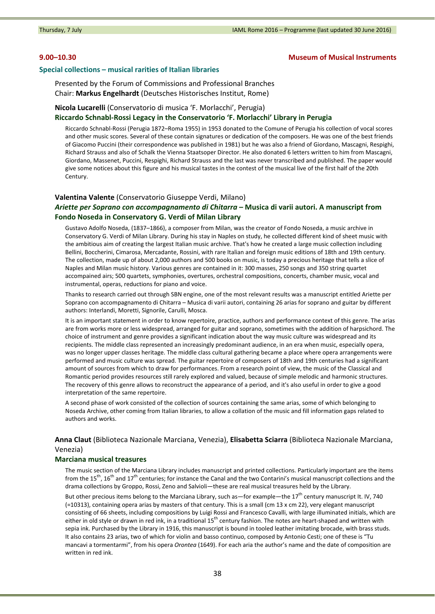## **9.00–10.30 Museum of Musical Instruments**

### **Special collections – musical rarities of Italian libraries**

Presented by the Forum of Commissions and Professional Branches Chair: **Markus Engelhardt** (Deutsches Historisches Institut, Rome)

# **Nicola Lucarelli** (Conservatorio di musica 'F. Morlacchi', Perugia) **Riccardo Schnabl‐Rossi Legacy in the Conservatorio 'F. Morlacchi' Library in Perugia**

Riccardo Schnabl‐Rossi (Perugia 1872–Roma 1955) in 1953 donated to the Comune of Perugia his collection of vocal scores and other music scores. Several of these contain signatures or dedication of the composers. He was one of the best friends of Giacomo Puccini (their correspondence was published in 1981) but he was also a friend of Giordano, Mascagni, Respighi, Richard Strauss and also of Schalk the Vienna Staatsoper Director. He also donated 6 letters written to him from Mascagni, Giordano, Massenet, Puccini, Respighi, Richard Strauss and the last was never transcribed and published. The paper would give some notices about this figure and his musical tastes in the contest of the musical live of the first half of the 20th Century.

#### **Valentina Valente** (Conservatorio Giuseppe Verdi, Milano)

# *Ariette per Soprano con accompagnamento di Chitarra* **– Musica di varii autori. A manuscript from Fondo Noseda in Conservatory G. Verdi of Milan Library**

Gustavo Adolfo Noseda, (1837–1866), a composer from Milan, was the creator of Fondo Noseda, a music archive in Conservatory G. Verdi of Milan Library. During his stay in Naples on study, he collected different kind of sheet music with the ambitious aim of creating the largest Italian music archive. That's how he created a large music collection including Bellini, Boccherini, Cimarosa, Mercadante, Rossini, with rare Italian and foreign music editions of 18th and 19th century. The collection, made up of about 2,000 authors and 500 books on music, is today a precious heritage that tells a slice of Naples and Milan music history. Various genres are contained in it: 300 masses, 250 songs and 350 string quartet accompained airs; 500 quartets, symphonies, overtures, orchestral compositions, concerts, chamber music, vocal and instrumental, operas, reductions for piano and voice.

Thanks to research carried out through SBN engine, one of the most relevant results was a manuscript entitled Ariette per Soprano con accompagnamento di Chitarra – Musica di varii autori, containing 26 arias for soprano and guitar by different authors: Interlandi, Moretti, Signorile, Carulli, Mosca.

It is an important statement in order to know repertoire, practice, authors and performance context of this genre. The arias are from works more or less widespread, arranged for guitar and soprano, sometimes with the addition of harpsichord. The choice of instrument and genre provides a significant indication about the way music culture was widespread and its recipients. The middle class represented an increasingly predominant audience, in an era when music, especially opera, was no longer upper classes heritage. The middle class cultural gathering became a place where opera arrangements were performed and music culture was spread. The guitar repertoire of composers of 18th and 19th centuries had a significant amount of sources from which to draw for performances. From a research point of view, the music of the Classical and Romantic period provides resources still rarely explored and valued, because of simple melodic and harmonic structures. The recovery of this genre allows to reconstruct the appearance of a period, and it's also useful in order to give a good interpretation of the same repertoire.

A second phase of work consisted of the collection of sources containing the same arias, some of which belonging to Noseda Archive, other coming from Italian libraries, to allow a collation of the music and fill information gaps related to authors and works.

# **Anna Claut** (Biblioteca Nazionale Marciana, Venezia), **Elisabetta Sciarra** (Biblioteca Nazionale Marciana, Venezia)

# **Marciana musical treasures**

The music section of the Marciana Library includes manuscript and printed collections. Particularly important are the items from the  $15<sup>th</sup>$ ,  $16<sup>th</sup>$  and  $17<sup>th</sup>$  centuries; for instance the Canal and the two Contarini's musical manuscript collections and the drama collections by Groppo, Rossi, Zeno and Salvioli—these are real musical treasures held by the Library.

But other precious items belong to the Marciana Library, such as—for example—the  $17^{th}$  century manuscript It. IV, 740 (=10313), containing opera arias by masters of that century. This is a small (cm 13 x cm 22), very elegant manuscript consisting of 66 sheets, including compositions by Luigi Rossi and Francesco Cavalli, with large illuminated initials, which are either in old style or drawn in red ink, in a traditional  $15<sup>th</sup>$  century fashion. The notes are heart-shaped and written with sepia ink. Purchased by the Library in 1916, this manuscript is bound in tooled leather imitating brocade, with brass studs. It also contains 23 arias, two of which for violin and basso continuo, composed by Antonio Cesti; one of these is "Tu mancavi a tormentarmi", from his opera *Orontea* (1649). For each aria the author's name and the date of composition are written in red ink.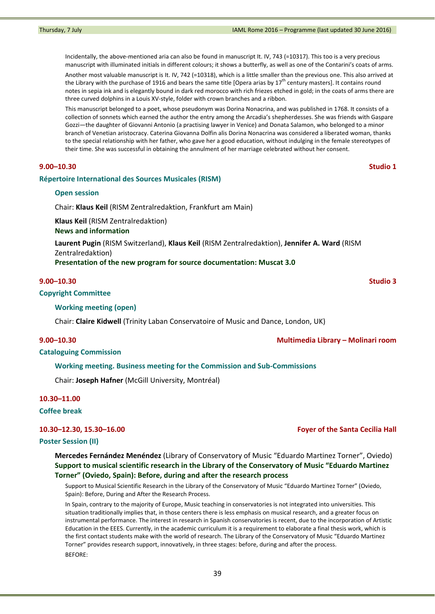Incidentally, the above-mentioned aria can also be found in manuscript It. IV, 743 (=10317). This too is a very precious manuscript with illuminated initials in different colours; it shows a butterfly, as well as one of the Contarini's coats of arms.

Another most valuable manuscript is It. IV, 742 (=10318), which is a little smaller than the previous one. This also arrived at the Library with the purchase of 1916 and bears the same title [Opera arias by  $17<sup>th</sup>$  century masters]. It contains round notes in sepia ink and is elegantly bound in dark red morocco with rich friezes etched in gold; in the coats of arms there are three curved dolphins in a Louis XV‐style, folder with crown branches and a ribbon.

This manuscript belonged to a poet, whose pseudonym was Dorina Nonacrina, and was published in 1768. It consists of a collection of sonnets which earned the author the entry among the Arcadia's shepherdesses. She was friends with Gaspare Gozzi—the daughter of Giovanni Antonio (a practising lawyer in Venice) and Donata Salamon, who belonged to a minor branch of Venetian aristocracy. Caterina Giovanna Dolfin alis Dorina Nonacrina was considered a liberated woman, thanks to the special relationship with her father, who gave her a good education, without indulging in the female stereotypes of their time. She was successful in obtaining the annulment of her marriage celebrated without her consent.

### **9.00–10.30 Studio 1**

### **Répertoire International des Sources Musicales (RISM)**

### **Open session**

Chair: **Klaus Keil** (RISM Zentralredaktion, Frankfurt am Main)

**Klaus Keil** (RISM Zentralredaktion)

# **News and information**

**Laurent Pugin** (RISM Switzerland), **Klaus Keil** (RISM Zentralredaktion), **Jennifer A. Ward** (RISM Zentralredaktion)

**Presentation of the new program for source documentation: Muscat 3.0**

### **9.00–10.30 Studio 3**

# **Copyright Committee**

## **Working meeting (open)**

Chair: **Claire Kidwell** (Trinity Laban Conservatoire of Music and Dance, London, UK)

## **9.00–10.30 Multimedia Library – Molinari room**

## **Cataloguing Commission**

#### **Working meeting. Business meeting for the Commission and Sub‐Commissions**

Chair: **Joseph Hafner** (McGill University, Montréal)

# **10.30–11.00**

## **Coffee break**

#### **Poster Session (II)**

**Mercedes Fernández Menéndez** (Library of Conservatory of Music "Eduardo Martinez Torner", Oviedo) **Support to musical scientific research in the Library of the Conservatory of Music "Eduardo Martinez Torner" (Oviedo, Spain): Before, during and after the research process**

Support to Musical Scientific Research in the Library of the Conservatory of Music "Eduardo Martinez Torner" (Oviedo, Spain): Before, During and After the Research Process.

In Spain, contrary to the majority of Europe, Music teaching in conservatories is not integrated into universities. This situation traditionally implies that, in those centers there is less emphasis on musical research, and a greater focus on instrumental performance. The interest in research in Spanish conservatories is recent, due to the incorporation of Artistic Education in the EEES. Currently, in the academic curriculum it is a requirement to elaborate a final thesis work, which is the first contact students make with the world of research. The Library of the Conservatory of Music "Eduardo Martinez Torner" provides research support, innovatively, in three stages: before, during and after the process. BEFORE:

**10.30–12.30, 15.30–16.00 Foyer of the Santa Cecilia Hall**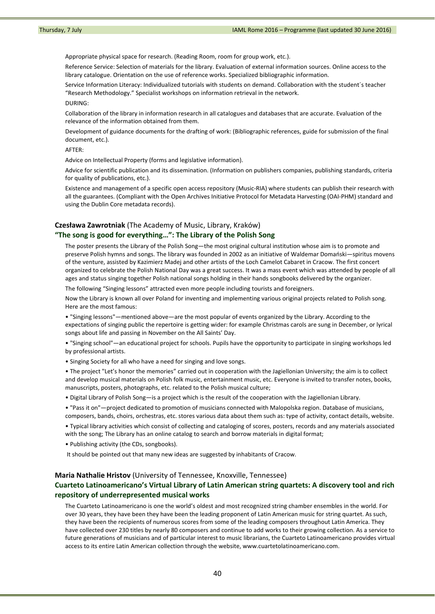Appropriate physical space for research. (Reading Room, room for group work, etc.).

Reference Service: Selection of materials for the library. Evaluation of external information sources. Online access to the library catalogue. Orientation on the use of reference works. Specialized bibliographic information.

Service Information Literacy: Individualized tutorials with students on demand. Collaboration with the student´s teacher "Research Methodology." Specialist workshops on information retrieval in the network.

#### DURING:

Collaboration of the library in information research in all catalogues and databases that are accurate. Evaluation of the relevance of the information obtained from them.

Development of guidance documents for the drafting of work: (Bibliographic references, guide for submission of the final document, etc.).

## AFTER:

Advice on Intellectual Property (forms and legislative information).

Advice for scientific publication and its dissemination. (Information on publishers companies, publishing standards, criteria for quality of publications, etc.).

Existence and management of a specific open access repository (Music‐RIA) where students can publish their research with all the guarantees. (Compliant with the Open Archives Initiative Protocol for Metadata Harvesting (OAI‐PHM) standard and using the Dublin Core metadata records).

#### **Czesława Zawrotniak** (The Academy of Music, Library, Kraków)

## **"The song is good for everything…": The Library of the Polish Song**

The poster presents the Library of the Polish Song—the most original cultural institution whose aim is to promote and preserve Polish hymns and songs. The library was founded in 2002 as an initiative of Waldemar Domański—spiritus movens of the venture, assisted by Kazimierz Madej and other artists of the Loch Camelot Cabaret in Cracow. The first concert organized to celebrate the Polish National Day was a great success. It was a mass event which was attended by people of all ages and status singing together Polish national songs holding in their hands songbooks delivered by the organizer.

The following "Singing lessons" attracted even more people including tourists and foreigners.

Now the Library is known all over Poland for inventing and implementing various original projects related to Polish song. Here are the most famous:

• "Singing lessons"—mentioned above—are the most popular of events organized by the Library. According to the expectations of singing public the repertoire is getting wider: for example Christmas carols are sung in December, or lyrical songs about life and passing in November on the All Saints' Day.

• "Singing school"—an educational project for schools. Pupils have the opportunity to participate in singing workshops led by professional artists.

• Singing Society for all who have a need for singing and love songs.

• The project "Let's honor the memories" carried out in cooperation with the Jagiellonian University; the aim is to collect and develop musical materials on Polish folk music, entertainment music, etc. Everyone is invited to transfer notes, books, manuscripts, posters, photographs, etc. related to the Polish musical culture;

• Digital Library of Polish Song—is a project which is the result of the cooperation with the Jagiellonian Library.

• "Pass it on"—project dedicated to promotion of musicians connected with Malopolska region. Database of musicians, composers, bands, choirs, orchestras, etc. stores various data about them such as: type of activity, contact details, website.

• Typical library activities which consist of collecting and cataloging of scores, posters, records and any materials associated with the song; The Library has an online catalog to search and borrow materials in digital format;

• Publishing activity (the CDs, songbooks).

It should be pointed out that many new ideas are suggested by inhabitants of Cracow.

#### **Maria Nathalie Hristov** (University of Tennessee, Knoxville, Tennessee)

# **Cuarteto Latinoamericano's Virtual Library of Latin American string quartets: A discovery tool and rich repository of underrepresented musical works**

The Cuarteto Latinoamericano is one the world's oldest and most recognized string chamber ensembles in the world. For over 30 years, they have been they have been the leading proponent of Latin American music for string quartet. As such, they have been the recipients of numerous scores from some of the leading composers throughout Latin America. They have collected over 230 titles by nearly 80 composers and continue to add works to their growing collection. As a service to future generations of musicians and of particular interest to music librarians, the Cuarteto Latinoamericano provides virtual access to its entire Latin American collection through the website, www.cuartetolatinoamericano.com.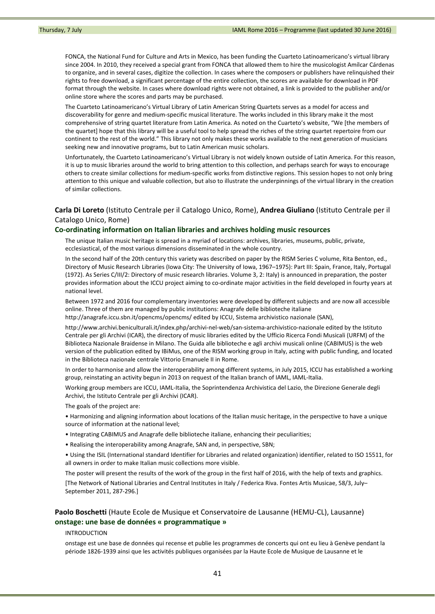FONCA, the National Fund for Culture and Arts in Mexico, has been funding the Cuarteto Latinoamericano's virtual library since 2004. In 2010, they received a special grant from FONCA that allowed them to hire the musicologist Amílcar Cárdenas to organize, and in several cases, digitize the collection. In cases where the composers or publishers have relinquished their rights to free download, a significant percentage of the entire collection, the scores are available for download in PDF format through the website. In cases where download rights were not obtained, a link is provided to the publisher and/or online store where the scores and parts may be purchased.

The Cuarteto Latinoamericano's Virtual Library of Latin American String Quartets serves as a model for access and discoverability for genre and medium‐specific musical literature. The works included in this library make it the most comprehensive of string quartet literature from Latin America. As noted on the Cuarteto's website, "We [the members of the quartet] hope that this library will be a useful tool to help spread the riches of the string quartet repertoire from our continent to the rest of the world." This library not only makes these works available to the next generation of musicians seeking new and innovative programs, but to Latin American music scholars.

Unfortunately, the Cuarteto Latinoamericano's Virtual Library is not widely known outside of Latin America. For this reason, it is up to music libraries around the world to bring attention to this collection, and perhaps search for ways to encourage others to create similar collections for medium‐specific works from distinctive regions. This session hopes to not only bring attention to this unique and valuable collection, but also to illustrate the underpinnings of the virtual library in the creation of similar collections.

# **Carla Di Loreto** (Istituto Centrale per il Catalogo Unico, Rome), **Andrea Giuliano** (Istituto Centrale per il Catalogo Unico, Rome)

## **Co‐ordinating information on Italian libraries and archives holding music resources**

The unique Italian music heritage is spread in a myriad of locations: archives, libraries, museums, public, private, ecclesiastical, of the most various dimensions disseminated in the whole country.

In the second half of the 20th century this variety was described on paper by the RISM Series C volume, Rita Benton, ed., Directory of Music Research Libraries (Iowa City: The University of Iowa, 1967–1975): Part III: Spain, France, Italy, Portugal (1972). As Series C/III/2: Directory of music research libraries. Volume 3, 2: Italy) is announced in preparation, the poster provides information about the ICCU project aiming to co-ordinate major activities in the field developed in fourty years at national level.

Between 1972 and 2016 four complementary inventories were developed by different subjects and are now all accessible online. Three of them are managed by public institutions: Anagrafe delle biblioteche italiane http://anagrafe.iccu.sbn.it/opencms/opencms/ edited by ICCU, Sistema archivistico nazionale (SAN),

http://www.archivi.beniculturali.it/index.php/archivi‐nel‐web/san‐sistema‐archivistico‐nazionale edited by the Istituto Centrale per gli Archivi (ICAR), the directory of music libraries edited by the Ufficio Ricerca Fondi Musicali (URFM) of the Biblioteca Nazionale Braidense in Milano. The Guida alle biblioteche e agli archivi musicali online (CABIMUS) is the web version of the publication edited by IBiMus, one of the RISM working group in Italy, acting with public funding, and located in the Biblioteca nazionale centrale Vittorio Emanuele II in Rome.

In order to harmonise and allow the interoperability among different systems, in July 2015, ICCU has established a working group, reinstating an activity begun in 2013 on request of the Italian branch of IAML, IAML‐Italia.

Working group members are ICCU, IAML‐Italia, the Soprintendenza Archivistica del Lazio, the Direzione Generale degli Archivi, the Istituto Centrale per gli Archivi (ICAR).

The goals of the project are:

• Harmonizing and aligning information about locations of the Italian music heritage, in the perspective to have a unique source of information at the national level;

- Integrating CABIMUS and Anagrafe delle biblioteche italiane, enhancing their peculiarities;
- Realising the interoperability among Anagrafe, SAN and, in perspective, SBN;

• Using the ISIL (International standard Identifier for Libraries and related organization) identifier, related to ISO 15511, for all owners in order to make Italian music collections more visible.

The poster will present the results of the work of the group in the first half of 2016, with the help of texts and graphics.

[The Network of National Libraries and Central Institutes in Italy / Federica Riva. Fontes Artis Musicae, 58/3, July– September 2011, 287‐296.]

# **Paolo Boschetti** (Haute Ecole de Musique et Conservatoire de Lausanne (HEMU‐CL), Lausanne) **onstage: une base de données « programmatique »**

INTRODUCTION

onstage est une base de données qui recense et publie les programmes de concerts qui ont eu lieu à Genève pendant la période 1826‐1939 ainsi que les activités publiques organisées par la Haute Ecole de Musique de Lausanne et le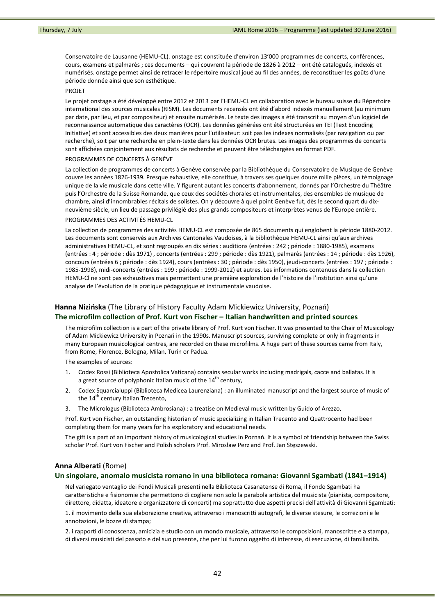Conservatoire de Lausanne (HEMU‐CL). onstage est constituée d'environ 13'000 programmes de concerts, conférences, cours, examens et palmarès ; ces documents – qui couvrent la période de 1826 à 2012 – ont été catalogués, indexés et numérisés. onstage permet ainsi de retracer le répertoire musical joué au fil des années, de reconstituer les goûts d'une période donnée ainsi que son esthétique.

#### PROJET

Le projet onstage a été développé entre 2012 et 2013 par l'HEMU-CL en collaboration avec le bureau suisse du Répertoire international des sources musicales (RISM). Les documents recensés ont été d'abord indexés manuellement (au minimum par date, par lieu, et par compositeur) et ensuite numérisés. Le texte des images a été transcrit au moyen d'un logiciel de reconnaissance automatique des caractères (OCR). Les données générées ont été structurées en TEI (Text Encoding Initiative) et sont accessibles des deux manières pour l'utilisateur: soit pas les indexes normalisés (par navigation ou par recherche), soit par une recherche en plein‐texte dans les données OCR brutes. Les images des programmes de concerts sont affichées conjointement aux résultats de recherche et peuvent être téléchargées en format PDF.

#### PROGRAMMES DE CONCERTS À GENÈVE

La collection de programmes de concerts à Genève conservée par la Bibliothèque du Conservatoire de Musique de Genève couvre les années 1826‐1939. Presque exhaustive, elle constitue, à travers ses quelques douze mille pièces, un témoignage unique de la vie musicale dans cette ville. Y figurent autant les concerts d'abonnement, donnés par l'Orchestre du Théâtre puis l'Orchestre de la Suisse Romande, que ceux des sociétés chorales et instrumentales, des ensembles de musique de chambre, ainsi d'innombrables récitals de solistes. On y découvre à quel point Genève fut, dès le second quart du dix‐ neuvième siècle, un lieu de passage privilégié des plus grands compositeurs et interprètes venus de l'Europe entière.

#### PROGRAMMES DES ACTIVITÉS HEMU‐CL

La collection de programmes des activités HEMU‐CL est composée de 865 documents qui englobent la période 1880‐2012. Les documents sont conservés aux Archives Cantonales Vaudoises, à la bibliothèque HEMU‐CL ainsi qu'aux archives administratives HEMU‐CL, et sont regroupés en dix séries : auditions (entrées : 242 ; période : 1880‐1985), examens (entrées : 4 ; période : dès 1971) , concerts (entrées : 299 ; période : dès 1921), palmarès (entrées : 14 ; période : dès 1926), concours (entrées 6 ; période : dès 1924), cours (entrées : 30 ; période : dès 1950), jeudi‐concerts (entrées : 197 ; période : 1985‐1998), midi‐concerts (entrées : 199 : période : 1999‐2012) et autres. Les informations contenues dans la collection HEMU-CI ne sont pas exhaustives mais permettent une première exploration de l'histoire de l'institution ainsi qu'une analyse de l'évolution de la pratique pédagogique et instrumentale vaudoise.

# **Hanna Nizińska** (The Library of History Faculty Adam Mickiewicz University, Poznań) **The microfilm collection of Prof. Kurt von Fischer – Italian handwritten and printed sources**

The microfilm collection is a part of the private library of Prof. Kurt von Fischer. It was presented to the Chair of Musicology of Adam Mickiewicz University in Poznań in the 1990s. Manuscript sources, surviving complete or only in fragments in many European musicological centres, are recorded on these microfilms. A huge part of these sources came from Italy, from Rome, Florence, Bologna, Milan, Turin or Padua.

The examples of sources:

- 1. Codex Rossi (Biblioteca Apostolica Vaticana) contains secular works including madrigals, cacce and ballatas. It is a great source of polyphonic Italian music of the  $14<sup>th</sup>$  century.
- 2. Codex Squarcialuppi (Biblioteca Medicea Laurenziana) : an illuminated manuscript and the largest source of music of the 14<sup>th</sup> century Italian Trecento,
- 3. The Micrologus (Biblioteca Ambrosiana) : a treatise on Medieval music written by Guido of Arezzo,

Prof. Kurt von Fischer, an outstanding historian of music specializing in Italian Trecento and Quattrocento had been completing them for many years for his exploratory and educational needs.

The gift is a part of an important history of musicological studies in Poznań. It is a symbol of friendship between the Swiss scholar Prof. Kurt von Fischer and Polish scholars Prof. Mirosław Perz and Prof. Jan Stęszewski.

## **Anna Alberati** (Rome)

#### **Un singolare, anomalo musicista romano in una biblioteca romana: Giovanni Sgambati (1841–1914)**

Nel variegato ventaglio dei Fondi Musicali presenti nella Biblioteca Casanatense di Roma, il Fondo Sgambati ha caratteristiche e fisionomie che permettono di cogliere non solo la parabola artistica del musicista (pianista, compositore, direttore, didatta, ideatore e organizzatore di concerti) ma soprattutto due aspetti precisi dell'attività di Giovanni Sgambati:

1. il movimento della sua elaborazione creativa, attraverso i manoscritti autografi, le diverse stesure, le correzioni e le annotazioni, le bozze di stampa;

2. i rapporti di conoscenza, amicizia e studio con un mondo musicale, attraverso le composizioni, manoscritte e a stampa, di diversi musicisti del passato e del suo presente, che per lui furono oggetto di interesse, di esecuzione, di familiarità.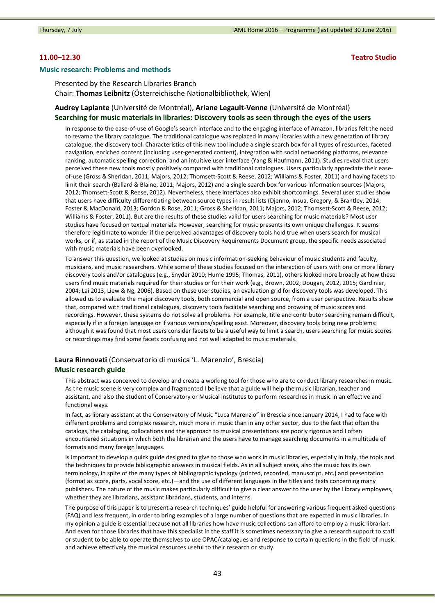### **11.00–12.30 Teatro Studio**

#### **Music research: Problems and methods**

Presented by the Research Libraries Branch Chair: **Thomas Leibnitz** (Österreichische Nationalbibliothek, Wien)

# **Audrey Laplante** (Université de Montréal), **Ariane Legault‐Venne** (Université de Montréal) **Searching for music materials in libraries: Discovery tools as seen through the eyes of the users**

In response to the ease-of-use of Google's search interface and to the engaging interface of Amazon, libraries felt the need to revamp the library catalogue. The traditional catalogue was replaced in many libraries with a new generation of library catalogue, the discovery tool. Characteristics of this new tool include a single search box for all types of resources, faceted navigation, enriched content (including user‐generated content), integration with social networking platforms, relevance ranking, automatic spelling correction, and an intuitive user interface (Yang & Haufmann, 2011). Studies reveal that users perceived these new tools mostly positively compared with traditional catalogues. Users particularly appreciate their easeof‐use (Gross & Sheridan, 2011; Majors, 2012; Thomsett‐Scott & Reese, 2012; Williams & Foster, 2011) and having facets to limit their search (Ballard & Blaine, 2011; Majors, 2012) and a single search box for various information sources (Majors, 2012; Thomsett‐Scott & Reese, 2012). Nevertheless, these interfaces also exhibit shortcomings. Several user studies show that users have difficulty differentiating between source types in result lists (Djenno, Insua, Gregory, & Brantley, 2014; Foster & MacDonald, 2013; Gordon & Rose, 2011; Gross & Sheridan, 2011; Majors, 2012; Thomsett‐Scott & Reese, 2012; Williams & Foster, 2011). But are the results of these studies valid for users searching for music materials? Most user studies have focused on textual materials. However, searching for music presents its own unique challenges. It seems therefore legitimate to wonder if the perceived advantages of discovery tools hold true when users search for musical works, or if, as stated in the report of the Music Discovery Requirements Document group, the specific needs associated with music materials have been overlooked.

To answer this question, we looked at studies on music information‐seeking behaviour of music students and faculty, musicians, and music researchers. While some of these studies focused on the interaction of users with one or more library discovery tools and/or catalogues (e.g., Snyder 2010; Hume 1995; Thomas, 2011), others looked more broadly at how these users find music materials required for their studies or for their work (e.g., Brown, 2002; Dougan, 2012, 2015; Gardinier, 2004; Lai 2013, Liew & Ng, 2006). Based on these user studies, an evaluation grid for discovery tools was developed. This allowed us to evaluate the major discovery tools, both commercial and open source, from a user perspective. Results show that, compared with traditional catalogues, discovery tools facilitate searching and browsing of music scores and recordings. However, these systems do not solve all problems. For example, title and contributor searching remain difficult, especially if in a foreign language or if various versions/spelling exist. Moreover, discovery tools bring new problems: although it was found that most users consider facets to be a useful way to limit a search, users searching for music scores or recordings may find some facets confusing and not well adapted to music materials.

# **Laura Rinnovati** (Conservatorio di musica 'L. Marenzio', Brescia) **Music research guide**

This abstract was conceived to develop and create a working tool for those who are to conduct library researches in music. As the music scene is very complex and fragmented I believe that a guide will help the music librarian, teacher and assistant, and also the student of Conservatory or Musical institutes to perform researches in music in an effective and functional ways.

In fact, as library assistant at the Conservatory of Music "Luca Marenzio" in Brescia since January 2014, I had to face with different problems and complex research, much more in music than in any other sector, due to the fact that often the catalogs, the cataloging, collocations and the approach to musical presentations are poorly rigorous and I often encountered situations in which both the librarian and the users have to manage searching documents in a multitude of formats and many foreign languages.

Is important to develop a quick guide designed to give to those who work in music libraries, especially in Italy, the tools and the techniques to provide bibliographic answers in musical fields. As in all subject areas, also the music has its own terminology, in spite of the many types of bibliographic typology (printed, recorded, manuscript, etc.) and presentation (format as score, parts, vocal score, etc.)—and the use of different languages in the titles and texts concerning many publishers. The nature of the music makes particularly difficult to give a clear answer to the user by the Library employees, whether they are librarians, assistant librarians, students, and interns.

The purpose of this paper is to present a research techniques' guide helpful for answering various frequent asked questions (FAQ) and less frequent, in order to bring examples of a large number of questions that are expected in music libraries. In my opinion a guide is essential because not all libraries how have music collections can afford to employ a music librarian. And even for those libraries that have this specialist in the staff it is sometimes necessary to give a research support to staff or student to be able to operate themselves to use OPAC/catalogues and response to certain questions in the field of music and achieve effectively the musical resources useful to their research or study.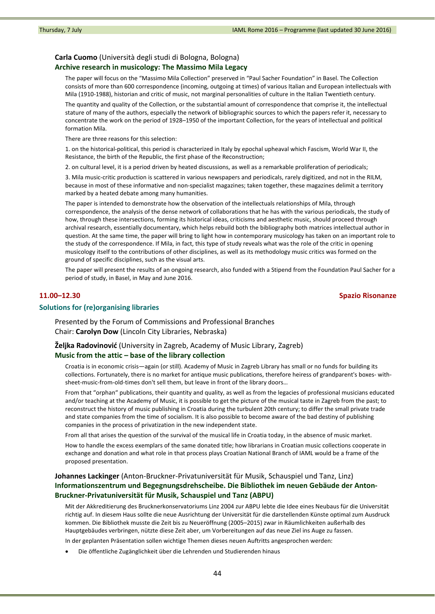# **Carla Cuomo** (Università degli studi di Bologna, Bologna)

## **Archive research in musicology: The Massimo Mila Legacy**

The paper will focus on the "Massimo Mila Collection" preserved in "Paul Sacher Foundation" in Basel. The Collection consists of more than 600 correspondence (incoming, outgoing at times) of various Italian and European intellectuals with Mila (1910‐1988), historian and critic of music, not marginal personalities of culture in the Italian Twentieth century.

The quantity and quality of the Collection, or the substantial amount of correspondence that comprise it, the intellectual stature of many of the authors, especially the network of bibliographic sources to which the papers refer it, necessary to concentrate the work on the period of 1928–1950 of the important Collection, for the years of intellectual and political formation Mila.

There are three reasons for this selection:

1. on the historical‐political, this period is characterized in Italy by epochal upheaval which Fascism, World War II, the Resistance, the birth of the Republic, the first phase of the Reconstruction;

2. on cultural level, it is a period driven by heated discussions, as well as a remarkable proliferation of periodicals;

3. Mila music‐critic production is scattered in various newspapers and periodicals, rarely digitized, and not in the RILM, because in most of these informative and non‐specialist magazines; taken together, these magazines delimit a territory marked by a heated debate among many humanities.

The paper is intended to demonstrate how the observation of the intellectuals relationships of Mila, through correspondence, the analysis of the dense network of collaborations that he has with the various periodicals, the study of how, through these intersections, forming its historical ideas, criticisms and aesthetic music, should proceed through archival research, essentially documentary, which helps rebuild both the bibliography both matrices intellectual author in question. At the same time, the paper will bring to light how in contemporary musicology has taken on an important role to the study of the correspondence. If Mila, in fact, this type of study reveals what was the role of the critic in opening musicology itself to the contributions of other disciplines, as well as its methodology music critics was formed on the ground of specific disciplines, such as the visual arts.

The paper will present the results of an ongoing research, also funded with a Stipend from the Foundation Paul Sacher for a period of study, in Basel, in May and June 2016.

## **11.00–12.30 Spazio Risonanze**

## **Solutions for (re)organising libraries**

Presented by the Forum of Commissions and Professional Branches Chair: **Carolyn Dow** (Lincoln City Libraries, Nebraska)

**Željka Radovinović** (University in Zagreb, Academy of Music Library, Zagreb) **Music from the attic – base of the library collection**

Croatia is in economic crisis—again (or still). Academy of Music in Zagreb Library has small or no funds for building its collections. Fortunately, there is no market for antique music publications, therefore heiress of grandparent's boxes- withsheet-music-from-old-times don't sell them, but leave in front of the library doors...

From that "orphan" publications, their quantity and quality, as well as from the legacies of professional musicians educated and/or teaching at the Academy of Music, it is possible to get the picture of the musical taste in Zagreb from the past; to reconstruct the history of music publishing in Croatia during the turbulent 20th century; to differ the small private trade and state companies from the time of socialism. It is also possible to become aware of the bad destiny of publishing companies in the process of privatization in the new independent state.

From all that arises the question of the survival of the musical life in Croatia today, in the absence of music market. How to handle the excess exemplars of the same donated title; how librarians in Croatian music collections cooperate in exchange and donation and what role in that process plays Croatian National Branch of IAML would be a frame of the proposed presentation.

# **Johannes Lackinger** (Anton‐Bruckner‐Privatuniversität für Musik, Schauspiel und Tanz, Linz) **Informationszentrum und Begegnungsdrehscheibe. Die Bibliothek im neuen Gebäude der Anton‐ Bruckner‐Privatuniversität für Musik, Schauspiel und Tanz (ABPU)**

Mit der Akkreditierung des Brucknerkonservatoriums Linz 2004 zur ABPU lebte die Idee eines Neubaus für die Universität richtig auf. In diesem Haus sollte die neue Ausrichtung der Universität für die darstellenden Künste optimal zum Ausdruck kommen. Die Bibliothek musste die Zeit bis zu Neueröffnung (2005–2015) zwar in Räumlichkeiten außerhalb des Hauptgebäudes verbringen, nützte diese Zeit aber, um Vorbereitungen auf das neue Ziel ins Auge zu fassen.

In der geplanten Präsentation sollen wichtige Themen dieses neuen Auftritts angesprochen werden:

Die öffentliche Zugänglichkeit über die Lehrenden und Studierenden hinaus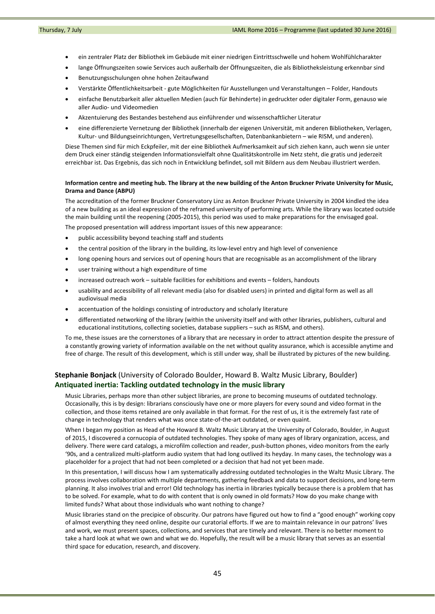- ein zentraler Platz der Bibliothek im Gebäude mit einer niedrigen Eintrittsschwelle und hohem Wohlfühlcharakter
- lange Öffnungszeiten sowie Services auch außerhalb der Öffnungszeiten, die als Bibliotheksleistung erkennbar sind
- Benutzungsschulungen ohne hohen Zeitaufwand
- Verstärkte Öffentlichkeitsarbeit ‐ gute Möglichkeiten für Ausstellungen und Veranstaltungen Folder, Handouts
- einfache Benutzbarkeit aller aktuellen Medien (auch für Behinderte) in gedruckter oder digitaler Form, genauso wie aller Audio‐ und Videomedien
- Akzentuierung des Bestandes bestehend aus einführender und wissenschaftlicher Literatur
- eine differenzierte Vernetzung der Bibliothek (innerhalb der eigenen Universität, mit anderen Bibliotheken, Verlagen, Kultur‐ und Bildungseinrichtungen, Vertretungsgesellschaften, Datenbankanbietern – wie RISM, und anderen).

Diese Themen sind für mich Eckpfeiler, mit der eine Bibliothek Aufmerksamkeit auf sich ziehen kann, auch wenn sie unter dem Druck einer ständig steigenden Informationsvielfalt ohne Qualitätskontrolle im Netz steht, die gratis und jederzeit erreichbar ist. Das Ergebnis, das sich noch in Entwicklung befindet, soll mit Bildern aus dem Neubau illustriert werden.

#### Information centre and meeting hub. The library at the new building of the Anton Bruckner Private University for Music. **Drama and Dance (ABPU)**

The accreditation of the former Bruckner Conservatory Linz as Anton Bruckner Private University in 2004 kindled the idea of a new building as an ideal expression of the reframed university of performing arts. While the library was located outside the main building until the reopening (2005‐2015), this period was used to make preparations for the envisaged goal.

The proposed presentation will address important issues of this new appearance:

- public accessibility beyond teaching staff and students
- the central position of the library in the building, its low‐level entry and high level of convenience
- long opening hours and services out of opening hours that are recognisable as an accomplishment of the library
- user training without a high expenditure of time
- increased outreach work suitable facilities for exhibitions and events folders, handouts
- usability and accessibility of all relevant media (also for disabled users) in printed and digital form as well as all audiovisual media
- accentuation of the holdings consisting of introductory and scholarly literature
- differentiated networking of the library (within the university itself and with other libraries, publishers, cultural and educational institutions, collecting societies, database suppliers – such as RISM, and others).

To me, these issues are the cornerstones of a library that are necessary in order to attract attention despite the pressure of a constantly growing variety of information available on the net without quality assurance, which is accessible anytime and free of charge. The result of this development, which is still under way, shall be illustrated by pictures of the new building.

# **Stephanie Bonjack** (University of Colorado Boulder, Howard B. Waltz Music Library, Boulder) **Antiquated inertia: Tackling outdated technology in the music library**

Music Libraries, perhaps more than other subject libraries, are prone to becoming museums of outdated technology. Occasionally, this is by design: librarians consciously have one or more players for every sound and video format in the collection, and those items retained are only available in that format. For the rest of us, it is the extremely fast rate of change in technology that renders what was once state-of-the-art outdated, or even quaint.

When I began my position as Head of the Howard B. Waltz Music Library at the University of Colorado, Boulder, in August of 2015, I discovered a cornucopia of outdated technologies. They spoke of many ages of library organization, access, and delivery. There were card catalogs, a microfilm collection and reader, push-button phones, video monitors from the early '90s, and a centralized multi‐platform audio system that had long outlived its heyday. In many cases, the technology was a placeholder for a project that had not been completed or a decision that had not yet been made.

In this presentation, I will discuss how I am systematically addressing outdated technologies in the Waltz Music Library. The process involves collaboration with multiple departments, gathering feedback and data to support decisions, and long‐term planning. It also involves trial and error! Old technology has inertia in libraries typically because there is a problem that has to be solved. For example, what to do with content that is only owned in old formats? How do you make change with limited funds? What about those individuals who want nothing to change?

Music libraries stand on the precipice of obscurity. Our patrons have figured out how to find a "good enough" working copy of almost everything they need online, despite our curatorial efforts. If we are to maintain relevance in our patrons' lives and work, we must present spaces, collections, and services that are timely and relevant. There is no better moment to take a hard look at what we own and what we do. Hopefully, the result will be a music library that serves as an essential third space for education, research, and discovery.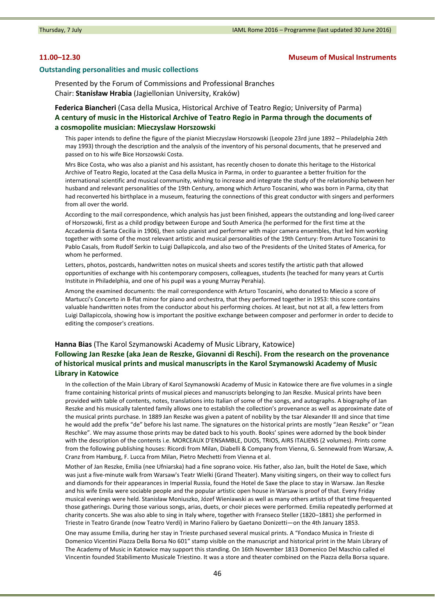## **11.00–12.30 Museum of Musical Instruments**

#### **Outstanding personalities and music collections**

Presented by the Forum of Commissions and Professional Branches Chair: **Stanisław Hrabia** (Jagiellonian University, Kraków)

**Federica Biancheri** (Casa della Musica, Historical Archive of Teatro Regio; University of Parma) **A century of music in the Historical Archive of Teatro Regio in Parma through the documents of a cosmopolite musician: Mieczyslaw Horszowski**

This paper intends to define the figure of the pianist Mieczyslaw Horszowski (Leopole 23rd june 1892 – Philadelphia 24th may 1993) through the description and the analysis of the inventory of his personal documents, that he preserved and passed on to his wife Bice Horszowski Costa.

Mrs Bice Costa, who was also a pianist and his assistant, has recently chosen to donate this heritage to the Historical Archive of Teatro Regio, located at the Casa della Musica in Parma, in order to guarantee a better fruition for the international scientific and musical community, wishing to increase and integrate the study of the relationship between her husband and relevant personalities of the 19th Century, among which Arturo Toscanini, who was born in Parma, city that had reconverted his birthplace in a museum, featuring the connections of this great conductor with singers and performers from all over the world.

According to the mail correspondence, which analysis has just been finished, appears the outstanding and long‐lived career of Horszowski, first as a child prodigy between Europe and South America (he performed for the first time at the Accademia di Santa Cecilia in 1906), then solo pianist and performer with major camera ensembles, that led him working together with some of the most relevant artistic and musical personalities of the 19th Century: from Arturo Toscanini to Pablo Casals, from Rudolf Serkin to Luigi Dallapiccola, and also two of the Presidents of the United States of America, for whom he performed.

Letters, photos, postcards, handwritten notes on musical sheets and scores testify the artistic path that allowed opportunities of exchange with his contemporary composers, colleagues, students (he teached for many years at Curtis Institute in Philadelphia, and one of his pupil was a young Murray Perahia).

Among the examined documents: the mail correspondence with Arturo Toscanini, who donated to Miecio a score of Martucci's Concerto in B‐flat minor for piano and orchestra, that they performed together in 1953: this score contains valuable handwritten notes from the conductor about his performing choices. At least, but not at all, a few letters from Luigi Dallapiccola, showing how is important the positive exchange between composer and performer in order to decide to editing the composer's creations.

# **Hanna Bias** (The Karol Szymanowski Academy of Music Library, Katowice) **Following Jan Reszke (aka Jean de Reszke, Giovanni di Reschi). From the research on the provenance of historical musical prints and musical manuscripts in the Karol Szymanowski Academy of Music Library in Katowice**

In the collection of the Main Library of Karol Szymanowski Academy of Music in Katowice there are five volumes in a single frame containing historical prints of musical pieces and manuscripts belonging to Jan Reszke. Musical prints have been provided with table of contents, notes, translations into Italian of some of the songs, and autographs. A biography of Jan Reszke and his musically talented family allows one to establish the collection's provenance as well as approximate date of the musical prints purchase. In 1889 Jan Reszke was given a patent of nobility by the tsar Alexander III and since that time he would add the prefix "de" before his last name. The signatures on the historical prints are mostly "Jean Reszke" or "Jean Reschke". We may assume those prints may be dated back to his youth. Books' spines were adorned by the book binder with the description of the contents i.e. MORCEAUX D'ENSAMBLE, DUOS, TRIOS, AIRS ITALIENS (2 volumes). Prints come from the following publishing houses: Ricordi from Milan, Diabelli & Company from Vienna, G. Sennewald from Warsaw, A. Cranz from Hamburg, F. Lucca from Milan, Pietro Mechetti from Vienna et al.

Mother of Jan Reszke, Emilia (nee Ufniarska) had a fine soprano voice. His father, also Jan, built the Hotel de Saxe, which was just a five-minute walk from Warsaw's Teatr Wielki (Grand Theater). Many visiting singers, on their way to collect furs and diamonds for their appearances in Imperial Russia, found the Hotel de Saxe the place to stay in Warsaw. Jan Reszke and his wife Emila were sociable people and the popular artistic open house in Warsaw is proof of that. Every Friday musical evenings were held. Stanisław Moniuszko, Józef Wieniawski as well as many others artists of that time frequented those gatherings. During those various songs, arias, duets, or choir pieces were performed. Emilia repeatedly performed at charity concerts. She was also able to sing in Italy where, together with Franseco Steller (1820–1881) she performed in Trieste in Teatro Grande (now Teatro Verdi) in Marino Faliero by Gaetano Donizetti—on the 4th January 1853.

One may assume Emilia, during her stay in Trieste purchased several musical prints. A "Fondaco Musica in Trieste di Domenico Vicentini Piazza Della Borsa No 601" stamp visible on the manuscript and historical print in the Main Library of The Academy of Music in Katowice may support this standing. On 16th November 1813 Domenico Del Maschio called el Vincentin founded Stabilimento Musicale Triestino. It was a store and theater combined on the Piazza della Borsa square.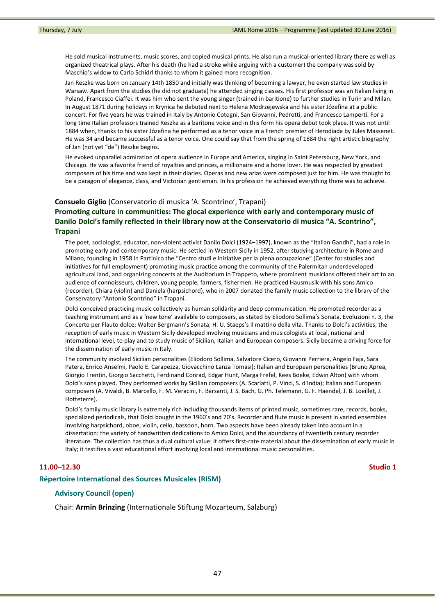He sold musical instruments, music scores, and copied musical prints. He also run a musical-oriented library there as well as organized theatrical plays. After his death (he had a stroke while arguing with a customer) the company was sold by Maschio's widow to Carlo Schidrl thanks to whom it gained more recognition.

Jan Reszke was born on January 14th 1850 and initially was thinking of becoming a lawyer, he even started law studies in Warsaw. Apart from the studies (he did not graduate) he attended singing classes. His first professor was an Italian living in Poland, Francesco Ciaffei. It was him who sent the young singer (trained in baritione) to further studies in Turin and Milan. In August 1871 during holidays in Krynica he debuted next to Helena Modrzejewska and his sister Józefina at a public concert. For five years he was trained in Italy by Antonio Cotogni, San Giovanni, Pedrotti, and Francesco Lamperti. For a long time Italian professors trained Reszke as a baritone voice and in this form his opera debut took place. It was not until 1884 when, thanks to his sister Józefina he performed as a tenor voice in a French premier of Herodiada by Jules Massenet. He was 34 and became successful as a tenor voice. One could say that from the spring of 1884 the right artistic biography of Jan (not yet "de") Reszke begins.

He evoked unparallel admiration of opera audience in Europe and America, singing in Saint Petersburg, New York, and Chicago. He was a favorite friend of royalties and princes, a millionaire and a horse lover. He was respected by greatest composers of his time and was kept in their diaries. Operas and new arias were composed just for him. He was thought to be a paragon of elegance, class, and Victorian gentleman. In his profession he achieved everything there was to achieve.

#### **Consuelo Giglio** (Conservatorio di musica 'A. Scontrino', Trapani)

# **Promoting culture in communities: The glocal experience with early and contemporary music of Danilo Dolci's family reflected in their library now at the Conservatorio di musica "A. Scontrino", Trapani**

The poet, sociologist, educator, non‐violent activist Danilo Dolci (1924–1997), known as the "Italian Gandhi", had a role in promoting early and contemporary music. He settled in Western Sicily in 1952, after studying architecture in Rome and Milano, founding in 1958 in Partinico the "Centro studi e iniziative per la piena occupazione" (Center for studies and initiatives for full employment) promoting music practice among the community of the Palermitan underdeveloped agricultural land, and organizing concerts at the Auditorium in Trappeto, where prominent musicians offered their art to an audience of connoisseurs, children, young people, farmers, fishermen. He practiced Hausmusik with his sons Amico (recorder), Chiara (violin) and Daniela (harpsichord), who in 2007 donated the family music collection to the library of the Conservatory "Antonio Scontrino" in Trapani.

Dolci conceived practicing music collectively as human solidarity and deep communication. He promoted recorder as a teaching instrument and as a 'new tone' available to composers, as stated by Eliodoro Sollima's Sonata, Evoluzioni n. 3, the Concerto per Flauto dolce; Walter Bergmann's Sonata; H. U. Staeps's Il mattino della vita. Thanks to Dolci's activities, the reception of early music in Western Sicily developed involving musicians and musicologists at local, national and international level, to play and to study music of Sicilian, Italian and European composers. Sicily became a driving force for the dissemination of early music in Italy.

The community involved Sicilian personalities (Eliodoro Sollima, Salvatore Cicero, Giovanni Perriera, Angelo Faja, Sara Patera, Enrico Anselmi, Paolo E. Carapezza, Giovacchino Lanza Tomasi); Italian and European personalities (Bruno Aprea, Giorgio Trentin, Giorgio Sacchetti, Ferdinand Conrad, Edgar Hunt, Marga Frefel, Kees Boeke, Edwin Alton) with whom Dolci's sons played. They performed works by Sicilian composers (A. Scarlatti, P. Vinci, S. d'India); Italian and European composers (A. Vivaldi, B. Marcello, F. M. Veracini, F. Barsanti, J. S. Bach, G. Ph. Telemann, G. F. Haendel, J. B. Loeillet, J. Hotteterre).

Dolci's family music library is extremely rich including thousands items of printed music, sometimes rare, records, books, specialized periodicals, that Dolci bought in the 1960's and 70's. Recorder and flute music is present in varied ensembles involving harpsichord, oboe, violin, cello, bassoon, horn. Two aspects have been already taken into account in a dissertation: the variety of handwritten dedications to Amico Dolci, and the abundancy of twentieth century recorder literature. The collection has thus a dual cultural value: it offers first-rate material about the dissemination of early music in Italy; it testifies a vast educational effort involving local and international music personalities.

### **11.00–12.30 Studio 1**

#### **Répertoire International des Sources Musicales (RISM)**

## **Advisory Council (open)**

Chair: **Armin Brinzing** (Internationale Stiftung Mozarteum, Salzburg)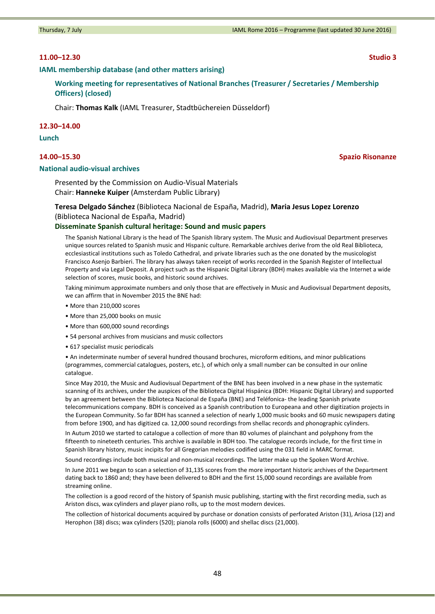## **11.00–12.30 Studio 3**

**IAML membership database (and other matters arising)**

**Working meeting for representatives of National Branches (Treasurer / Secretaries / Membership Officers) (closed)**

Chair: **Thomas Kalk** (IAML Treasurer, Stadtbüchereien Düsseldorf)

#### **12.30–14.00**

**Lunch**

### **National audio‐visual archives**

Presented by the Commission on Audio‐Visual Materials Chair: **Hanneke Kuiper** (Amsterdam Public Library)

**Teresa Delgado Sánchez** (Biblioteca Nacional de España, Madrid), **Maria Jesus Lopez Lorenzo** (Biblioteca Nacional de España, Madrid)

#### **Disseminate Spanish cultural heritage: Sound and music papers**

The Spanish National Library is the head of The Spanish library system. The Music and Audiovisual Department preserves unique sources related to Spanish music and Hispanic culture. Remarkable archives derive from the old Real Biblioteca, ecclesiastical institutions such as Toledo Cathedral, and private libraries such as the one donated by the musicologist Francisco Asenjo Barbieri. The library has always taken receipt of works recorded in the Spanish Register of Intellectual Property and via Legal Deposit. A project such as the Hispanic Digital Library (BDH) makes available via the Internet a wide selection of scores, music books, and historic sound archives.

Taking minimum approximate numbers and only those that are effectively in Music and Audiovisual Department deposits, we can affirm that in November 2015 the BNE had:

- More than 210,000 scores
- More than 25,000 books on music
- More than 600,000 sound recordings
- 54 personal archives from musicians and music collectors
- 617 specialist music periodicals

• An indeterminate number of several hundred thousand brochures, microform editions, and minor publications (programmes, commercial catalogues, posters, etc.), of which only a small number can be consulted in our online catalogue.

Since May 2010, the Music and Audiovisual Department of the BNE has been involved in a new phase in the systematic scanning of its archives, under the auspices of the Biblioteca Digital Hispánica (BDH: Hispanic Digital Library) and supported by an agreement between the Biblioteca Nacional de España (BNE) and Teléfonica‐ the leading Spanish private telecommunications company. BDH is conceived as a Spanish contribution to Europeana and other digitization projects in the European Community. So far BDH has scanned a selection of nearly 1,000 music books and 60 music newspapers dating from before 1900, and has digitized ca. 12,000 sound recordings from shellac records and phonographic cylinders.

In Autum 2010 we started to catalogue a collection of more than 80 volumes of plainchant and polyphony from the fifteenth to nineteeth centuries. This archive is available in BDH too. The catalogue records include, for the first time in Spanish library history, music incipits for all Gregorian melodies codified using the 031 field in MARC format.

Sound recordings include both musical and non-musical recordings. The latter make up the Spoken Word Archive.

In June 2011 we began to scan a selection of 31,135 scores from the more important historic archives of the Department dating back to 1860 and; they have been delivered to BDH and the first 15,000 sound recordings are available from streaming online.

The collection is a good record of the history of Spanish music publishing, starting with the first recording media, such as Ariston discs, wax cylinders and player piano rolls, up to the most modern devices.

The collection of historical documents acquired by purchase or donation consists of perforated Ariston (31), Ariosa (12) and Herophon (38) discs; wax cylinders (520); pianola rolls (6000) and shellac discs (21,000).

#### **14.00–15.30 Spazio Risonanze**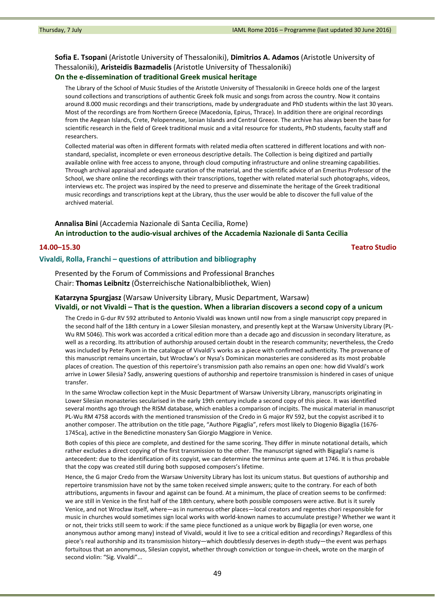# **Sofia E. Tsopani** (Aristotle University of Thessaloniki), **Dimitrios A. Adamos** (Aristotle University of Thessaloniki), **Aristeidis Bazmadelis** (Aristotle University of Thessaloniki) **On the e‐dissemination of traditional Greek musical heritage**

The Library of the School of Music Studies of the Aristotle University of Thessaloniki in Greece holds one of the largest sound collections and transcriptions of authentic Greek folk music and songs from across the country. Now it contains around 8.000 music recordings and their transcriptions, made by undergraduate and PhD students within the last 30 years. Most of the recordings are from Northern Greece (Macedonia, Epirus, Thrace). In addition there are original recordings from the Aegean Islands, Crete, Pelopennese, Ionian Islands and Central Greece. The archive has always been the base for scientific research in the field of Greek traditional music and a vital resource for students, PhD students, faculty staff and researchers.

Collected material was often in different formats with related media often scattered in different locations and with non‐ standard, specialist, incomplete or even erroneous descriptive details. The Collection is being digitized and partially available online with free access to anyone, through cloud computing infrastructure and online streaming capabilities. Through archival appraisal and adequate curation of the material, and the scientific advice of an Emeritus Professor of the School, we share online the recordings with their transcriptions, together with related material such photographs, videos, interviews etc. The project was inspired by the need to preserve and disseminate the heritage of the Greek traditional music recordings and transcriptions kept at the Library, thus the user would be able to discover the full value of the archived material.

# **Annalisa Bini** (Accademia Nazionale di Santa Cecilia, Rome) **An introduction to the audio‐visual archives of the Accademia Nazionale di Santa Cecilia**

# **14.00–15.30 Teatro Studio**

# **Vivaldi, Rolla, Franchi – questions of attribution and bibliography**

Presented by the Forum of Commissions and Professional Branches Chair: **Thomas Leibnitz** (Österreichische Nationalbibliothek, Wien)

## **Katarzyna Spurgjasz** (Warsaw University Library, Music Department, Warsaw) Vivaldi, or not Vivaldi - That is the question. When a librarian discovers a second copy of a unicum

The Credo in G-dur RV 592 attributed to Antonio Vivaldi was known until now from a single manuscript copy prepared in the second half of the 18th century in a Lower Silesian monastery, and presently kept at the Warsaw University Library (PL‐ Wu RM 5046). This work was accorded a critical edition more than a decade ago and discussion in secondary literature, as well as a recording. Its attribution of authorship aroused certain doubt in the research community; nevertheless, the Credo was included by Peter Ryom in the catalogue of Vivaldi's works as a piece with confirmed authenticity. The provenance of this manuscript remains uncertain, but Wrocław's or Nysa's Dominican monasteries are considered as its most probable places of creation. The question of this repertoire's transmission path also remains an open one: how did Vivaldi's work arrive in Lower Silesia? Sadly, answering questions of authorship and repertoire transmission is hindered in cases of unique transfer.

In the same Wrocław collection kept in the Music Department of Warsaw University Library, manuscripts originating in Lower Silesian monasteries secularised in the early 19th century include a second copy of this piece. It was identified several months ago through the RISM database, which enables a comparison of incipits. The musical material in manuscript PL-Wu RM 4758 accords with the mentioned transmission of the Credo in G major RV 592, but the copyist ascribed it to another composer. The attribution on the title page, "Authore Pigaglia", refers most likely to Diogenio Bigaglia (1676‐ 1745ca), active in the Benedictine monastery San Giorgio Maggiore in Venice.

Both copies of this piece are complete, and destined for the same scoring. They differ in minute notational details, which rather excludes a direct copying of the first transmission to the other. The manuscript signed with Bigaglia's name is antecedent: due to the identification of its copyist, we can determine the terminus ante quem at 1746. It is thus probable that the copy was created still during both supposed composers's lifetime.

Hence, the G major Credo from the Warsaw University Library has lost its unicum status. But questions of authorship and repertoire transmission have not by the same token received simple answers; quite to the contrary. For each of both attributions, arguments in favour and against can be found. At a minimum, the place of creation seems to be confirmed: we are still in Venice in the first half of the 18th century, where both possible composers were active. But is it surely Venice, and not Wrocław itself, where—as in numerous other places—local creators and regentes chori responsible for music in churches would sometimes sign local works with world‐known names to accumulate prestige? Whether we want it or not, their tricks still seem to work: if the same piece functioned as a unique work by Bigaglia (or even worse, one anonymous author among many) instead of Vivaldi, would it live to see a critical edition and recordings? Regardless of this piece's real authorship and its transmission history—which doubtlessly deserves in‐depth study—the event was perhaps fortuitous that an anonymous, Silesian copyist, whether through conviction or tongue‐in‐cheek, wrote on the margin of second violin: "Sig. Vivaldi"...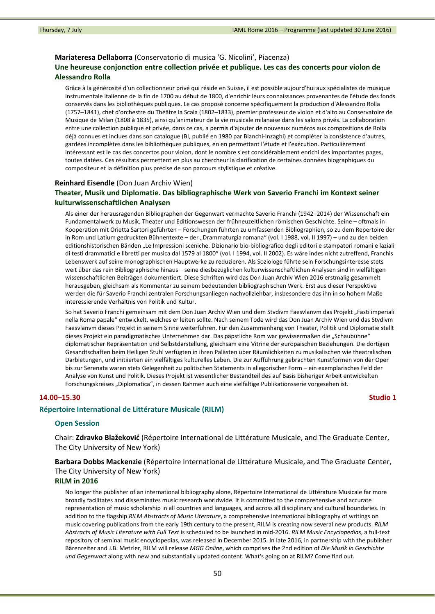#### **Mariateresa Dellaborra** (Conservatorio di musica 'G. Nicolini', Piacenza)

# **Une heureuse conjonction entre collection privée et publique. Les cas des concerts pour violon de Alessandro Rolla**

Grâce à la générosité d'un collectionneur privé qui réside en Suisse, il est possible aujourd'hui aux spécialistes de musique instrumentale italienne de la fin de 1700 au début de 1800, d'enrichir leurs connaissances provenantes de l'étude des fonds conservés dans les bibliothèques publiques. Le cas proposé concerne spécifiquement la production d'Alessandro Rolla (1757–1841), chef d'orchestre du Théâtre la Scala (1802–1833), premier professeur de violon et d'alto au Conservatoire de Musique de Milan (1808 à 1835), ainsi qu'animateur de la vie musicale milanaise dans les salons privés. La collaboration entre une collection publique et privée, dans ce cas, a permis d'ajouter de nouveaux numéros aux compositions de Rolla déjà connues et inclues dans son catalogue (BI, publié en 1980 par Bianchi‐Inzaghi) et compléter la consistence d'autres, gardées incomplètes dans les bibliothèques publiques, en en permettant l'étude et l'exécution. Particulièrement intéressant est le cas des concertos pour violon, dont le nombre s'est considérablement enrichi des importantes pages, toutes datées. Ces résultats permettent en plus au chercheur la clarification de certaines données biographiques du compositeur et la définition plus précise de son parcours stylistique et créative.

## **Reinhard Eisendle** (Don Juan Archiv Wien)

## **Theater, Musik und Diplomatie. Das bibliographische Werk von Saverio Franchi im Kontext seiner kulturwissenschaftlichen Analysen**

Als einer der herausragenden Bibliographen der Gegenwart vermachte Saverio Franchi (1942–2014) der Wissenschaft ein Fundamentalwerk zu Musik, Theater und Editionswesen der frühneuzeitlichen römischen Geschichte. Seine – oftmals in Kooperation mit Orietta Sartori geführten – Forschungen führten zu umfassenden Bibliographien, so zu dem Repertoire der in Rom und Latium gedruckten Bühnentexte – der "Drammaturgia romana" (vol. I 1988, vol. II 1997) – und zu den beiden editionshistorischen Bänden "Le Impressioni sceniche. Dizionario bio‐bibliografico degli editori e stampatori romani e laziali di testi drammatici e libretti per musica dal 1579 al 1800" (vol. I 1994, vol. II 2002). Es wäre indes nicht zutreffend, Franchis Lebenswerk auf seine monographischen Hauptwerke zu reduzieren. Als Soziologe führte sein Forschungsinteresse stets weit über das rein Bibliographische hinaus – seine diesbezüglichen kulturwissenschaftlichen Analysen sind in vielfältigen wissenschaftlichen Beiträgen dokumentiert. Diese Schriften wird das Don Juan Archiv Wien 2016 erstmalig gesammelt herausgeben, gleichsam als Kommentar zu seinem bedeutenden bibliographischen Werk. Erst aus dieser Perspektive werden die für Saverio Franchi zentralen Forschungsanliegen nachvollziehbar, insbesondere das ihn in so hohem Maße interessierende Verhältnis von Politik und Kultur.

So hat Saverio Franchi gemeinsam mit dem Don Juan Archiv Wien und dem Stvdivm Faesvlanvm das Projekt "Fasti imperiali nella Roma papale" entwickelt, welches er leiten sollte. Nach seinem Tode wird das Don Juan Archiv Wien und das Stvdivm Faesvlanvm dieses Projekt in seinem Sinne weiterführen. Für den Zusammenhang von Theater, Politik und Diplomatie stellt dieses Projekt ein paradigmatisches Unternehmen dar. Das päpstliche Rom war gewissermaßen die "Schaubühne" diplomatischer Repräsentation und Selbstdarstellung, gleichsam eine Vitrine der europäischen Beziehungen. Die dortigen Gesandtschaften beim Heiligen Stuhl verfügten in ihren Palästen über Räumlichkeiten zu musikalischen wie theatralischen Darbietungen, und initiierten ein vielfältiges kulturelles Leben. Die zur Aufführung gebrachten Kunstformen von der Oper bis zur Serenata waren stets Gelegenheit zu politischen Statements in allegorischer Form – ein exemplarisches Feld der Analyse von Kunst und Politik. Dieses Projekt ist wesentlicher Bestandteil des auf Basis bisheriger Arbeit entwickelten Forschungskreises "Diplomatica", in dessen Rahmen auch eine vielfältige Publikationsserie vorgesehen ist.

### **14.00–15.30 Studio 1**

#### **Répertoire International de Littérature Musicale (RILM)**

#### **Open Session**

Chair: **Zdravko Blažeković** (Répertoire International de Littérature Musicale, and The Graduate Center, The City University of New York)

**Barbara Dobbs Mackenzie** (Répertoire International de Littérature Musicale, and The Graduate Center, The City University of New York)

#### **RILM in 2016**

No longer the publisher of an international bibliography alone, Répertoire International de Littérature Musicale far more broadly facilitates and disseminates music research worldwide. It is committed to the comprehensive and accurate representation of music scholarship in all countries and languages, and across all disciplinary and cultural boundaries. In addition to the flagship *RILM Abstracts of Music Literature*, a comprehensive international bibliography of writings on music covering publications from the early 19th century to the present, RILM is creating now several new products. *RILM Abstracts of Music Literature with Full Text* is scheduled to be launched in mid‐2016. *RILM Music Encyclopedias*, a full‐text repository of seminal music encyclopedias, was released in December 2015. In late 2016, in partnership with the publisher Bärenreiter and J.B. Metzler, RILM will release *MGG Online*, which comprises the 2nd edition of *Die Musik in Geschichte und Gegenwart* along with new and substantially updated content. What's going on at RILM? Come find out.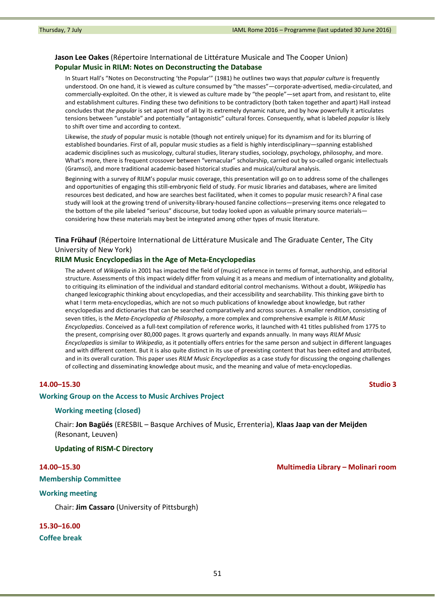# **Jason Lee Oakes** (Répertoire International de Littérature Musicale and The Cooper Union) **Popular Music in RILM: Notes on Deconstructing the Database**

In Stuart Hall's "Notes on Deconstructing 'the Popular'" (1981) he outlines two ways that *popular culture* is frequently understood. On one hand, it is viewed as culture consumed by "the masses"—corporate‐advertised, media‐circulated, and commercially‐exploited. On the other, it is viewed as culture made by "the people"—set apart from, and resistant to, elite and establishment cultures. Finding these two definitions to be contradictory (both taken together and apart) Hall instead concludes that *the popular* is set apart most of all by its extremely dynamic nature, and by how powerfully it articulates tensions between "unstable" and potentially "antagonistic" cultural forces. Consequently, what is labeled *popular* is likely to shift over time and according to context.

Likewise, the *study* of popular music is notable (though not entirely unique) for its dynamism and for its blurring of established boundaries. First of all, popular music studies as a field is highly interdisciplinary—spanning established academic disciplines such as musicology, cultural studies, literary studies, sociology, psychology, philosophy, and more. What's more, there is frequent crossover between "vernacular" scholarship, carried out by so-called organic intellectuals (Gramsci), and more traditional academic‐based historical studies and musical/cultural analysis.

Beginning with a survey of RILM's popular music coverage, this presentation will go on to address some of the challenges and opportunities of engaging this still‐embryonic field of study. For music libraries and databases, where are limited resources best dedicated, and how are searches best facilitated, when it comes to popular music research? A final case study will look at the growing trend of university‐library‐housed fanzine collections—preserving items once relegated to the bottom of the pile labeled "serious" discourse, but today looked upon as valuable primary source materials considering how these materials may best be integrated among other types of music literature.

# **Tina Frühauf** (Répertoire International de Littérature Musicale and The Graduate Center, The City University of New York)

## **RILM Music Encyclopedias in the Age of Meta‐Encyclopedias**

The advent of *Wikipedia* in 2001 has impacted the field of (music) reference in terms of format, authorship, and editorial structure. Assessments of this impact widely differ from valuing it as a means and medium of internationality and globality, to critiquing its elimination of the individual and standard editorial control mechanisms. Without a doubt, *Wikipedia* has changed lexicographic thinking about encyclopedias, and their accessibility and searchability. This thinking gave birth to what I term meta‐encyclopedias, which are not so much publications of knowledge about knowledge, but rather encyclopedias and dictionaries that can be searched comparatively and across sources. A smaller rendition, consisting of seven titles, is the *Meta‐Encyclopedia of Philosophy*, a more complex and comprehensive example is *RILM Music Encyclopedias*. Conceived as a full‐text compilation of reference works, it launched with 41 titles published from 1775 to the present, comprising over 80,000 pages. It grows quarterly and expands annually. In many ways *RILM Music Encyclopedias* is similar to *Wikipedia*, as it potentially offers entries for the same person and subject in different languages and with different content. But it is also quite distinct in its use of preexisting content that has been edited and attributed, and in its overall curation. This paper uses *RILM Music Encyclopedias* as a case study for discussing the ongoing challenges of collecting and disseminating knowledge about music, and the meaning and value of meta‐encyclopedias.

### **14.00–15.30 Studio 3**

#### **Working Group on the Access to Music Archives Project**

## **Working meeting (closed)**

Chair: **Jon Bagüés** (ERESBIL – Basque Archives of Music, Errenteria), **Klaas Jaap van der Meijden** (Resonant, Leuven)

#### **Updating of RISM‐C Directory**

## **Membership Committee**

#### **Working meeting**

Chair: **Jim Cassaro** (University of Pittsburgh)

**15.30–16.00 Coffee break**

## **14.00–15.30 Multimedia Library – Molinari room**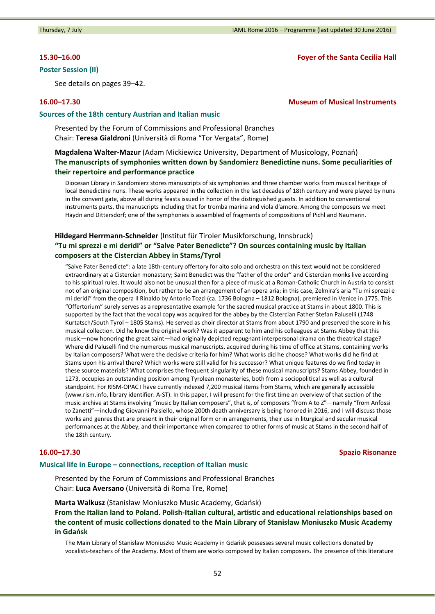# **Poster Session (II)**

See details on pages 39–42.

Thursday, 7 July **Thursday, 7 July 2016 IAML Rome 2016** – Programme (last updated 30 June 2016)

## **15.30–16.00 Foyer of the Santa Cecilia Hall**

# **16.00–17.30 Museum of Musical Instruments**

#### **Sources of the 18th century Austrian and Italian music**

Presented by the Forum of Commissions and Professional Branches Chair: **Teresa Gialdroni** (Università di Roma "Tor Vergata", Rome)

# **Magdalena Walter‐Mazur** (Adam Mickiewicz University, Department of Musicology, Poznań) **The manuscripts of symphonies written down by Sandomierz Benedictine nuns. Some peculiarities of their repertoire and performance practice**

Diocesan Library in Sandomierz stores manuscripts of six symphonies and three chamber works from musical heritage of local Benedictine nuns. These works appeared in the collection in the last decades of 18th century and were played by nuns in the convent gate, above all during feasts issued in honor of the distinguished guests. In addition to conventional instruments parts, the manuscripts including that for tromba marina and viola d'amore. Among the composers we meet Haydn and Dittersdorf; one of the symphonies is assambled of fragments of compositions of Pichl and Naumann.

# **Hildegard Herrmann‐Schneider** (Institut für Tiroler Musikforschung, Innsbruck) **"Tu mi sprezzi e mi deridi" or "Salve Pater Benedicte"? On sources containing music by Italian composers at the Cistercian Abbey in Stams/Tyrol**

"Salve Pater Benedicte": a late 18th‐century offertory for alto solo and orchestra on this text would not be considered extraordinary at a Cistercian monastery; Saint Benedict was the "father of the order" and Cistercian monks live according to his spiritual rules. It would also not be unusual then for a piece of music at a Roman‐Catholic Church in Austria to consist not of an original composition, but rather to be an arrangement of an opera aria; in this case, Zelmira's aria "Tu mi sprezzi e mi deridi" from the opera Il Rinaldo by Antonio Tozzi (ca. 1736 Bologna – 1812 Bologna), premiered in Venice in 1775. This "Offertorium" surely serves as a representative example for the sacred musical practice at Stams in about 1800. This is supported by the fact that the vocal copy was acquired for the abbey by the Cistercian Father Stefan Paluselli (1748 Kurtatsch/South Tyrol – 1805 Stams). He served as choir director at Stams from about 1790 and preserved the score in his musical collection. Did he know the original work? Was it apparent to him and his colleagues at Stams Abbey that this music—now honoring the great saint—had originally depicted repugnant interpersonal drama on the theatrical stage? Where did Paluselli find the numerous musical manuscripts, acquired during his time of office at Stams, containing works by Italian composers? What were the decisive criteria for him? What works did he choose? What works did he find at Stams upon his arrival there? Which works were still valid for his successor? What unique features do we find today in these source materials? What comprises the frequent singularity of these musical manuscripts? Stams Abbey, founded in 1273, occupies an outstanding position among Tyrolean monasteries, both from a sociopolitical as well as a cultural standpoint. For RISM‐OPAC I have currently indexed 7,200 musical items from Stams, which are generally accessible (www.rism.info, library identifier: A‐ST). In this paper, I will present for the first time an overview of that section of the music archive at Stams involving "music by Italian composers", that is, of composers "from A to Z"—namely "from Anfossi to Zanetti"—including Giovanni Paisiello, whose 200th death anniversary is being honored in 2016, and I will discuss those works and genres that are present in their original form or in arrangements, their use in liturgical and secular musical performances at the Abbey, and their importance when compared to other forms of music at Stams in the second half of the 18th century.

# **16.00–17.30 Spazio Risonanze**

#### **Musical life in Europe – connections, reception of Italian music**

Presented by the Forum of Commissions and Professional Branches Chair: **Luca Aversano** (Università di Roma Tre, Rome)

**Marta Walkusz** (Stanisław Moniuszko Music Academy, Gdańsk) **From the Italian land to Poland. Polish‐Italian cultural, artistic and educational relationships based on the content of music collections donated to the Main Library of Stanisław Moniuszko Music Academy in Gdańsk**

The Main Library of Stanisław Moniuszko Music Academy in Gdańsk possesses several music collections donated by vocalists‐teachers of the Academy. Most of them are works composed by Italian composers. The presence of this literature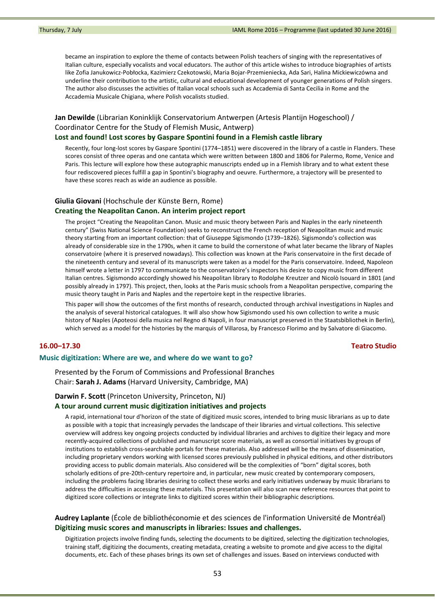became an inspiration to explore the theme of contacts between Polish teachers of singing with the representatives of Italian culture, especially vocalists and vocal educators. The author of this article wishes to introduce biographies of artists like Zofia Janukowicz‐Pobłocka, Kazimierz Czekotowski, Maria Bojar‐Przemieniecka, Ada Sari, Halina Mickiewiczówna and underline their contribution to the artistic, cultural and educational development of younger generations of Polish singers. The author also discusses the activities of Italian vocal schools such as Accademia di Santa Cecilia in Rome and the Accademia Musicale Chigiana, where Polish vocalists studied.

# **Jan Dewilde** (Librarian Koninklijk Conservatorium Antwerpen (Artesis Plantijn Hogeschool) / Coordinator Centre for the Study of Flemish Music, Antwerp)

#### **Lost and found! Lost scores by Gaspare Spontini found in a Flemish castle library**

Recently, four long‐lost scores by Gaspare Spontini (1774–1851) were discovered in the library of a castle in Flanders. These scores consist of three operas and one cantata which were written between 1800 and 1806 for Palermo, Rome, Venice and Paris. This lecture will explore how these autographic manuscripts ended up in a Flemish library and to what extent these four rediscovered pieces fulfill a gap in Spontini's biography and oeuvre. Furthermore, a trajectory will be presented to have these scores reach as wide an audience as possible.

# **Giulia Giovani** (Hochschule der Künste Bern, Rome)

# **Creating the Neapolitan Canon. An interim project report**

The project "Creating the Neapolitan Canon. Music and music theory between Paris and Naples in the early nineteenth century" (Swiss National Science Foundation) seeks to reconstruct the French reception of Neapolitan music and music theory starting from an important collection: that of Giuseppe Sigismondo (1739–1826). Sigismondo's collection was already of considerable size in the 1790s, when it came to build the cornerstone of what later became the library of Naples conservatoire (where it is preserved nowadays). This collection was known at the Paris conservatoire in the first decade of the nineteenth century and several of its manuscripts were taken as a model for the Paris conservatoire. Indeed, Napoleon himself wrote a letter in 1797 to communicate to the conservatoire's inspectors his desire to copy music from different Italian centres. Sigismondo accordingly showed his Neapolitan library to Rodolphe Kreutzer and Nicolò Isouard in 1801 (and possibly already in 1797). This project, then, looks at the Paris music schools from a Neapolitan perspective, comparing the music theory taught in Paris and Naples and the repertoire kept in the respective libraries.

This paper will show the outcomes of the first months of research, conducted through archival investigations in Naples and the analysis of several historical catalogues. It will also show how Sigismondo used his own collection to write a music history of Naples (Apoteosi della musica nel Regno di Napoli, in four manuscript preserved in the Staatsbibliothek in Berlin), which served as a model for the histories by the marquis of Villarosa, by Francesco Florimo and by Salvatore di Giacomo.

## **16.00–17.30 Teatro Studio**

#### **Music digitization: Where are we, and where do we want to go?**

Presented by the Forum of Commissions and Professional Branches Chair: **Sarah J. Adams** (Harvard University, Cambridge, MA)

## **Darwin F. Scott** (Princeton University, Princeton, NJ)

## **A tour around current music digitization initiatives and projects**

A rapid, international tour d'horizon of the state of digitized music scores, intended to bring music librarians as up to date as possible with a topic that increasingly pervades the landscape of their libraries and virtual collections. This selective overview will address key ongoing projects conducted by individual libraries and archives to digitize their legacy and more recently‐acquired collections of published and manuscript score materials, as well as consortial initiatives by groups of institutions to establish cross‐searchable portals for these materials. Also addressed will be the means of dissemination, including proprietary vendors working with licensed scores previously published in physical editions, and other distributors providing access to public domain materials. Also considered will be the complexities of "born" digital scores, both scholarly editions of pre-20th-century repertoire and, in particular, new music created by contemporary composers, including the problems facing libraries desiring to collect these works and early initiatives underway by music librarians to address the difficulties in accessing these materials. This presentation will also scan new reference resources that point to digitized score collections or integrate links to digitized scores within their bibliographic descriptions.

# **Audrey Laplante** (École de bibliothéconomie et des sciences de l'information Université de Montréal) **Digitizing music scores and manuscripts in libraries: Issues and challenges.**

Digitization projects involve finding funds, selecting the documents to be digitized, selecting the digitization technologies, training staff, digitizing the documents, creating metadata, creating a website to promote and give access to the digital documents, etc. Each of these phases brings its own set of challenges and issues. Based on interviews conducted with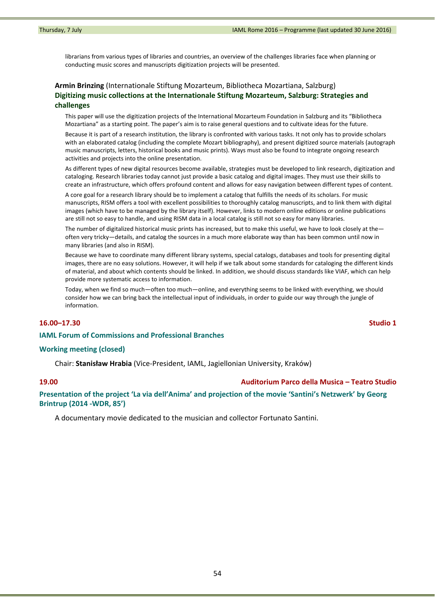librarians from various types of libraries and countries, an overview of the challenges libraries face when planning or conducting music scores and manuscripts digitization projects will be presented.

# **Armin Brinzing** (Internationale Stiftung Mozarteum, Bibliotheca Mozartiana, Salzburg) **Digitizing music collections at the Internationale Stiftung Mozarteum, Salzburg: Strategies and challenges**

This paper will use the digitization projects of the International Mozarteum Foundation in Salzburg and its "Bibliotheca Mozartiana" as a starting point. The paper's aim is to raise general questions and to cultivate ideas for the future.

Because it is part of a research institution, the library is confronted with various tasks. It not only has to provide scholars with an elaborated catalog (including the complete Mozart bibliography), and present digitized source materials (autograph music manuscripts, letters, historical books and music prints). Ways must also be found to integrate ongoing research activities and projects into the online presentation.

As different types of new digital resources become available, strategies must be developed to link research, digitization and cataloging. Research libraries today cannot just provide a basic catalog and digital images. They must use their skills to create an infrastructure, which offers profound content and allows for easy navigation between different types of content.

A core goal for a research library should be to implement a catalog that fulfills the needs of its scholars. For music manuscripts, RISM offers a tool with excellent possibilities to thoroughly catalog manuscripts, and to link them with digital images (which have to be managed by the library itself). However, links to modern online editions or online publications are still not so easy to handle, and using RISM data in a local catalog is still not so easy for many libraries.

The number of digitalized historical music prints has increased, but to make this useful, we have to look closely at the often very tricky—details, and catalog the sources in a much more elaborate way than has been common until now in many libraries (and also in RISM).

Because we have to coordinate many different library systems, special catalogs, databases and tools for presenting digital images, there are no easy solutions. However, it will help if we talk about some standards for cataloging the different kinds of material, and about which contents should be linked. In addition, we should discuss standards like VIAF, which can help provide more systematic access to information.

Today, when we find so much—often too much—online, and everything seems to be linked with everything, we should consider how we can bring back the intellectual input of individuals, in order to guide our way through the jungle of information.

### **16.00–17.30 Studio 1**

## **IAML Forum of Commissions and Professional Branches**

#### **Working meeting (closed)**

Chair: **Stanisław Hrabia** (Vice‐President, IAML, Jagiellonian University, Kraków)

## **19.00 Auditorium Parco della Musica – Teatro Studio**

**Presentation of the project 'La via dell'Anima' and projection of the movie 'Santini's Netzwerk' by Georg Brintrup (2014 ‐WDR, 85')**

A documentary movie dedicated to the musician and collector Fortunato Santini.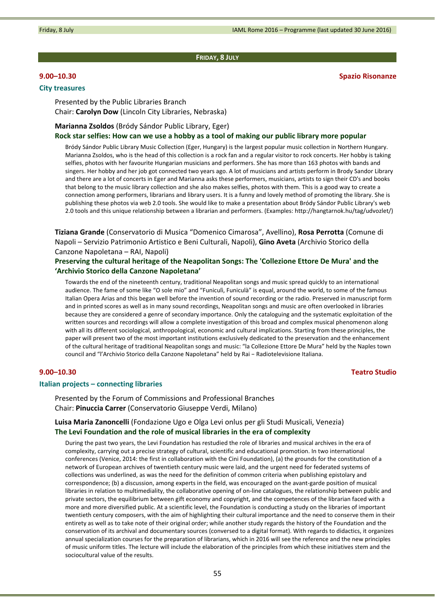#### **FRIDAY, 8 JULY**

### **City treasures**

**9.00–10.30 Spazio Risonanze**

Presented by the Public Libraries Branch Chair: **Carolyn Dow** (Lincoln City Libraries, Nebraska)

#### **Marianna Zsoldos** (Bródy Sándor Public Library, Eger)

Rock star selfies: How can we use a hobby as a tool of making our public library more popular

Bródy Sándor Public Library Music Collection (Eger, Hungary) is the largest popular music collection in Northern Hungary. Marianna Zsoldos, who is the head of this collection is a rock fan and a regular visitor to rock concerts. Her hobby is taking selfies, photos with her favourite Hungarian musicians and performers. She has more than 163 photos with bands and singers. Her hobby and her job got connected two years ago. A lot of musicians and artists perform in Brody Sandor Library and there are a lot of concerts in Eger and Marianna asks these performers, musicians, artists to sign their CD's and books that belong to the music library collection and she also makes selfies, photos with them. This is a good way to create a connection among performers, librarians and library users. It is a funny and lovely method of promoting the library. She is publishing these photos via web 2.0 tools. She would like to make a presentation about Bródy Sándor Public Library's web 2.0 tools and this unique relationship between a librarian and performers. (Examples: http://hangtarnok.hu/tag/udvozlet/)

**Tiziana Grande** (Conservatorio di Musica "Domenico Cimarosa", Avellino), **Rosa Perrotta** (Comune di Napoli – Servizio Patrimonio Artistico e Beni Culturali, Napoli), **Gino Aveta** (Archivio Storico della Canzone Napoletana – RAI, Napoli)

# **Preserving the cultural heritage of the Neapolitan Songs: The 'Collezione Ettore De Mura' and the 'Archivio Storico della Canzone Napoletana'**

Towards the end of the nineteenth century, traditional Neapolitan songs and music spread quickly to an international audience. The fame of some like "O sole mio" and "Funiculì, Funiculà" is equal, around the world, to some of the famous Italian Opera Arias and this began well before the invention of sound recording or the radio. Preserved in manuscript form and in printed scores as well as in many sound recordings, Neapolitan songs and music are often overlooked in libraries because they are considered a genre of secondary importance. Only the cataloguing and the systematic exploitation of the written sources and recordings will allow a complete investigation of this broad and complex musical phenomenon along with all its different sociological, anthropological, economic and cultural implications. Starting from these principles, the paper will present two of the most important institutions exclusively dedicated to the preservation and the enhancement of the cultural heritage of traditional Neapolitan songs and music: "la Collezione Ettore De Mura" held by the Naples town council and "l'Archivio Storico della Canzone Napoletana" held by Rai − Radiotelevisione Italiana.

# **9.00–10.30 Teatro Studio**

#### **Italian projects – connecting libraries**

Presented by the Forum of Commissions and Professional Branches Chair: **Pinuccia Carrer** (Conservatorio Giuseppe Verdi, Milano)

# **Luisa Maria Zanoncelli** (Fondazione Ugo e Olga Levi onlus per gli Studi Musicali, Venezia) **The Levi Foundation and the role of musical libraries in the era of complexity**

During the past two years, the Levi Foundation has restudied the role of libraries and musical archives in the era of complexity, carrying out a precise strategy of cultural, scientific and educational promotion. In two international conferences (Venice, 2014: the first in collaboration with the Cini Foundation), (a) the grounds for the constitution of a network of European archives of twentieth century music were laid, and the urgent need for federated systems of collections was underlined, as was the need for the definition of common criteria when publishing epistolary and correspondence; (b) a discussion, among experts in the field, was encouraged on the avant‐garde position of musical libraries in relation to multimediality, the collaborative opening of on-line catalogues, the relationship between public and private sectors, the equilibrium between gift economy and copyright, and the competences of the librarian faced with a more and more diversified public. At a scientific level, the Foundation is conducting a study on the libraries of important twentieth century composers, with the aim of highlighting their cultural importance and the need to conserve them in their entirety as well as to take note of their original order; while another study regards the history of the Foundation and the conservation of its archival and documentary sources (conversed to a digital format). With regards to didactics, it organizes annual specialization courses for the preparation of librarians, which in 2016 will see the reference and the new principles of music uniform titles. The lecture will include the elaboration of the principles from which these initiatives stem and the sociocultural value of the results.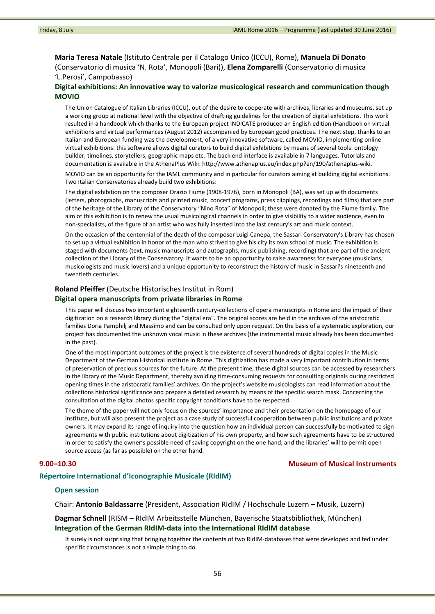**Maria Teresa Natale** (Istituto Centrale per il Catalogo Unico (ICCU), Rome), **Manuela Di Donato** (Conservatorio di musica 'N. Rota', Monopoli (Bari)), **Elena Zomparelli** (Conservatorio di musica 'L.Perosi', Campobasso)

## **Digital exhibitions: An innovative way to valorize musicological research and communication though MOVIO**

The Union Catalogue of Italian Libraries (ICCU), out of the desire to cooperate with archives, libraries and museums, set up a working group at national level with the objective of drafting guidelines for the creation of digital exhibitions. This work resulted in a handbook which thanks to the European project INDICATE produced an English edition (Handbook on virtual exhibitions and virtual performances (August 2012) accompanied by European good practices. The next step, thanks to an Italian and European funding was the development, of a very innovative software, called MOVIO, implementing online virtual exhibitions: this software allows digital curators to build digital exhibitions by means of several tools: ontology builder, timelines, storytellers, geographic maps etc. The back end interface is available in 7 languages. Tutorials and documentation is available in the AthenaPlus Wiki: http://www.athenaplus.eu/index.php?en/190/athenaplus‐wiki.

MOVIO can be an opportunity for the IAML community and in particular for curators aiming at building digital exhibitions. Two Italian Conservatories already build two exhibitions:

The digital exhibition on the composer Orazio Fiume (1908‐1976), born in Monopoli (BA), was set up with documents (letters, photographs, manuscripts and printed music, concert programs, press clippings, recordings and films) that are part of the heritage of the Library of the Conservatory "Nino Rota" of Monopoli; these were donated by the Fiume family. The aim of this exhibition is to renew the usual musicological channels in order to give visibility to a wider audience, even to non‐specialists, of the figure of an artist who was fully inserted into the last century's art and music context.

On the occasion of the centennial of the death of the composer Luigi Canepa, the Sassari Conservatory's Library has chosen to set up a virtual exhibition in honor of the man who strived to give his city its own school of music. The exhibition is staged with documents (text, music manuscripts and autographs, music publishing, recording) that are part of the ancient collection of the Library of the Conservatory. It wants to be an opportunity to raise awareness for everyone (musicians, musicologists and music lovers) and a unique opportunity to reconstruct the history of music in Sassari's nineteenth and twentieth centuries.

### **Roland Pfeiffer** (Deutsche Historisches Institut in Rom)

## **Digital opera manuscripts from private libraries in Rome**

This paper will discuss two important eighteenth century-collections of opera manuscripts in Rome and the impact of their digitization on a research library during the "digital era". The original scores are held in the archives of the aristocratic families Doria Pamphilj and Massimo and can be consulted only upon request. On the basis of a systematic exploration, our project has documented the unknown vocal music in these archives (the instrumental music already has been documented in the past).

One of the most important outcomes of the project is the existence of several hundreds of digital copies in the Music Department of the German Historical Institute in Rome. This digitization has made a very important contribution in terms of preservation of precious sources for the future. At the present time, these digital sources can be accessed by researchers in the library of the Music Department, thereby avoiding time-consuming requests for consulting originals during restricted opening times in the aristocratic families' archives. On the project's website musicologists can read information about the collections historical significance and prepare a detailed research by means of the specific search mask. Concerning the consultation of the digital photos specific copyright conditions have to be respected.

The theme of the paper will not only focus on the sources' importance and their presentation on the homepage of our institute, but will also present the project as a case study of successful cooperation between public institutions and private owners. It may expand its range of inquiry into the question how an individual person can successfully be motivated to sign agreements with public institutions about digitization of his own property, and how such agreements have to be structured in order to satisfy the owner's possible need of saving copyright on the one hand, and the libraries' will to permit open source access (as far as possible) on the other hand.

### **9.00–10.30 Museum of Musical Instruments**

#### **Répertoire International d'Iconographie Musicale (RIdIM)**

#### **Open session**

Chair: **Antonio Baldassarre** (President, Association RIdIM / Hochschule Luzern – Musik, Luzern)

# **Dagmar Schnell** (RISM – RIdIM Arbeitsstelle München, Bayerische Staatsbibliothek, München) **Integration of the German RIdIM‐data into the International RIdIM database**

It surely is not surprising that bringing together the contents of two RIdIM‐databases that were developed and fed under specific circumstances is not a simple thing to do.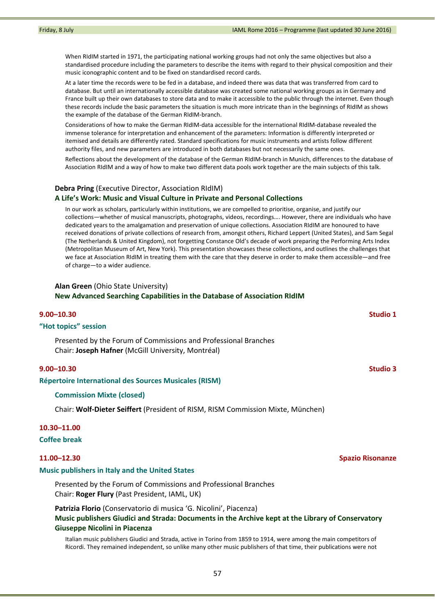When RIdIM started in 1971, the participating national working groups had not only the same objectives but also a standardised procedure including the parameters to describe the items with regard to their physical composition and their music iconographic content and to be fixed on standardised record cards.

At a later time the records were to be fed in a database, and indeed there was data that was transferred from card to database. But until an internationally accessible database was created some national working groups as in Germany and France built up their own databases to store data and to make it accessible to the public through the internet. Even though these records include the basic parameters the situation is much more intricate than in the beginnings of RIdIM as shows the example of the database of the German RIdIM‐branch.

Considerations of how to make the German RIdIM‐data accessible for the international RIdIM‐database revealed the immense tolerance for interpretation and enhancement of the parameters: Information is differently interpreted or itemised and details are differently rated. Standard specifications for music instruments and artists follow different authority files, and new parameters are introduced in both databases but not necessarily the same ones.

Reflections about the development of the database of the German RIdIM‐branch in Munich, differences to the database of Association RIdIM and a way of how to make two different data pools work together are the main subjects of this talk.

# **Debra Pring** (Executive Director, Association RIdIM) **A Life's Work: Music and Visual Culture in Private and Personal Collections**

In our work as scholars, particularly within institutions, we are compelled to prioritise, organise, and justify our collections—whether of musical manuscripts, photographs, videos, recordings…. However, there are individuals who have dedicated years to the amalgamation and preservation of unique collections. Association RIdIM are honoured to have received donations of private collections of research from, amongst others, Richard Leppert (United States), and Sam Segal (The Netherlands & United Kingdom), not forgetting Constance Old's decade of work preparing the Performing Arts Index (Metropolitan Museum of Art, New York). This presentation showcases these collections, and outlines the challenges that we face at Association RIdIM in treating them with the care that they deserve in order to make them accessible—and free of charge—to a wider audience.

# **Alan Green** (Ohio State University) **New Advanced Searching Capabilities in the Database of Association RIdIM**

### **9.00–10.30 Studio 1**

## **"Hot topics" session**

Presented by the Forum of Commissions and Professional Branches Chair: **Joseph Hafner** (McGill University, Montréal)

### **9.00–10.30 Studio 3**

### **Répertoire International des Sources Musicales (RISM)**

## **Commission Mixte (closed)**

Chair: **Wolf‐Dieter Seiffert** (President of RISM, RISM Commission Mixte, München)

## **10.30–11.00**

#### **Coffee break**

#### **Music publishers in Italy and the United States**

Presented by the Forum of Commissions and Professional Branches Chair: **Roger Flury** (Past President, IAML, UK)

**Patrizia Florio** (Conservatorio di musica 'G. Nicolini', Piacenza) **Music publishers Giudici and Strada: Documents in the Archive kept at the Library of Conservatory Giuseppe Nicolini in Piacenza**

Italian music publishers Giudici and Strada, active in Torino from 1859 to 1914, were among the main competitors of Ricordi. They remained independent, so unlike many other music publishers of that time, their publications were not

## **11.00–12.30 Spazio Risonanze**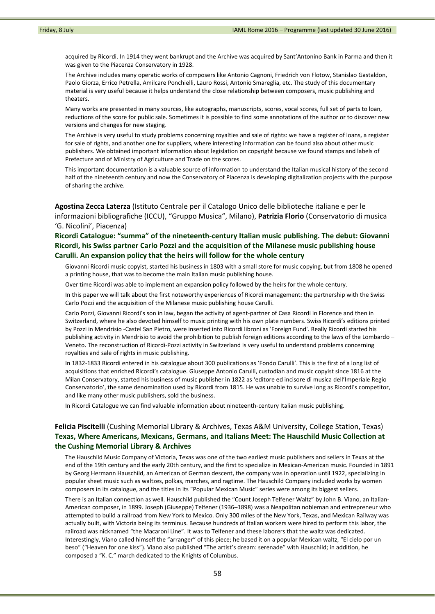acquired by Ricordi. In 1914 they went bankrupt and the Archive was acquired by Sant'Antonino Bank in Parma and then it was given to the Piacenza Conservatory in 1928.

The Archive includes many operatic works of composers like Antonio Cagnoni, Friedrich von Flotow, Stanislao Gastaldon, Paolo Giorza, Errico Petrella, Amilcare Ponchielli, Lauro Rossi, Antonio Smareglia, etc. The study of this documentary material is very useful because it helps understand the close relationship between composers, music publishing and theaters.

Many works are presented in many sources, like autographs, manuscripts, scores, vocal scores, full set of parts to loan, reductions of the score for public sale. Sometimes it is possible to find some annotations of the author or to discover new versions and changes for new staging.

The Archive is very useful to study problems concerning royalties and sale of rights: we have a register of loans, a register for sale of rights, and another one for suppliers, where interesting information can be found also about other music publishers. We obtained important information about legislation on copyright because we found stamps and labels of Prefecture and of Ministry of Agriculture and Trade on the scores.

This important documentation is a valuable source of information to understand the Italian musical history of the second half of the nineteenth century and now the Conservatory of Piacenza is developing digitalization projects with the purpose of sharing the archive.

**Agostina Zecca Laterza** (Istituto Centrale per il Catalogo Unico delle biblioteche italiane e per le informazioni bibliografiche (ICCU), "Gruppo Musica", Milano), **Patrizia Florio** (Conservatorio di musica 'G. Nicolini', Piacenza)

# **Ricordi Catalogue: "summa" of the nineteenth‐century Italian music publishing. The debut: Giovanni Ricordi, his Swiss partner Carlo Pozzi and the acquisition of the Milanese music publishing house Carulli. An expansion policy that the heirs will follow for the whole century**

Giovanni Ricordi music copyist, started his business in 1803 with a small store for music copying, but from 1808 he opened a printing house, that was to become the main Italian music publishing house.

Over time Ricordi was able to implement an expansion policy followed by the heirs for the whole century.

In this paper we will talk about the first noteworthy experiences of Ricordi management: the partnership with the Swiss Carlo Pozzi and the acquisition of the Milanese music publishing house Carulli.

Carlo Pozzi, Giovanni Ricordi's son in law, began the activity of agent‐partner of Casa Ricordi in Florence and then in Switzerland, where he also devoted himself to music printing with his own plate numbers. Swiss Ricordi's editions printed by Pozzi in Mendrisio ‐Castel San Pietro, were inserted into Ricordi libroni as 'Foreign Fund'. Really Ricordi started his publishing activity in Mendrisio to avoid the prohibition to publish foreign editions according to the laws of the Lombardo – Veneto. The reconstruction of Ricordi‐Pozzi activity in Switzerland is very useful to understand problems concerning royalties and sale of rights in music publishing.

In 1832‐1833 Ricordi entered in his catalogue about 300 publications as 'Fondo Carulli'. This is the first of a long list of acquisitions that enriched Ricordi's catalogue. Giuseppe Antonio Carulli, custodian and music copyist since 1816 at the Milan Conservatory, started his business of music publisher in 1822 as 'editore ed incisore di musica dell'Imperiale Regio Conservatorio', the same denomination used by Ricordi from 1815. He was unable to survive long as Ricordi's competitor, and like many other music publishers, sold the business.

In Ricordi Catalogue we can find valuable information about nineteenth‐century Italian music publishing.

# **Felicia Piscitelli** (Cushing Memorial Library & Archives, Texas A&M University, College Station, Texas) **Texas, Where Americans, Mexicans, Germans, and Italians Meet: The Hauschild Music Collection at the Cushing Memorial Library & Archives**

The Hauschild Music Company of Victoria, Texas was one of the two earliest music publishers and sellers in Texas at the end of the 19th century and the early 20th century, and the first to specialize in Mexican-American music. Founded in 1891 by Georg Hermann Hauschild, an American of German descent, the company was in operation until 1922, specializing in popular sheet music such as waltzes, polkas, marches, and ragtime. The Hauschild Company included works by women composers in its catalogue, and the titles in its "Popular Mexican Music" series were among its biggest sellers.

There is an Italian connection as well. Hauschild published the "Count Joseph Telfener Waltz" by John B. Viano, an Italian‐ American composer, in 1899. Joseph (Giuseppe) Telfener (1936–1898) was a Neapolitan nobleman and entrepreneur who attempted to build a railroad from New York to Mexico. Only 300 miles of the New York, Texas, and Mexican Railway was actually built, with Victoria being its terminus. Because hundreds of Italian workers were hired to perform this labor, the railroad was nicknamed "the Macaroni Line". It was to Telfener and these laborers that the waltz was dedicated. Interestingly, Viano called himself the "arranger" of this piece; he based it on a popular Mexican waltz, "El cielo por un beso" ("Heaven for one kiss"). Viano also published "The artist's dream: serenade" with Hauschild; in addition, he composed a "K. C." march dedicated to the Knights of Columbus.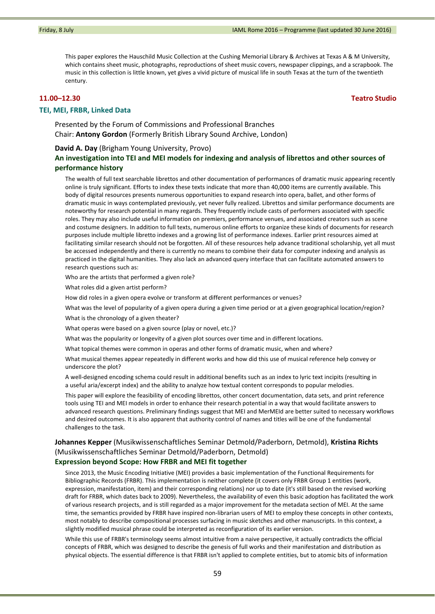This paper explores the Hauschild Music Collection at the Cushing Memorial Library & Archives at Texas A & M University, which contains sheet music, photographs, reproductions of sheet music covers, newspaper clippings, and a scrapbook. The music in this collection is little known, yet gives a vivid picture of musical life in south Texas at the turn of the twentieth century.

#### **TEI, MEI, FRBR, Linked Data**

Presented by the Forum of Commissions and Professional Branches Chair: **Antony Gordon** (Formerly British Library Sound Archive, London)

### **David A. Day** (Brigham Young University, Provo)

# **An investigation into TEI and MEI models for indexing and analysis of librettos and other sources of performance history**

The wealth of full text searchable librettos and other documentation of performances of dramatic music appearing recently online is truly significant. Efforts to index these texts indicate that more than 40,000 items are currently available. This body of digital resources presents numerous opportunities to expand research into opera, ballet, and other forms of dramatic music in ways contemplated previously, yet never fully realized. Librettos and similar performance documents are noteworthy for research potential in many regards. They frequently include casts of performers associated with specific roles. They may also include useful information on premiers, performance venues, and associated creators such as scene and costume designers. In addition to full texts, numerous online efforts to organize these kinds of documents for research purposes include multiple libretto indexes and a growing list of performance indexes. Earlier print resources aimed at facilitating similar research should not be forgotten. All of these resources help advance traditional scholarship, yet all must be accessed independently and there is currently no means to combine their data for computer indexing and analysis as practiced in the digital humanities. They also lack an advanced query interface that can facilitate automated answers to research questions such as:

Who are the artists that performed a given role?

What roles did a given artist perform?

How did roles in a given opera evolve or transform at different performances or venues?

What was the level of popularity of a given opera during a given time period or at a given geographical location/region?

What is the chronology of a given theater?

What operas were based on a given source (play or novel, etc.)?

What was the popularity or longevity of a given plot sources over time and in different locations.

What topical themes were common in operas and other forms of dramatic music, when and where?

What musical themes appear repeatedly in different works and how did this use of musical reference help convey or underscore the plot?

A well‐designed encoding schema could result in additional benefits such as an index to lyric text incipits (resulting in a useful aria/excerpt index) and the ability to analyze how textual content corresponds to popular melodies.

This paper will explore the feasibility of encoding librettos, other concert documentation, data sets, and print reference tools using TEI and MEI models in order to enhance their research potential in a way that would facilitate answers to advanced research questions. Preliminary findings suggest that MEI and MerMEId are better suited to necessary workflows and desired outcomes. It is also apparent that authority control of names and titles will be one of the fundamental challenges to the task.

# **Johannes Kepper** (Musikwissenschaftliches Seminar Detmold/Paderborn, Detmold), **Kristina Richts** (Musikwissenschaftliches Seminar Detmold/Paderborn, Detmold)

# **Expression beyond Scope: How FRBR and MEI fit together**

Since 2013, the Music Encoding Initiative (MEI) provides a basic implementation of the Functional Requirements for Bibliographic Records (FRBR). This implementation is neither complete (it covers only FRBR Group 1 entities (work, expression, manifestation, item) and their corresponding relations) nor up to date (it's still based on the revised working draft for FRBR, which dates back to 2009). Nevertheless, the availability of even this basic adoption has facilitated the work of various research projects, and is still regarded as a major improvement for the metadata section of MEI. At the same time, the semantics provided by FRBR have inspired non‐librarian users of MEI to employ these concepts in other contexts, most notably to describe compositional processes surfacing in music sketches and other manuscripts. In this context, a slightly modified musical phrase could be interpreted as reconfiguration of its earlier version.

While this use of FRBR's terminology seems almost intuitive from a naive perspective, it actually contradicts the official concepts of FRBR, which was designed to describe the genesis of full works and their manifestation and distribution as physical objects. The essential difference is that FRBR isn't applied to complete entities, but to atomic bits of information

### **11.00–12.30 Teatro Studio**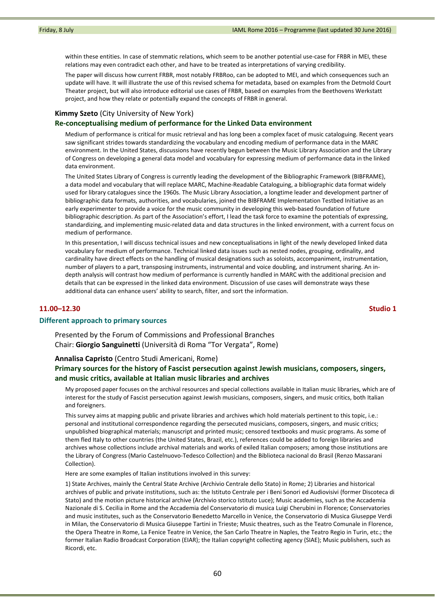within these entities. In case of stemmatic relations, which seem to be another potential use-case for FRBR in MEI, these relations may even contradict each other, and have to be treated as interpretations of varying credibility.

The paper will discuss how current FRBR, most notably FRBRoo, can be adopted to MEI, and which consequences such an update will have. It will illustrate the use of this revised schema for metadata, based on examples from the Detmold Court Theater project, but will also introduce editorial use cases of FRBR, based on examples from the Beethovens Werkstatt project, and how they relate or potentially expand the concepts of FRBR in general.

## **Kimmy Szeto** (City University of New York)

## **Re‐conceptualising medium of performance for the Linked Data environment**

Medium of performance is critical for music retrieval and has long been a complex facet of music cataloguing. Recent years saw significant strides towards standardizing the vocabulary and encoding medium of performance data in the MARC environment. In the United States, discussions have recently begun between the Music Library Association and the Library of Congress on developing a general data model and vocabulary for expressing medium of performance data in the linked data environment.

The United States Library of Congress is currently leading the development of the Bibliographic Framework (BIBFRAME), a data model and vocabulary that will replace MARC, Machine‐Readable Cataloguing, a bibliographic data format widely used for library catalogues since the 1960s. The Music Library Association, a longtime leader and development partner of bibliographic data formats, authorities, and vocabularies, joined the BIBFRAME Implementation Testbed Initiative as an early experimenter to provide a voice for the music community in developing this web-based foundation of future bibliographic description. As part of the Association's effort, I lead the task force to examine the potentials of expressing, standardizing, and implementing music-related data and data structures in the linked environment, with a current focus on medium of performance.

In this presentation, I will discuss technical issues and new conceptualisations in light of the newly developed linked data vocabulary for medium of performance. Technical linked data issues such as nested nodes, grouping, ordinality, and cardinality have direct effects on the handling of musical designations such as soloists, accompaniment, instrumentation, number of players to a part, transposing instruments, instrumental and voice doubling, and instrument sharing. An in‐ depth analysis will contrast how medium of performance is currently handled in MARC with the additional precision and details that can be expressed in the linked data environment. Discussion of use cases will demonstrate ways these additional data can enhance users' ability to search, filter, and sort the information.

### **11.00–12.30 Studio 1**

#### **Different approach to primary sources**

Presented by the Forum of Commissions and Professional Branches Chair: **Giorgio Sanguinetti** (Università di Roma "Tor Vergata", Rome)

#### **Annalisa Capristo** (Centro Studi Americani, Rome)

# **Primary sources for the history of Fascist persecution against Jewish musicians, composers, singers, and music critics, available at Italian music libraries and archives**

My proposed paper focuses on the archival resources and special collections available in Italian music libraries, which are of interest for the study of Fascist persecution against Jewish musicians, composers, singers, and music critics, both Italian and foreigners.

This survey aims at mapping public and private libraries and archives which hold materials pertinent to this topic, i.e.: personal and institutional correspondence regarding the persecuted musicians, composers, singers, and music critics; unpublished biographical materials; manuscript and printed music; censored textbooks and music programs. As some of them fled Italy to other countries (the United States, Brazil, etc.), references could be added to foreign libraries and archives whose collections include archival materials and works of exiled Italian composers; among those institutions are the Library of Congress (Mario Castelnuovo-Tedesco Collection) and the Biblioteca nacional do Brasil (Renzo Massarani Collection).

Here are some examples of Italian institutions involved in this survey:

1) State Archives, mainly the Central State Archive (Archivio Centrale dello Stato) in Rome; 2) Libraries and historical archives of public and private institutions, such as: the Istituto Centrale per i Beni Sonori ed Audiovisivi (former Discoteca di Stato) and the motion picture historical archive (Archivio storico Istituto Luce); Music academies, such as the Accademia Nazionale di S. Cecilia in Rome and the Accademia del Conservatorio di musica Luigi Cherubini in Florence; Conservatories and music institutes, such as the Conservatorio Benedetto Marcello in Venice, the Conservatorio di Musica Giuseppe Verdi in Milan, the Conservatorio di Musica Giuseppe Tartini in Trieste; Music theatres, such as the Teatro Comunale in Florence, the Opera Theatre in Rome, La Fenice Teatre in Venice, the San Carlo Theatre in Naples, the Teatro Regio in Turin, etc.; the former Italian Radio Broadcast Corporation (EIAR); the Italian copyright collecting agency (SIAE); Music publishers, such as Ricordi, etc.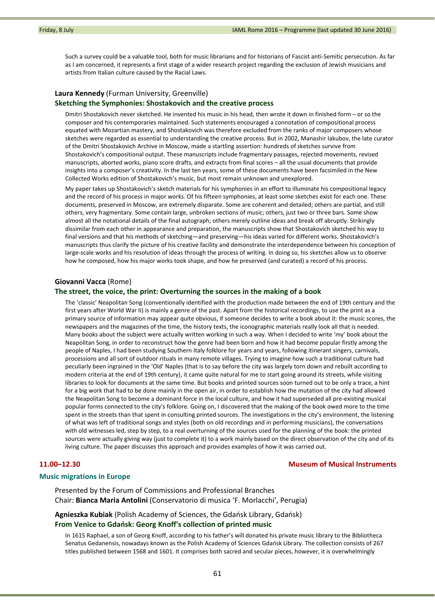Such a survey could be a valuable tool, both for music librarians and for historians of Fascist anti‐Semitic persecution. As far as I am concerned, it represents a first stage of a wider research project regarding the exclusion of Jewish musicians and artists from Italian culture caused by the Racial Laws.

# **Laura Kennedy** (Furman University, Greenville) **Sketching the Symphonies: Shostakovich and the creative process**

Dmitri Shostakovich never sketched. He invented his music in his head, then wrote it down in finished form – or so the composer and his contemporaries maintained. Such statements encouraged a connotation of compositional process equated with Mozartian mastery, and Shostakovich was therefore excluded from the ranks of major composers whose sketches were regarded as essential to understanding the creative process. But in 2002, Manashir Iakubov, the late curator of the Dmitri Shostakovich Archive in Moscow, made a startling assertion: hundreds of sketches survive from Shostakovich's compositional output. These manuscripts include fragmentary passages, rejected movements, revised manuscripts, aborted works, piano score drafts, and extracts from final scores – all the usual documents that provide insights into a composer's creativity. In the last ten years, some of these documents have been facsimiled in the New Collected Works edition of Shostakovich's music, but most remain unknown and unexplored.

My paper takes up Shostakovich's sketch materials for his symphonies in an effort to illuminate his compositional legacy and the record of his process in major works. Of his fifteen symphonies, at least some sketches exist for each one. These documents, preserved in Moscow, are extremely disparate. Some are coherent and detailed; others are partial, and still others, very fragmentary. Some contain large, unbroken sections of music; others, just two or three bars. Some show almost all the notational details of the final autograph; others merely outline ideas and break off abruptly. Strikingly dissimilar from each other in appearance and preparation, the manuscripts show that Shostakovich sketched his way to final versions and that his methods of sketching—and preserving—his ideas varied for different works. Shostakovich's manuscripts thus clarify the picture of his creative facility and demonstrate the interdependence between his conception of large‐scale works and his resolution of ideas through the process of writing. In doing so, his sketches allow us to observe how he composed, how his major works took shape, and how he preserved (and curated) a record of his process.

### **Giovanni Vacca** (Rome)

#### **The street, the voice, the print: Overturning the sources in the making of a book**

The 'classic' Neapolitan Song (conventionally identified with the production made between the end of 19th century and the first years after World War II) is mainly a genre of the past. Apart from the historical recordings, to use the print as a primary source of information may appear quite obvious, if someone decides to write a book about it: the music scores, the newspapers and the magazines of the time, the history texts, the iconographic materials really look all that is needed. Many books about the subject were actually written working in such a way. When I decided to write 'my' book about the Neapolitan Song, in order to reconstruct how the genre had been born and how it had become popular firstly among the people of Naples, I had been studying Southern Italy folklore for years and years, following itinerant singers, carnivals, processions and all sort of outdoor rituals in many remote villages. Trying to imagine how such a traditional culture had peculiarly been ingrained in the 'Old' Naples (that is to say before the city was largely torn down and rebuilt according to modern criteria at the end of 19th century), it came quite natural for me to start going around its streets, while visiting libraries to look for documents at the same time. But books and printed sources soon turned out to be only a trace, a hint for a big work that had to be done mainly in the open air, in order to establish how the mutation of the city had allowed the Neapolitan Song to become a dominant force in the local culture, and how it had superseded all pre-existing musical popular forms connected to the city's folklore. Going on, I discovered that the making of the book owed more to the time spent in the streets than that spent in consulting printed sources. The investigations in the city's environment, the listening of what was left of traditional songs and styles (both on old recordings and in performing musicians), the conversations with old witnesses led, step by step, to a real overturning of the sources used for the planning of the book: the printed sources were actually giving way (just to complete it) to a work mainly based on the direct observation of the city and of its living culture. The paper discusses this approach and provides examples of how it was carried out.

#### **11.00–12.30 Museum of Musical Instruments**

#### **Music migrations in Europe**

Presented by the Forum of Commissions and Professional Branches Chair: **Bianca Maria Antolini** (Conservatorio di musica 'F. Morlacchi', Perugia)

# **Agnieszka Kubiak** (Polish Academy of Sciences, the Gdańsk Library, Gdańsk) **From Venice to Gdańsk: Georg Knoff's collection of printed music**

In 1615 Raphael, a son of Georg Knoff, according to his father's will donated his private music library to the Bibliotheca Senatus Gedanensis, nowadays known as the Polish Academy of Sciences Gdańsk Library. The collection consists of 267 titles published between 1568 and 1601. It comprises both sacred and secular pieces, however, it is overwhelmingly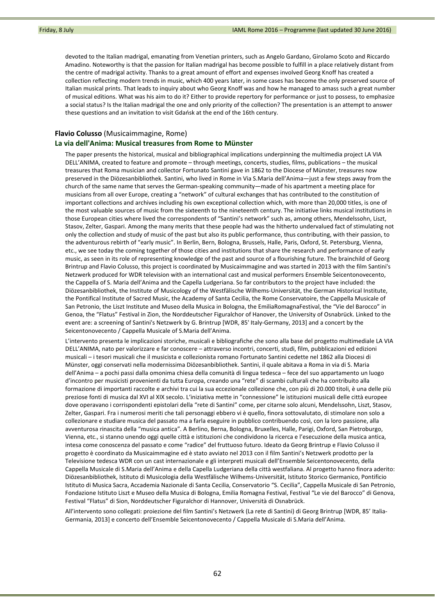devoted to the Italian madrigal, emanating from Venetian printers, such as Angelo Gardano, Girolamo Scoto and Riccardo Amadino. Noteworthy is that the passion for Italian madrigal has become possible to fulfill in a place relatively distant from the centre of madrigal activity. Thanks to a great amount of effort and expenses involved Georg Knoff has created a collection reflecting modern trends in music, which 400 years later, in some cases has become the only preserved source of Italian musical prints. That leads to inquiry about who Georg Knoff was and how he managed to amass such a great number of musical editions. What was his aim to do it? Either to provide repertory for performance or just to possess, to emphasize a social status? Is the Italian madrigal the one and only priority of the collection? The presentation is an attempt to answer these questions and an invitation to visit Gdańsk at the end of the 16th century.

## **Flavio Colusso** (Musicaimmagine, Rome)

### **La via dell'Anima: Musical treasures from Rome to Münster**

The paper presents the historical, musical and bibliographical implications underpinning the multimedia project LA VIA DELL'ANIMA, created to feature and promote – through meetings, concerts, studies, films, publications – the musical treasures that Roma musician and collector Fortunato Santini gave in 1862 to the Diocese of Münster, treasures now preserved in the Diözesanbibliothek. Santini, who lived in Rome in Via S.Maria dell'Anima—just a few steps away from the church of the same name that serves the German-speaking community—made of his apartment a meeting place for musicians from all over Europe, creating a "network" of cultural exchanges that has contributed to the constitution of important collections and archives including his own exceptional collection which, with more than 20,000 titles, is one of the most valuable sources of music from the sixteenth to the nineteenth century. The initiative links musical institutions in those European cities where lived the correspondents of "Santini's network" such as, among others, Mendelssohn, Liszt, Stasov, Zelter, Gaspari. Among the many merits that these people had was the hitherto undervalued fact of stimulating not only the collection and study of music of the past but also its public performance, thus contributing, with their passion, to the adventurous rebirth of "early music". In Berlin, Bern, Bologna, Brussels, Halle, Paris, Oxford, St. Petersburg, Vienna, etc., we see today the coming together of those cities and institutions that share the research and performance of early music, as seen in its role of representing knowledge of the past and source of a flourishing future. The brainchild of Georg Brintrup and Flavio Colusso, this project is coordinated by Musicaimmagine and was started in 2013 with the film Santini's Netzwerk produced for WDR television with an international cast and musical performers Ensemble Seicentonovecento, the Cappella of S. Maria dell'Anima and the Capella Ludgeriana. So far contributors to the project have included: the Diözesanbibliothek, the Institute of Musicology of the Westfälische Wilhems‐Universität, the German Historical Institute, the Pontifical Institute of Sacred Music, the Academy of Santa Cecilia, the Rome Conservatoire, the Cappella Musicale of San Petronio, the Liszt Institute and Museo della Musica in Bologna, the EmiliaRomagnaFestival, the "Vie del Barocco" in Genoa, the "Flatus" Festival in Zion, the Norddeutscher Figuralchor of Hanover, the University of Osnabrück. Linked to the event are: a screening of Santini's Netzwerk by G. Brintrup [WDR, 85' Italy‐Germany, 2013] and a concert by the Seicentonovecento / Cappella Musicale of S.Maria dell'Anima.

L'intervento presenta le implicazioni storiche, musicali e bibliografiche che sono alla base del progetto multimediale LA VIA DELL'ANIMA, nato per valorizzare e far conoscere – attraverso incontri, concerti, studi, film, pubblicazioni ed edizioni musicali – i tesori musicali che il musicista e collezionista romano Fortunato Santini cedette nel 1862 alla Diocesi di Münster, oggi conservati nella modernissima Diözesanbibliothek. Santini, il quale abitava a Roma in via di S. Maria dell'Anima – a pochi passi dalla omonima chiesa della comunità di lingua tedesca – fece del suo appartamento un luogo d'incontro per musicisti provenienti da tutta Europa, creando una "rete" di scambi culturali che ha contribuito alla formazione di importanti raccolte e archivi tra cui la sua eccezionale collezione che, con più di 20.000 titoli, è una delle più preziose fonti di musica dal XVI al XIX secolo. L'iniziativa mette in "connessione" le istituzioni musicali delle città europee dove operavano i corrispondenti epistolari della "rete di Santini" come, per citarne solo alcuni, Mendelssohn, Liszt, Stasov, Zelter, Gaspari. Fra i numerosi meriti che tali personaggi ebbero vi è quello, finora sottovalutato, di stimolare non solo a collezionare e studiare musica del passato ma a farla eseguire in pubblico contribuendo così, con la loro passione, alla avventurosa rinascita della "musica antica". A Berlino, Berna, Bologna, Bruxelles, Halle, Parigi, Oxford, San Pietroburgo, Vienna, etc., si stanno unendo oggi quelle città e istituzioni che condividono la ricerca e l'esecuzione della musica antica, intesa come conoscenza del passato e come "radice" del fruttuoso futuro. Ideato da Georg Brintrup e Flavio Colusso il progetto è coordinato da Musicaimmagine ed è stato avviato nel 2013 con il film Santini's Netzwerk prodotto per la Televisione tedesca WDR con un cast internazionale e gli interpreti musicali dell'Ensemble Seicentonovecento, della Cappella Musicale di S.Maria dell'Anima e della Capella Ludgeriana della città westfaliana. Al progetto hanno finora aderito: Diözesanbibliothek, Istituto di Musicologia della Westfälische Wilhems‐Universität, Istituto Storico Germanico, Pontificio Istituto di Musica Sacra, Accademia Nazionale di Santa Cecilia, Conservatorio "S. Cecilia", Cappella Musicale di San Petronio, Fondazione Istituto Liszt e Museo della Musica di Bologna, Emilia Romagna Festival, Festival "Le vie del Barocco" di Genova, Festival "Flatus" di Sion, Norddeutscher Figuralchor di Hannover, Università di Osnabrück.

All'intervento sono collegati: proiezione del film Santini's Netzwerk (La rete di Santini) di Georg Brintrup [WDR, 85' Italia‐ Germania, 2013] e concerto dell'Ensemble Seicentonovecento / Cappella Musicale di S.Maria dell'Anima.